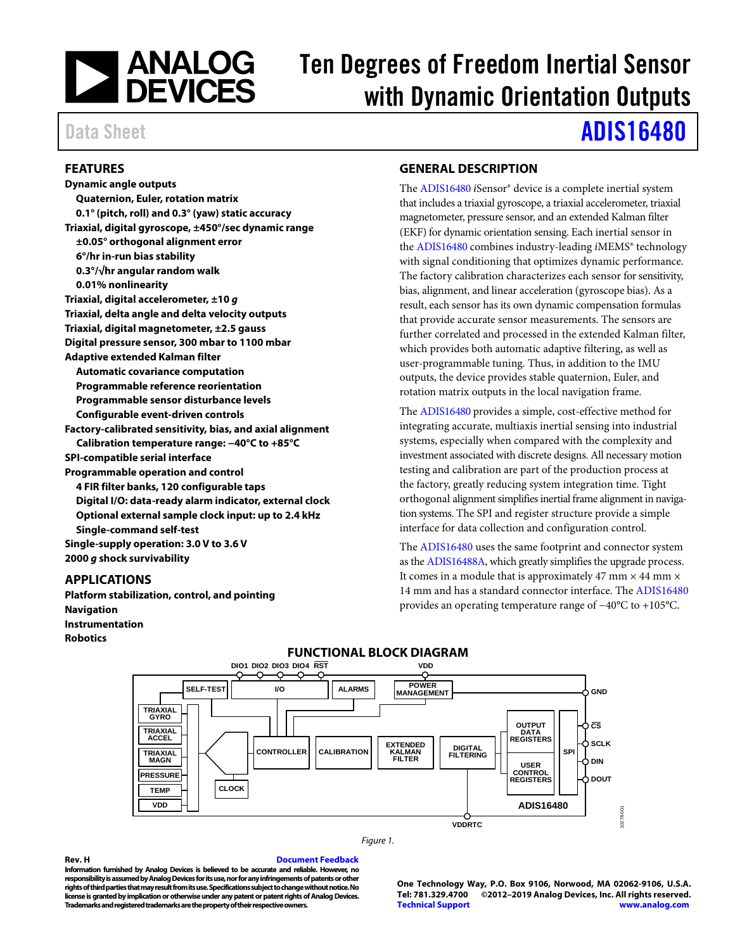

# Ten Degrees of Freedom Inertial Sensor with Dynamic Orientation Outputs

# Data Sheet **[ADIS16480](https://www.analog.com/ADIS16480?doc=ADIS16480.pdf)**

### <span id="page-0-0"></span>**FEATURES**

**Dynamic angle outputs Quaternion, Euler, rotation matrix 0.1° (pitch, roll) and 0.3° (yaw) static accuracy Triaxial, digital gyroscope, ±450°/sec dynamic range ±0.05° orthogonal alignment error 6°/hr in-run bias stability 0.3°/√hr angular random walk 0.01% nonlinearity Triaxial, digital accelerometer, ±10** *g*  **Triaxial, delta angle and delta velocity outputs Triaxial, digital magnetometer, ±2.5 gauss Digital pressure sensor, 300 mbar to 1100 mbar Adaptive extended Kalman filter Automatic covariance computation Programmable reference reorientation Programmable sensor disturbance levels Configurable event-driven controls Factory-calibrated sensitivity, bias, and axial alignment Calibration temperature range: −40°C to +85°C SPI-compatible serial interface Programmable operation and control 4 FIR filter banks, 120 configurable taps Digital I/O: data-ready alarm indicator, external clock Optional external sample clock input: up to 2.4 kHz Single-command self-test Single-supply operation: 3.0 V to 3.6 V 2000** *g* **shock survivability**

### <span id="page-0-1"></span>**APPLICATIONS**

<span id="page-0-3"></span>**Platform stabilization, control, and pointing Navigation Instrumentation Robotics** 

### <span id="page-0-2"></span>**GENERAL DESCRIPTION**

The [ADIS16480](https://www.analog.com/ADIS16480?doc=ADIS16480.pdf) *i*Sensor® device is a complete inertial system that includes a triaxial gyroscope, a triaxial accelerometer, triaxial magnetometer, pressure sensor, and an extended Kalman filter (EKF) for dynamic orientation sensing. Each inertial sensor in the [ADIS16480](https://www.analog.com/ADIS16480?doc=ADIS16480.pdf) combines industry-leading *i*MEMS® technology with signal conditioning that optimizes dynamic performance. The factory calibration characterizes each sensor for sensitivity, bias, alignment, and linear acceleration (gyroscope bias). As a result, each sensor has its own dynamic compensation formulas that provide accurate sensor measurements. The sensors are further correlated and processed in the extended Kalman filter, which provides both automatic adaptive filtering, as well as user-programmable tuning. Thus, in addition to the IMU outputs, the device provides stable quaternion, Euler, and rotation matrix outputs in the local navigation frame.

The [ADIS16480](https://www.analog.com/ADIS16480?doc=ADIS16480.pdf) provides a simple, cost-effective method for integrating accurate, multiaxis inertial sensing into industrial systems, especially when compared with the complexity and investment associated with discrete designs. All necessary motion testing and calibration are part of the production process at the factory, greatly reducing system integration time. Tight orthogonal alignment simplifies inertial frame alignment in navigation systems. The SPI and register structure provide a simple interface for data collection and configuration control.

The [ADIS16480](https://www.analog.com/ADIS16480?doc=ADIS16480.pdf) uses the same footprint and connector system as th[e ADIS16488A,](https://www.analog.com/ADIS16488A?doc=ADIS16480.pdf) which greatly simplifies the upgrade process. It comes in a module that is approximately 47 mm  $\times$  44 mm  $\times$ 14 mm and has a standard connector interface. The [ADIS16480](https://www.analog.com/ADIS16480?doc=ADIS16480.pdf) provides an operating temperature range of −40°C to +105°C.



### **FUNCTIONAL BLOCK DIAGRAM**

#### *Figure 1.*

**Rev. H [Document Feedback](https://form.analog.com/Form_Pages/feedback/documentfeedback.aspx?doc=ADIS16480.pdf&product=ADIS16480&rev=H) Information furnished by Analog Devices is believed to be accurate and reliable. However, no responsibility is assumed by Analog Devices for its use, nor for any infringements of patents or other rights of third parties that may result from its use. Specifications subject to change without notice. No license is granted by implication or otherwise under any patent or patent rights of Analog Devices. Trademarks and registered trademarks are the property of their respective owners.**

**One Technology Way, P.O. Box 9106, Norwood, MA 02062-9106, U.S.A.** ©2012-2019 Analog Devices, Inc. All rights reserved. **[Technical Support](https://www.analog.com/en/content/technical_support_page/fca.html) [www.analog.com](https://www.analog.com/)**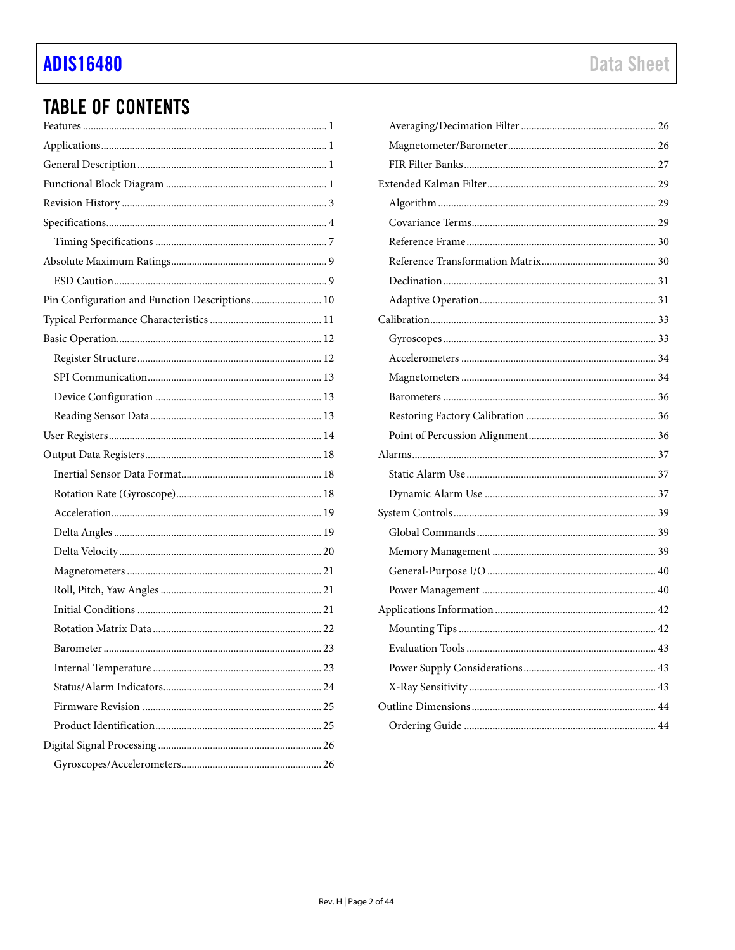# **ADIS16480**

# **TABLE OF CONTENTS**

| Pin Configuration and Function Descriptions 10 |
|------------------------------------------------|
|                                                |
|                                                |
|                                                |
|                                                |
|                                                |
|                                                |
|                                                |
|                                                |
|                                                |
|                                                |
|                                                |
|                                                |
|                                                |
|                                                |
|                                                |
|                                                |
|                                                |
|                                                |
|                                                |
|                                                |
|                                                |
|                                                |
|                                                |
|                                                |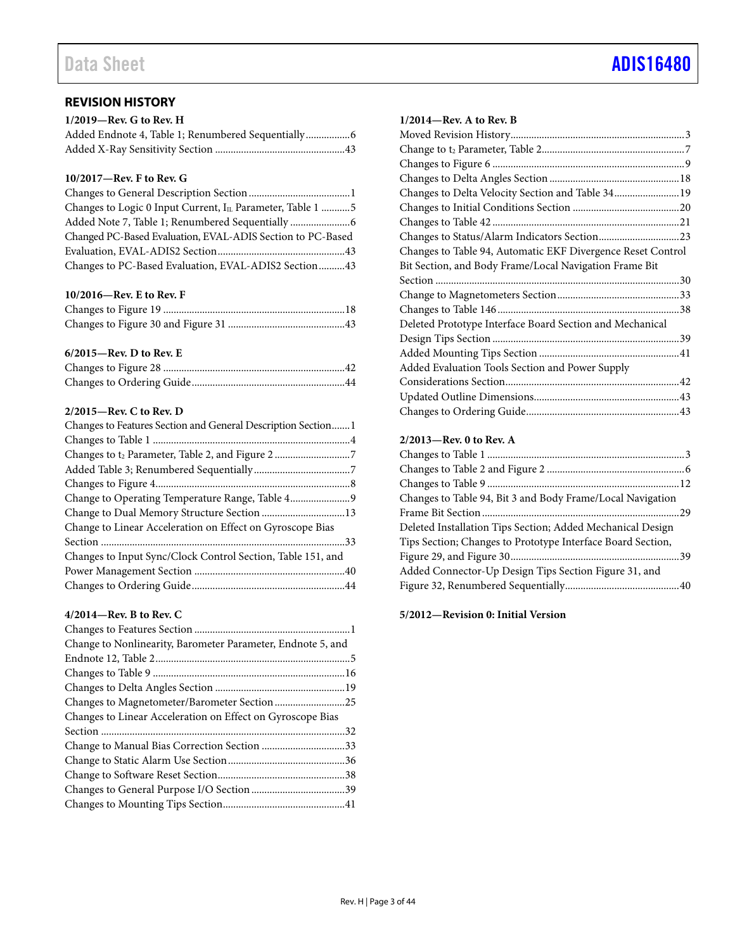<span id="page-2-0"></span>

| $1/2019$ —Rev. G to Rev. H                         |  |
|----------------------------------------------------|--|
| Added Endnote 4, Table 1; Renumbered Sequentially6 |  |
|                                                    |  |

### **10/2017—Rev. F to Rev. G**

| Changes to Logic 0 Input Current, IL Parameter, Table 1 5  |
|------------------------------------------------------------|
|                                                            |
| Changed PC-Based Evaluation, EVAL-ADIS Section to PC-Based |
|                                                            |
| Changes to PC-Based Evaluation, EVAL-ADIS2 Section43       |

### **10/2016—Rev. E to Rev. F**

### **6/2015—Rev. D to Rev. E**

### **2/2015—Rev. C to Rev. D**

### **4/2014—Rev. B to Rev. C**

| Change to Nonlinearity, Barometer Parameter, Endnote 5, and |  |
|-------------------------------------------------------------|--|
|                                                             |  |
|                                                             |  |
|                                                             |  |
| Changes to Magnetometer/Barometer Section 25                |  |
| Changes to Linear Acceleration on Effect on Gyroscope Bias  |  |
|                                                             |  |
| Change to Manual Bias Correction Section 33                 |  |
|                                                             |  |
|                                                             |  |
|                                                             |  |
|                                                             |  |

### **1/2014—Rev. A to Rev. B**

| Changes to Delta Velocity Section and Table 34 19           |  |
|-------------------------------------------------------------|--|
|                                                             |  |
|                                                             |  |
|                                                             |  |
| Changes to Table 94, Automatic EKF Divergence Reset Control |  |
| Bit Section, and Body Frame/Local Navigation Frame Bit      |  |
|                                                             |  |
|                                                             |  |
|                                                             |  |
|                                                             |  |
| Deleted Prototype Interface Board Section and Mechanical    |  |
|                                                             |  |
|                                                             |  |
| Added Evaluation Tools Section and Power Supply             |  |
|                                                             |  |
|                                                             |  |

### **2/2013—Rev. 0 to Rev. A**

**5/2012—Revision 0: Initial Version**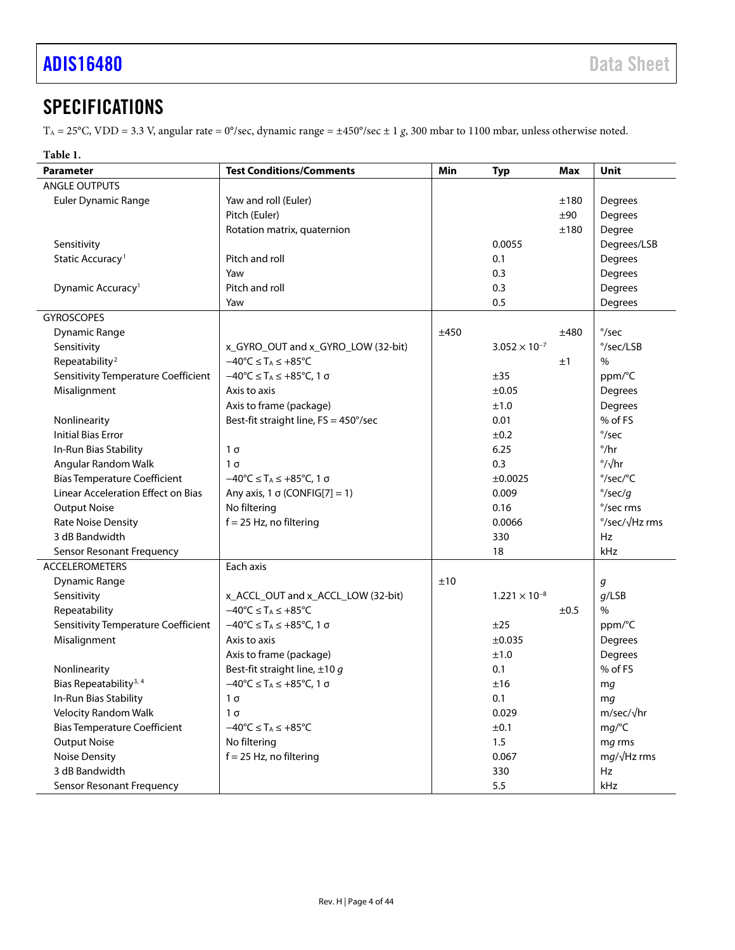# <span id="page-3-0"></span>**SPECIFICATIONS**

TA = 25°C, VDD = 3.3 V, angular rate = 0°/sec, dynamic range = ±450°/sec ± 1 *g*, 300 mbar to 1100 mbar, unless otherwise noted.

### <span id="page-3-1"></span>**Table 1.**

| <b>Parameter</b>                    | <b>Test Conditions/Comments</b>                                           | Min  | Typ                    | Max  | <b>Unit</b>                     |
|-------------------------------------|---------------------------------------------------------------------------|------|------------------------|------|---------------------------------|
| <b>ANGLE OUTPUTS</b>                |                                                                           |      |                        |      |                                 |
| Euler Dynamic Range                 | Yaw and roll (Euler)                                                      |      |                        | ±180 | Degrees                         |
|                                     | Pitch (Euler)                                                             |      |                        | ±90  | Degrees                         |
|                                     | Rotation matrix, quaternion                                               |      |                        | ±180 | Degree                          |
| Sensitivity                         |                                                                           |      | 0.0055                 |      | Degrees/LSB                     |
| Static Accuracy <sup>1</sup>        | Pitch and roll                                                            |      | 0.1                    |      | <b>Degrees</b>                  |
|                                     | Yaw                                                                       |      | 0.3                    |      | Degrees                         |
| Dynamic Accuracy <sup>1</sup>       | Pitch and roll                                                            |      | 0.3                    |      | Degrees                         |
|                                     | Yaw                                                                       |      | 0.5                    |      | Degrees                         |
| <b>GYROSCOPES</b>                   |                                                                           |      |                        |      |                                 |
| <b>Dynamic Range</b>                |                                                                           | ±450 |                        | ±480 | $\degree$ /sec                  |
| Sensitivity                         | x GYRO OUT and x GYRO LOW (32-bit)                                        |      | $3.052 \times 10^{-7}$ |      | °/sec/LSB                       |
| Repeatability <sup>2</sup>          | $-40^{\circ}C \leq T_A \leq +85^{\circ}C$                                 |      |                        | ±1   | $\%$                            |
| Sensitivity Temperature Coefficient | $-40^{\circ}C \leq T_A \leq +85^{\circ}C$ , 1 $\sigma$                    |      | ±35                    |      | ppm/°C                          |
| Misalignment                        | Axis to axis                                                              |      | $\pm 0.05$             |      | Degrees                         |
|                                     | Axis to frame (package)                                                   |      | ±1.0                   |      | Degrees                         |
| Nonlinearity                        | Best-fit straight line, FS = 450°/sec                                     |      | 0.01                   |      | % of FS                         |
| <b>Initial Bias Error</b>           |                                                                           |      | $\pm 0.2$              |      | $\degree$ /sec                  |
| In-Run Bias Stability               | $1\sigma$                                                                 |      | 6.25                   |      | $^{\circ}/\text{hr}$            |
| Angular Random Walk                 | $1\sigma$                                                                 |      | 0.3                    |      | $\frac{\circ}{\sqrt{hr}}$       |
| <b>Bias Temperature Coefficient</b> | $-40^{\circ}$ C $\leq$ T <sub>A</sub> $\leq$ +85 $^{\circ}$ C, 1 $\sigma$ |      | ±0.0025                |      | $\degree$ /sec/ $\degree$ C     |
| Linear Acceleration Effect on Bias  | Any axis, 1 $\sigma$ (CONFIG[7] = 1)                                      |      | 0.009                  |      | $\degree$ /sec/q                |
| <b>Output Noise</b>                 | No filtering                                                              |      | 0.16                   |      | °/sec rms                       |
| <b>Rate Noise Density</b>           | $f = 25$ Hz, no filtering                                                 |      | 0.0066                 |      | $\degree$ /sec/ $\sqrt{Hz}$ rms |
| 3 dB Bandwidth                      |                                                                           |      | 330                    |      | <b>Hz</b>                       |
| <b>Sensor Resonant Frequency</b>    |                                                                           |      | 18                     |      | kHz                             |
| <b>ACCELEROMETERS</b>               | Each axis                                                                 |      |                        |      |                                 |
| Dynamic Range                       |                                                                           | ±10  |                        |      | g                               |
| Sensitivity                         | x_ACCL_OUT and x_ACCL_LOW (32-bit)                                        |      | $1.221 \times 10^{-8}$ |      | $q$ /LSB                        |
| Repeatability                       | $-40^{\circ}$ C $\leq$ T <sub>A</sub> $\leq$ +85 $^{\circ}$ C             |      |                        | ±0.5 | $\%$                            |
| Sensitivity Temperature Coefficient | $-40^{\circ}C \leq T_A \leq +85^{\circ}C, 1 \sigma$                       |      | ±25                    |      | ppm/°C                          |
| Misalignment                        | Axis to axis                                                              |      | ±0.035                 |      | Degrees                         |
|                                     | Axis to frame (package)                                                   |      | ±1.0                   |      | <b>Degrees</b>                  |
| Nonlinearity                        | Best-fit straight line, $\pm 10 g$                                        |      | 0.1                    |      | % of FS                         |
| Bias Repeatability <sup>3, 4</sup>  | $-40^{\circ}$ C $\leq$ T <sub>A</sub> $\leq$ +85 $^{\circ}$ C, 1 $\sigma$ |      | ±16                    |      | mg                              |
| In-Run Bias Stability               | $1\sigma$                                                                 |      | 0.1                    |      | mq                              |
| Velocity Random Walk                | $1\sigma$                                                                 |      | 0.029                  |      | $m/sec/\sqrt{hr}$               |
| <b>Bias Temperature Coefficient</b> | $-40^{\circ}$ C $\leq$ T <sub>A</sub> $\leq$ +85 $^{\circ}$ C             |      | ±0.1                   |      | mg/C                            |
| <b>Output Noise</b>                 | No filtering                                                              |      | 1.5                    |      | mg rms                          |
| <b>Noise Density</b>                | $f = 25$ Hz, no filtering                                                 |      | 0.067                  |      | $mg/\sqrt{Hz}$ rms              |
| 3 dB Bandwidth                      |                                                                           |      | 330                    |      | Hz                              |
| Sensor Resonant Frequency           |                                                                           |      | 5.5                    |      | kHz                             |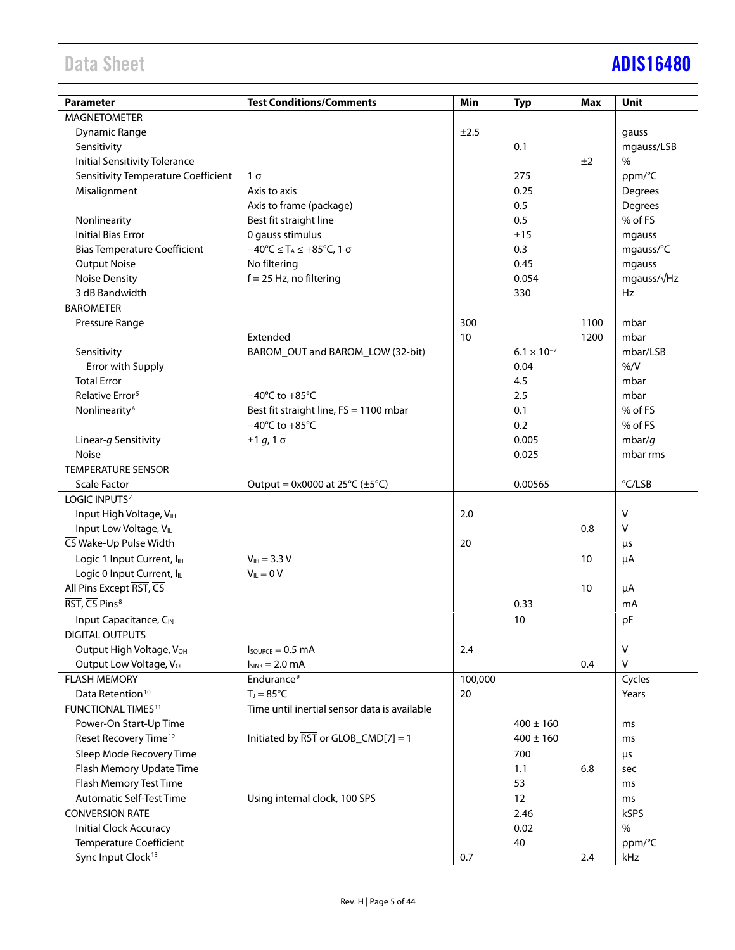# Data Sheet **[ADIS16480](https://www.analog.com/ADIS16480?doc=ADIS16480.pdf)**

|                                       | <b>Test Conditions/Comments</b>                                           | Min     |                      |      | <b>Unit</b>         |
|---------------------------------------|---------------------------------------------------------------------------|---------|----------------------|------|---------------------|
| <b>Parameter</b>                      |                                                                           |         | <b>Typ</b>           | Max  |                     |
| <b>MAGNETOMETER</b>                   |                                                                           |         |                      |      |                     |
| <b>Dynamic Range</b>                  |                                                                           | ±2.5    |                      |      | gauss               |
| Sensitivity                           |                                                                           |         | 0.1                  |      | mgauss/LSB          |
| <b>Initial Sensitivity Tolerance</b>  |                                                                           |         |                      | ±2   | $\%$                |
| Sensitivity Temperature Coefficient   | $1\sigma$                                                                 |         | 275                  |      | ppm/°C              |
| Misalignment                          | Axis to axis                                                              |         | 0.25                 |      | Degrees             |
|                                       | Axis to frame (package)                                                   |         | 0.5                  |      | Degrees             |
| Nonlinearity                          | Best fit straight line                                                    |         | 0.5                  |      | % of FS             |
| <b>Initial Bias Error</b>             | 0 gauss stimulus                                                          |         | ±15                  |      | mgauss              |
| <b>Bias Temperature Coefficient</b>   | $-40^{\circ}$ C $\leq$ T <sub>A</sub> $\leq$ +85 $^{\circ}$ C, 1 $\sigma$ |         | 0.3                  |      | mgauss/°C           |
| <b>Output Noise</b>                   | No filtering                                                              |         | 0.45                 |      | mgauss              |
| <b>Noise Density</b>                  | $f = 25$ Hz, no filtering                                                 |         | 0.054                |      | mgauss/ $\sqrt{Hz}$ |
| 3 dB Bandwidth                        |                                                                           |         | 330                  |      | Hz                  |
| <b>BAROMETER</b>                      |                                                                           |         |                      |      |                     |
| Pressure Range                        |                                                                           | 300     |                      | 1100 | mbar                |
|                                       | Extended                                                                  | 10      |                      | 1200 | mbar                |
| Sensitivity                           | BAROM_OUT and BAROM_LOW (32-bit)                                          |         | $6.1 \times 10^{-7}$ |      | mbar/LSB            |
| Error with Supply                     |                                                                           |         | 0.04                 |      | % /V                |
| <b>Total Error</b>                    |                                                                           |         | 4.5                  |      | mbar                |
| Relative Error <sup>5</sup>           | $-40^{\circ}$ C to $+85^{\circ}$ C                                        |         | 2.5                  |      | mbar                |
| Nonlinearity <sup>6</sup>             | Best fit straight line, FS = 1100 mbar                                    |         | 0.1                  |      | % of FS             |
|                                       | $-40^{\circ}$ C to $+85^{\circ}$ C                                        |         | 0.2                  |      | % of FS             |
| Linear-g Sensitivity                  | ±1 g, 1 σ                                                                 |         | 0.005                |      | mbar/ $q$           |
| Noise                                 |                                                                           |         | 0.025                |      | mbar rms            |
| <b>TEMPERATURE SENSOR</b>             |                                                                           |         |                      |      |                     |
| <b>Scale Factor</b>                   | Output = $0x0000$ at $25^{\circ}C (\pm 5^{\circ}C)$                       |         | 0.00565              |      | °C/LSB              |
| LOGIC INPUTS <sup>7</sup>             |                                                                           |         |                      |      |                     |
| Input High Voltage, VIH               |                                                                           | 2.0     |                      |      | v                   |
| Input Low Voltage, VIL                |                                                                           |         |                      | 0.8  | V                   |
| CS Wake-Up Pulse Width                |                                                                           | 20      |                      |      | μs                  |
| Logic 1 Input Current, I <sub>H</sub> | $V_{IH} = 3.3 V$                                                          |         |                      | 10   | μA                  |
| Logic 0 Input Current, ILL            | $V_{IL} = 0 V$                                                            |         |                      |      |                     |
| All Pins Except RST, CS               |                                                                           |         |                      | 10   | μA                  |
| RST, CS Pins <sup>8</sup>             |                                                                           |         | 0.33                 |      | mA                  |
| Input Capacitance, CIN                |                                                                           |         | 10                   |      | pF                  |
| <b>DIGITAL OUTPUTS</b>                |                                                                           |         |                      |      |                     |
| Output High Voltage, V <sub>OH</sub>  | $I_{\text{SOLRCE}} = 0.5 \text{ mA}$                                      | 2.4     |                      |      | V                   |
| Output Low Voltage, VoL               | $I_{SINK} = 2.0 \text{ mA}$                                               |         |                      | 0.4  | v                   |
| <b>FLASH MEMORY</b>                   | Endurance <sup>9</sup>                                                    | 100,000 |                      |      | Cycles              |
| Data Retention <sup>10</sup>          | $T_J = 85^{\circ}C$                                                       | 20      |                      |      | Years               |
| <b>FUNCTIONAL TIMES<sup>11</sup></b>  | Time until inertial sensor data is available                              |         |                      |      |                     |
| Power-On Start-Up Time                |                                                                           |         | $400 \pm 160$        |      | ms                  |
| Reset Recovery Time <sup>12</sup>     | Initiated by $\overline{RST}$ or GLOB_CMD[7] = 1                          |         | $400 \pm 160$        |      | ms                  |
| Sleep Mode Recovery Time              |                                                                           |         | 700                  |      |                     |
| Flash Memory Update Time              |                                                                           |         | 1.1                  | 6.8  | μs                  |
| Flash Memory Test Time                |                                                                           |         | 53                   |      | sec                 |
| Automatic Self-Test Time              |                                                                           |         | 12                   |      | ms                  |
|                                       | Using internal clock, 100 SPS                                             |         |                      |      | ms                  |
| <b>CONVERSION RATE</b>                |                                                                           |         | 2.46                 |      | kSPS<br>$\%$        |
| <b>Initial Clock Accuracy</b>         |                                                                           |         | 0.02                 |      |                     |
| <b>Temperature Coefficient</b>        |                                                                           |         | 40                   |      | ppm/°C              |
| Sync Input Clock <sup>13</sup>        |                                                                           | 0.7     |                      | 2.4  | kHz                 |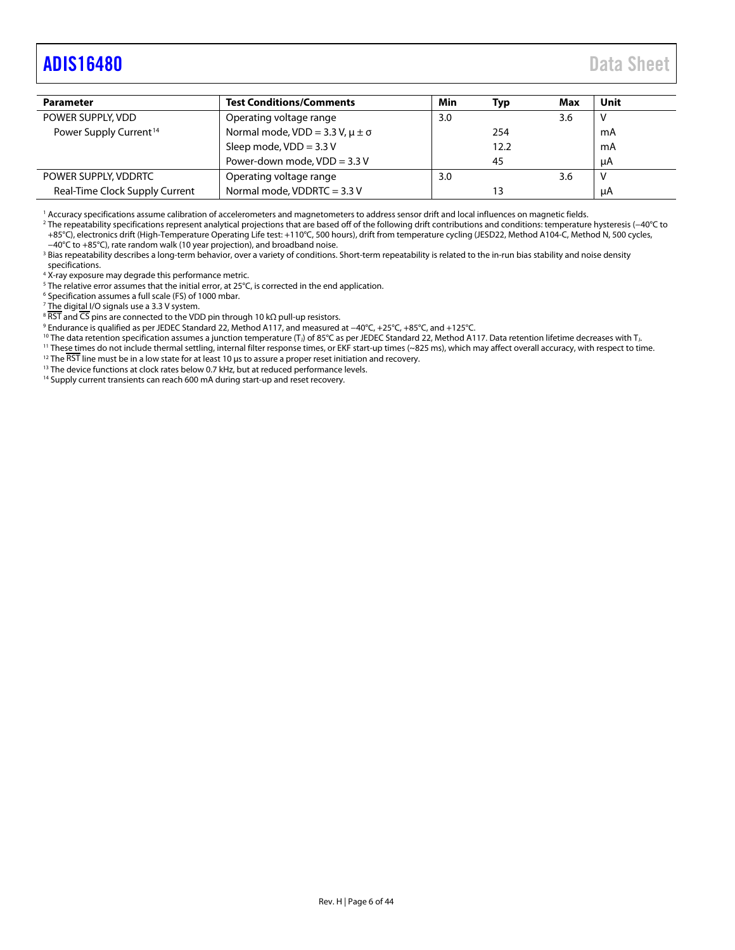## <span id="page-5-0"></span>[ADIS16480](https://www.analog.com/ADIS16480?doc=ADIS16480.pdf) Data Sheet

| <b>Test Conditions/Comments</b>            | Min | Typ  | Max | Unit |
|--------------------------------------------|-----|------|-----|------|
| Operating voltage range                    | 3.0 |      | 3.6 | v    |
| Normal mode, VDD = 3.3 V, $\mu \pm \sigma$ |     | 254  |     | mA   |
| Sleep mode, $VDD = 3.3 V$                  |     | 12.2 |     | mA   |
| Power-down mode, VDD = 3.3 V               |     | 45   |     | uA   |
| Operating voltage range                    | 3.0 |      | 3.6 | ν    |
| Normal mode, VDDRTC = 3.3 V                |     | 13   |     | μA   |
|                                            |     |      |     |      |

<sup>1</sup> Accuracy specifications assume calibration of accelerometers and magnetometers to address sensor drift and local influences on magnetic fields.

<sup>2</sup> The repeatability specifications represent analytical projections that are based off of the following drift contributions and conditions: temperature hysteresis (−40°C to +85°C), electronics drift (High-Temperature Operating Life test: +110°C, 500 hours), drift from temperature cycling (JESD22, Method A104-C, Method N, 500 cycles,<br>-40°C to +85°C), rate random walk (10 year projection), and

<sup>3</sup> Bias repeatability describes a long-term behavior, over a variety of conditions. Short-term repeatability is related to the in-run bias stability and noise density specifications.

4 X-ray exposure may degrade this performance metric.

<sup>5</sup> The relative error assumes that the initial error, at 25°C, is corrected in the end application.

<sup>6</sup> Specification assumes a full scale (FS) of 1000 mbar.

<sup>7</sup> The digit<u>al I</u>/O signals use a 3.3 V system.<br><sup>8</sup> RST and CS pins are connected to the VDD pin through 10 kΩ pull-up resistors.

<sup>9</sup> Endurance is qualified as per JEDEC Standard 22, Method A117, and measured at −40°C, +25°C, +85°C, and +125°C.<br><sup>10</sup> The data retention specification assumes a junction temperature (T<sub>J</sub>) of 85°C as per JEDEC Standard

<sup>11</sup> These times do not include thermal settling, internal filter response times, or EKF start-up times (~825 ms), which may affect overall accuracy, with respect to time.

<sup>12</sup> The  $\overline{\text{RST}}$  line must be in a low state for at least 10 µs to assure a proper reset initiation and recovery.

<sup>13</sup> The device functions at clock rates below 0.7 kHz, but at reduced performance levels.

<sup>14</sup> Supply current transients can reach 600 mA during start-up and reset recovery.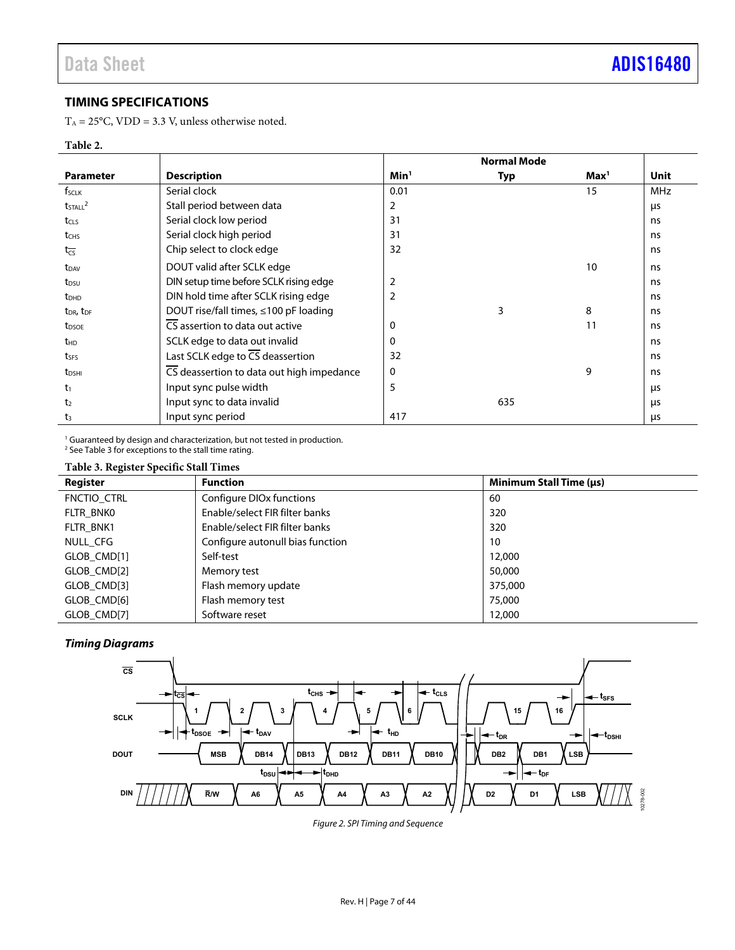### <span id="page-6-0"></span>**TIMING SPECIFICATIONS**

 $T_A = 25^{\circ}$ C, VDD = 3.3 V, unless otherwise noted.

### **Table 2.**

|                                   |                                                     |                  | <b>Normal Mode</b> |                  |            |  |  |
|-----------------------------------|-----------------------------------------------------|------------------|--------------------|------------------|------------|--|--|
| <b>Parameter</b>                  | <b>Description</b>                                  | Min <sup>1</sup> | Typ                | Max <sup>1</sup> | Unit       |  |  |
| f <sub>SCLK</sub>                 | Serial clock                                        | 0.01             |                    | 15               | <b>MHz</b> |  |  |
| $t$ <sub>STALL</sub> $^2$         | Stall period between data                           | 2                |                    |                  | μs         |  |  |
| tcLs                              | Serial clock low period                             | 31               |                    |                  | ns         |  |  |
| t <sub>CHS</sub>                  | Serial clock high period                            | 31               |                    |                  | ns         |  |  |
| $t_{\overline{\text{CS}}}$        | Chip select to clock edge                           | 32               |                    |                  | ns         |  |  |
| $t_{DAV}$                         | DOUT valid after SCLK edge                          |                  |                    | 10               | ns         |  |  |
| t <sub>DSU</sub>                  | DIN setup time before SCLK rising edge              | 2                |                    |                  | ns         |  |  |
| t <sub>DHD</sub>                  | DIN hold time after SCLK rising edge                | 2                |                    |                  | ns         |  |  |
| t <sub>DR</sub> , t <sub>DF</sub> | DOUT rise/fall times, ≤100 pF loading               |                  | 3                  | 8                | ns         |  |  |
| t <sub>DSOE</sub>                 | $\overline{\text{CS}}$ assertion to data out active | 0                |                    | 11               | ns         |  |  |
| <b>t</b> <sub>HD</sub>            | SCLK edge to data out invalid                       | 0                |                    |                  | ns         |  |  |
| tses                              | Last SCLK edge to $\overline{CS}$ deassertion       | 32               |                    |                  | ns         |  |  |
| t <sub>DSHI</sub>                 | CS deassertion to data out high impedance           | 0                |                    | 9                | ns         |  |  |
| $t_1$                             | Input sync pulse width                              | 5                |                    |                  | μs         |  |  |
| t <sub>2</sub>                    | Input sync to data invalid                          |                  | 635                |                  | μs         |  |  |
| t <sub>3</sub>                    | Input sync period                                   | 417              |                    |                  | μs         |  |  |

<sup>1</sup> Guaranteed by design and characterization, but not tested in production. <sup>2</sup> Se[e Table 3 f](#page-6-1)or exceptions to the stall time rating.

### <span id="page-6-1"></span>**Table 3. Register Specific Stall Times**

| $\cdot$<br>. .<br>Register | <b>Function</b>                      | Minimum Stall Time (µs) |
|----------------------------|--------------------------------------|-------------------------|
| FNCTIO_CTRL                | Configure DIO <sub>x</sub> functions | 60                      |
| FLTR BNKO                  | Enable/select FIR filter banks       | 320                     |
| FLTR BNK1                  | Enable/select FIR filter banks       | 320                     |
| NULL CFG                   | Configure autonull bias function     | 10                      |
| GLOB CMD[1]                | Self-test                            | 12,000                  |
| GLOB CMD[2]                | Memory test                          | 50,000                  |
| GLOB CMD[3]                | Flash memory update                  | 375,000                 |
| GLOB CMD[6]                | Flash memory test                    | 75,000                  |
| GLOB CMD[7]                | Software reset                       | 12,000                  |

### **Timing Diagrams**



Figure 2. SPI Timing and Sequence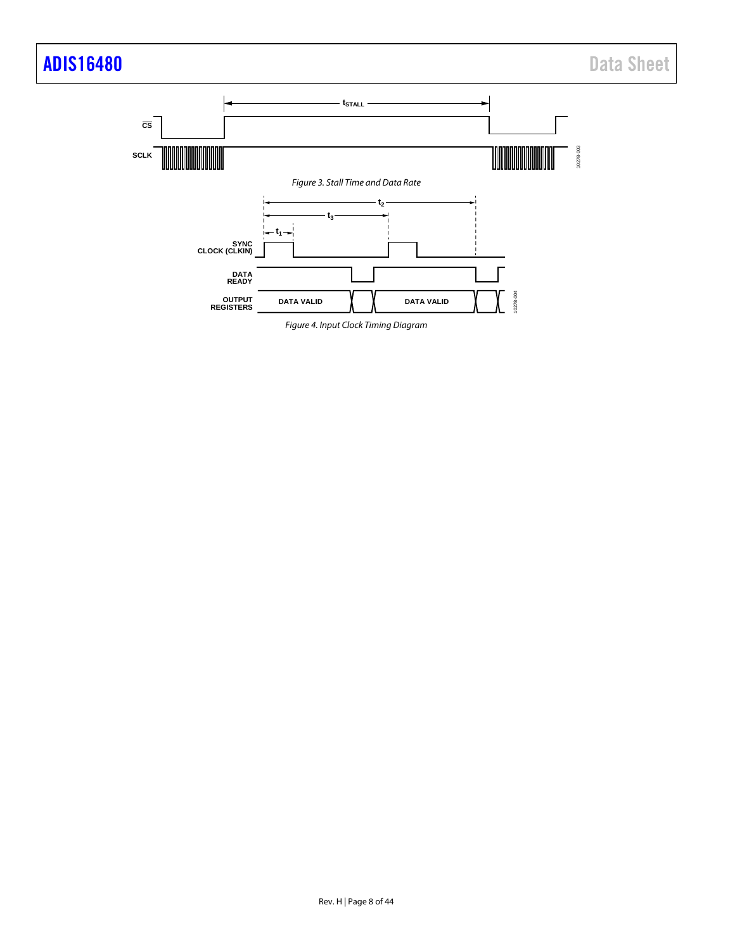# [ADIS16480](https://www.analog.com/ADIS16480?doc=ADIS16480.pdf) Data Sheet



*Figure 4. Input Clock Timing Diagram*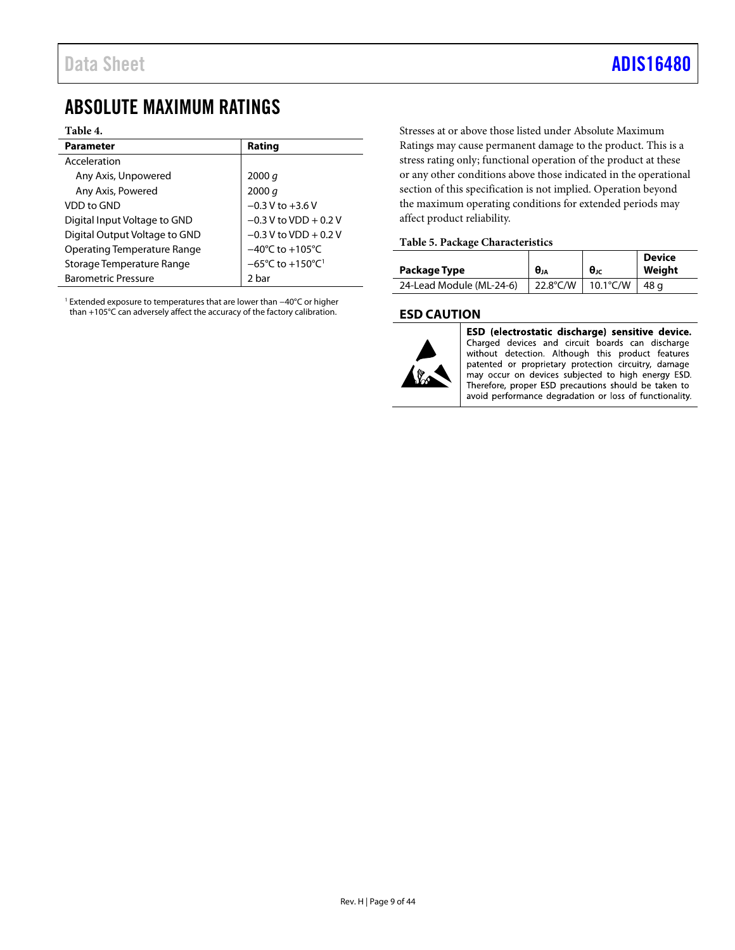### <span id="page-8-0"></span>ABSOLUTE MAXIMUM RATINGS

### **Table 4.**

| <b>Parameter</b>                   | Rating                                           |
|------------------------------------|--------------------------------------------------|
| Acceleration                       |                                                  |
| Any Axis, Unpowered                | 2000 q                                           |
| Any Axis, Powered                  | 2000 q                                           |
| VDD to GND                         | $-0.3 V$ to $+3.6 V$                             |
| Digital Input Voltage to GND       | $-0.3$ V to VDD + 0.2 V                          |
| Digital Output Voltage to GND      | $-0.3$ V to VDD + 0.2 V                          |
| <b>Operating Temperature Range</b> | $-40^{\circ}$ C to $+105^{\circ}$ C              |
| Storage Temperature Range          | $-65^{\circ}$ C to $+150^{\circ}$ C <sup>1</sup> |
| <b>Barometric Pressure</b>         | 2 bar                                            |

<sup>1</sup> Extended exposure to temperatures that are lower than −40°C or higher than +105°C can adversely affect the accuracy of the factory calibration.

Stresses at or above those listed under Absolute Maximum Ratings may cause permanent damage to the product. This is a stress rating only; functional operation of the product at these or any other conditions above those indicated in the operational section of this specification is not implied. Operation beyond the maximum operating conditions for extended periods may affect product reliability.

### **Table 5. Package Characteristics**

|                          |                     |             | <b>Device</b> |
|--------------------------|---------------------|-------------|---------------|
| Package Type             | $\theta_{JA}$       | $\theta$ JC | Weiaht        |
| 24-Lead Module (ML-24-6) | 22.8°C/W   10.1°C/W |             | ີ   48 α      |

### <span id="page-8-1"></span>**ESD CAUTION**



ESD (electrostatic discharge) sensitive device. Charged devices and circuit boards can discharge without detection. Although this product features patented or proprietary protection circuitry, damage may occur on devices subjected to high energy ESD. Therefore, proper ESD precautions should be taken to avoid performance degradation or loss of functionality.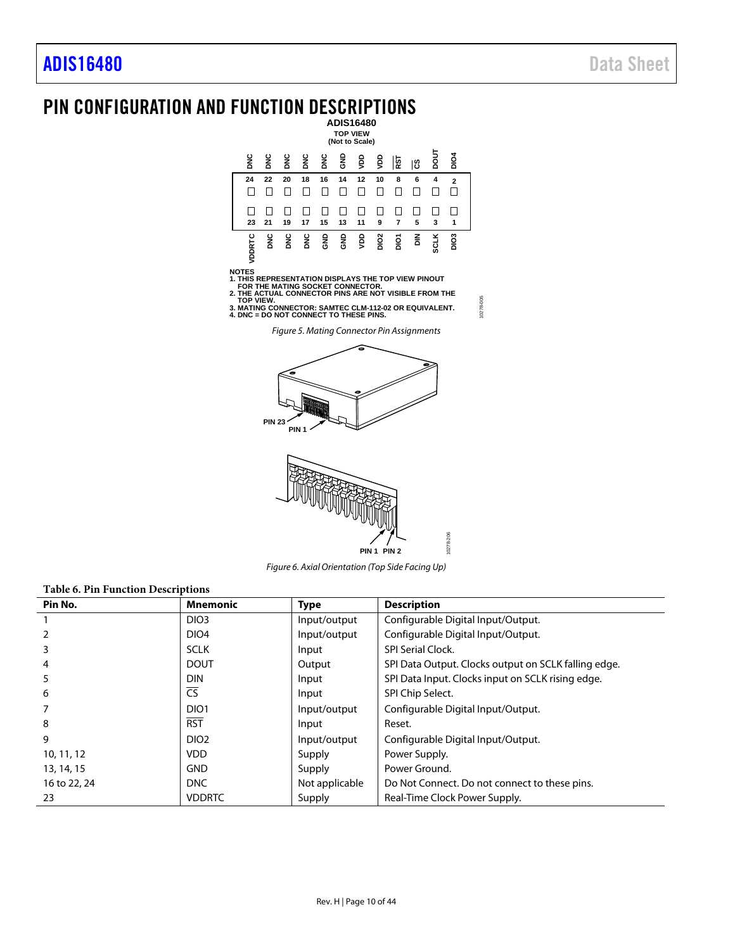### <span id="page-9-0"></span>PIN CONFIGURATION AND FUNCTION DESCRIPTIONS **ADIS16480**



NOTES<br>1. THIS REPRESENTATION DISPLAYS THE TOP VIEW PINOUT<br>2. THE ACTUAL CONNECTOR PINS ARE NOT VISIBLE FROM THE<br>2. THE ACTUAL CONNECTOR PINS ARE NOT VISIBLE FROM THE<br>3. MATING CONNECTOR: SAMTEC CLM-112-02 OR EQUIVALENT.<br>4.

10278-005

0278-005



*Figure 6. Axial Orientation (Top Side Facing Up)*

<span id="page-9-2"></span><span id="page-9-1"></span>

| <b>Table 6. Pin Function Descriptions</b> |                        |                |                                                      |  |  |  |  |
|-------------------------------------------|------------------------|----------------|------------------------------------------------------|--|--|--|--|
| Pin No.                                   | <b>Mnemonic</b>        | <b>Type</b>    | <b>Description</b>                                   |  |  |  |  |
|                                           | DIO <sub>3</sub>       | Input/output   | Configurable Digital Input/Output.                   |  |  |  |  |
|                                           | DIO <sub>4</sub>       | Input/output   | Configurable Digital Input/Output.                   |  |  |  |  |
| 3                                         | <b>SCLK</b>            | Input          | <b>SPI Serial Clock.</b>                             |  |  |  |  |
| 4                                         | <b>DOUT</b>            | Output         | SPI Data Output. Clocks output on SCLK falling edge. |  |  |  |  |
| 5                                         | <b>DIN</b>             | Input          | SPI Data Input. Clocks input on SCLK rising edge.    |  |  |  |  |
| 6                                         | $\overline{\text{CS}}$ | Input          | SPI Chip Select.                                     |  |  |  |  |
|                                           | DIO <sub>1</sub>       | Input/output   | Configurable Digital Input/Output.                   |  |  |  |  |
| 8                                         | <b>RST</b>             | Input          | Reset.                                               |  |  |  |  |
| 9                                         | DIO <sub>2</sub>       | Input/output   | Configurable Digital Input/Output.                   |  |  |  |  |
| 10, 11, 12                                | <b>VDD</b>             | Supply         | Power Supply.                                        |  |  |  |  |
| 13, 14, 15                                | <b>GND</b>             | Supply         | Power Ground.                                        |  |  |  |  |
| 16 to 22, 24                              | <b>DNC</b>             | Not applicable | Do Not Connect. Do not connect to these pins.        |  |  |  |  |
| 23                                        | <b>VDDRTC</b>          | Supply         | Real-Time Clock Power Supply.                        |  |  |  |  |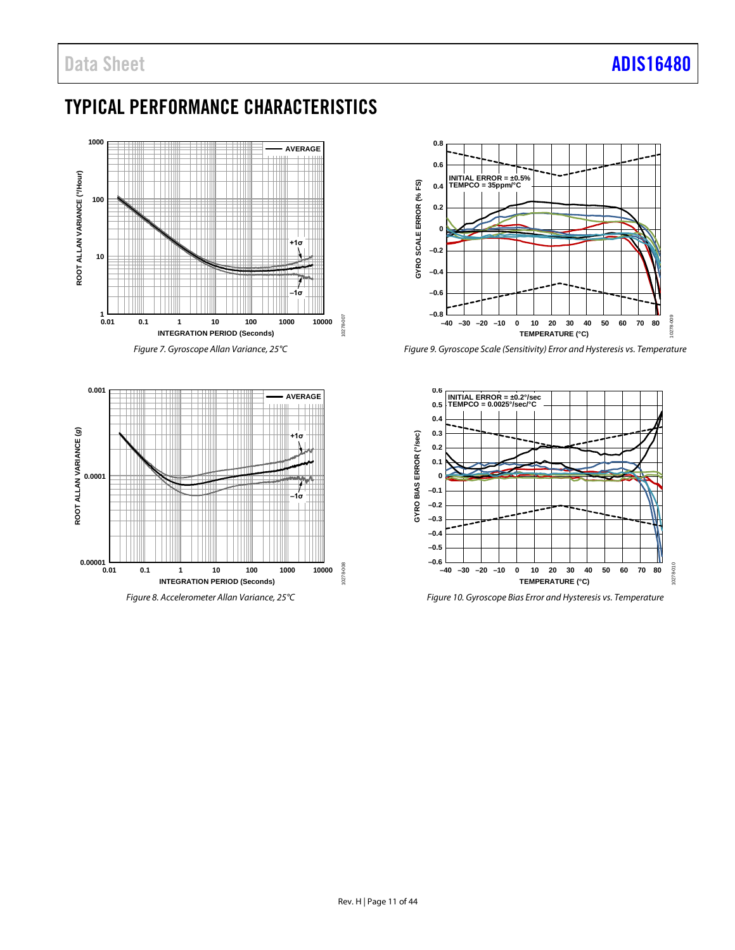# <span id="page-10-0"></span>TYPICAL PERFORMANCE CHARACTERISTICS



*Figure 7. Gyroscope Allan Variance, 25°C*



*Figure 8. Accelerometer Allan Variance, 25°C*



*Figure 9. Gyroscope Scale (Sensitivity) Error and Hysteresis vs. Temperature*



*Figure 10. Gyroscope Bias Error and Hysteresis vs. Temperature*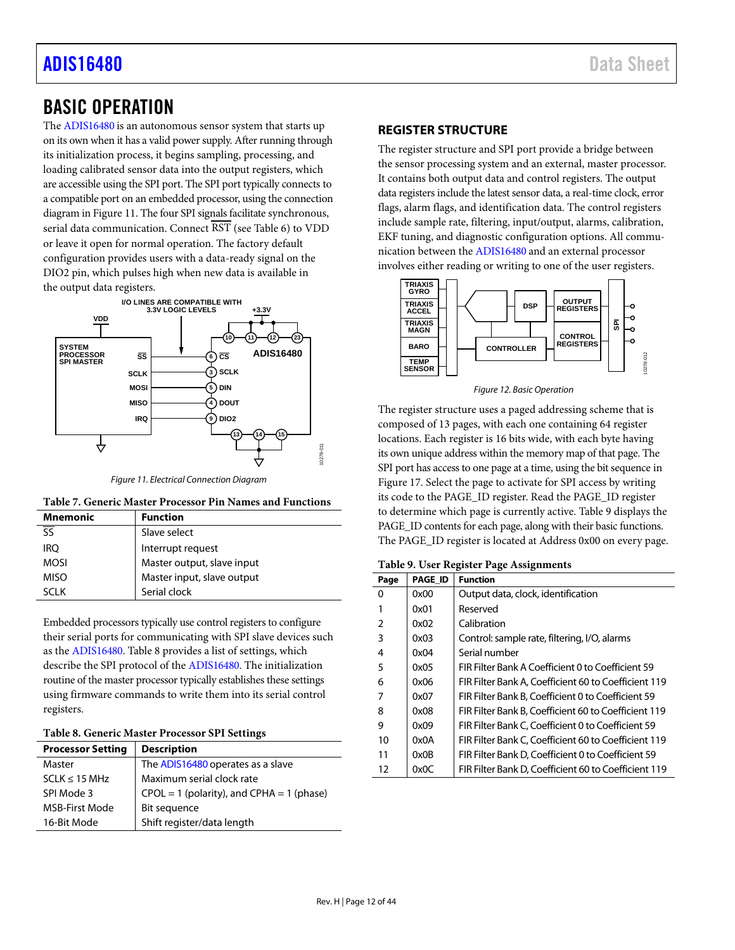## [ADIS16480](https://www.analog.com/ADIS16480?doc=ADIS16480.pdf) Data Sheet

### <span id="page-11-0"></span>BASIC OPERATION

The [ADIS16480](https://www.analog.com/ADIS16480?doc=ADIS16480.pdf) is an autonomous sensor system that starts up on its own when it has a valid power supply. After running through its initialization process, it begins sampling, processing, and loading calibrated sensor data into the output registers, which are accessible using the SPI port. The SPI port typically connects to a compatible port on an embedded processor, using the connection diagram i[n Figure 11.](#page-11-2) The four SPI signals facilitate synchronous, serial data communication. Connect  $\overline{\text{RST}}$  (see [Table 6\)](#page-9-1) to VDD or leave it open for normal operation. The factory default configuration provides users with a data-ready signal on the DIO2 pin, which pulses high when new data is available in the output data registers.



*Figure 11. Electrical Connection Diagram*

<span id="page-11-2"></span>

| <b>Mnemonic</b> | <b>Function</b>            |
|-----------------|----------------------------|
|                 | Slave select               |
| <b>IRO</b>      | Interrupt request          |
| <b>MOSI</b>     | Master output, slave input |
| <b>MISO</b>     | Master input, slave output |
| SCI K           | Serial clock               |

Embedded processors typically use control registers to configure their serial ports for communicating with SPI slave devices such as the [ADIS16480.](https://www.analog.com/ADIS16480?doc=ADIS16480.pdf) [Table 8](#page-11-3) provides a list of settings, which describe the SPI protocol of the [ADIS16480.](https://www.analog.com/ADIS16480?doc=ADIS16480.pdf) The initialization routine of the master processor typically establishes these settings using firmware commands to write them into its serial control registers.

### <span id="page-11-3"></span>**Table 8. Generic Master Processor SPI Settings**

| <b>Processor Setting</b> | <b>Description</b>                            |
|--------------------------|-----------------------------------------------|
| Master                   | The ADIS16480 operates as a slave             |
| $SCLK \le 15 MHz$        | Maximum serial clock rate                     |
| SPI Mode 3               | $CPOL = 1$ (polarity), and $CPHA = 1$ (phase) |
| <b>MSB-First Mode</b>    | Bit sequence                                  |
| 16-Bit Mode              | Shift register/data length                    |

### <span id="page-11-1"></span>**REGISTER STRUCTURE**

The register structure and SPI port provide a bridge between the sensor processing system and an external, master processor. It contains both output data and control registers. The output data registers include the latest sensor data, a real-time clock, error flags, alarm flags, and identification data. The control registers include sample rate, filtering, input/output, alarms, calibration, EKF tuning, and diagnostic configuration options. All communication between th[e ADIS16480](https://www.analog.com/ADIS16480?doc=ADIS16480.pdf) and an external processor involves either reading or writing to one of the user registers.



*Figure 12. Basic Operation*

The register structure uses a paged addressing scheme that is composed of 13 pages, with each one containing 64 register locations. Each register is 16 bits wide, with each byte having its own unique address within the memory map of that page. The SPI port has access to one page at a time, using the bit sequence in [Figure 17.](#page-12-3) Select the page to activate for SPI access by writing its code to the PAGE\_ID register. Read the PAGE\_ID register to determine which page is currently active[. Table 9](#page-11-4) displays the PAGE\_ID contents for each page, along with their basic functions. The PAGE\_ID register is located at Address 0x00 on every page.

### <span id="page-11-4"></span>**Table 9. User Register Page Assignments**

| Page | <b>PAGE ID</b> | <b>Function</b>                                      |
|------|----------------|------------------------------------------------------|
| 0    | 0x00           | Output data, clock, identification                   |
| 1    | 0x01           | Reserved                                             |
| 2    | 0x02           | Calibration                                          |
| 3    | 0x03           | Control: sample rate, filtering, I/O, alarms         |
| 4    | 0x04           | Serial number                                        |
| 5    | 0x05           | FIR Filter Bank A Coefficient 0 to Coefficient 59    |
| 6    | 0x06           | FIR Filter Bank A. Coefficient 60 to Coefficient 119 |
| 7    | 0x07           | FIR Filter Bank B. Coefficient 0 to Coefficient 59   |
| 8    | 0x08           | FIR Filter Bank B. Coefficient 60 to Coefficient 119 |
| 9    | 0x09           | FIR Filter Bank C, Coefficient 0 to Coefficient 59   |
| 10   | 0x0A           | FIR Filter Bank C, Coefficient 60 to Coefficient 119 |
| 11   | 0x0B           | FIR Filter Bank D, Coefficient 0 to Coefficient 59   |
| 12   | 0x0C           | FIR Filter Bank D. Coefficient 60 to Coefficient 119 |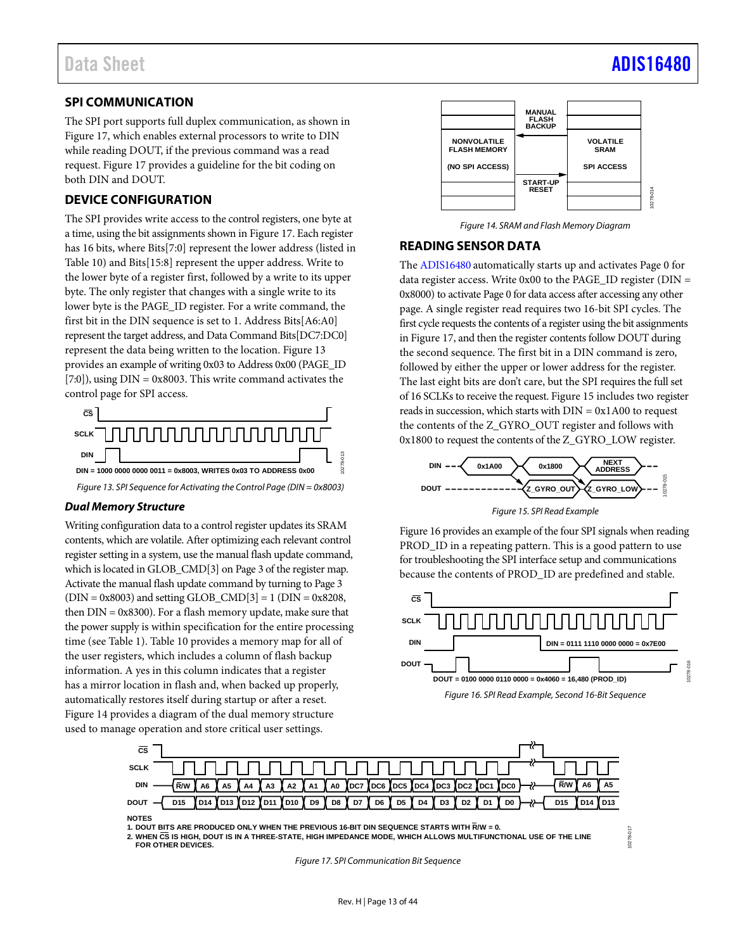### <span id="page-12-0"></span>**SPI COMMUNICATION**

The SPI port supports full duplex communication, as shown in [Figure 17,](#page-12-3) which enables external processors to write to DIN while reading DOUT, if the previous command was a read request. [Figure 17](#page-12-3) provides a guideline for the bit coding on both DIN and DOUT.

### <span id="page-12-1"></span>**DEVICE CONFIGURATION**

The SPI provides write access to the control registers, one byte at a time, using the bit assignments shown i[n Figure 17.](#page-12-3) Each register has 16 bits, where Bits[7:0] represent the lower address (listed in [Table 10\)](#page-13-1) and Bits[15:8] represent the upper address. Write to the lower byte of a register first, followed by a write to its upper byte. The only register that changes with a single write to its lower byte is the PAGE\_ID register. For a write command, the first bit in the DIN sequence is set to 1. Address Bits[A6:A0] represent the target address, and Data Command Bits[DC7:DC0] represent the data being written to the location. [Figure 13](#page-12-4) provides an example of writing 0x03 to Address 0x00 (PAGE\_ID [7:0]), using  $DIN = 0x8003$ . This write command activates the control page for SPI access.



### <span id="page-12-4"></span>*Dual Memory Structure*

Writing configuration data to a control register updates its SRAM contents, which are volatile. After optimizing each relevant control register setting in a system, use the manual flash update command, which is located in GLOB\_CMD[3] on Page 3 of the register map. Activate the manual flash update command by turning to Page 3  $(DIN = 0x8003)$  and setting GLOB\_CMD[3] = 1 (DIN = 0x8208, then DIN = 0x8300). For a flash memory update, make sure that the power supply is within specification for the entire processing time (se[e Table 1\)](#page-3-1). [Table 10](#page-13-1) provides a memory map for all of the user registers, which includes a column of flash backup information. A yes in this column indicates that a register has a mirror location in flash and, when backed up properly, automatically restores itself during startup or after a reset. [Figure 14](#page-12-5) provides a diagram of the dual memory structure used to manage operation and store critical user settings.



*Figure 14. SRAM and Flash Memory Diagram*

### <span id="page-12-5"></span><span id="page-12-2"></span>**READING SENSOR DATA**

The [ADIS16480](https://www.analog.com/ADIS16480?doc=ADIS16480.pdf) automatically starts up and activates Page 0 for data register access. Write 0x00 to the PAGE\_ID register (DIN = 0x8000) to activate Page 0 for data access after accessing any other page. A single register read requires two 16-bit SPI cycles. The first cycle requests the contents of a register using the bit assignments i[n Figure 17,](#page-12-3) and then the register contents follow DOUT during the second sequence. The first bit in a DIN command is zero, followed by either the upper or lower address for the register. The last eight bits are don't care, but the SPI requires the full set of 16 SCLKs to receive the request[. Figure 15](#page-12-6) includes two register reads in succession, which starts with  $DIN = 0x1A00$  to request the contents of the Z\_GYRO\_OUT register and follows with 0x1800 to request the contents of the Z\_GYRO\_LOW register.



*Figure 15. SPI Read Example*

<span id="page-12-6"></span>[Figure 16](#page-12-7) provides an example of the four SPI signals when reading PROD\_ID in a repeating pattern. This is a good pattern to use for troubleshooting the SPI interface setup and communications because the contents of PROD\_ID are predefined and stable.

<span id="page-12-7"></span>

10278-017



**1. DOUT BITS ARE PRODUCED ONLY WHEN THE PREVIOUS 16-BIT DIN SEQUENCE STARTS WITH R/W = 0.**

<span id="page-12-3"></span>**2. WHEN CS IS HIGH, DOUT IS IN A THREE-STATE, HIGH IMPEDANCE MODE, WHICH ALLOWS MULTIFUNCTIONAL USE OF THE LINE FOR OTHER DEVICES.**

*Figure 17. SPI Communication Bit Sequence*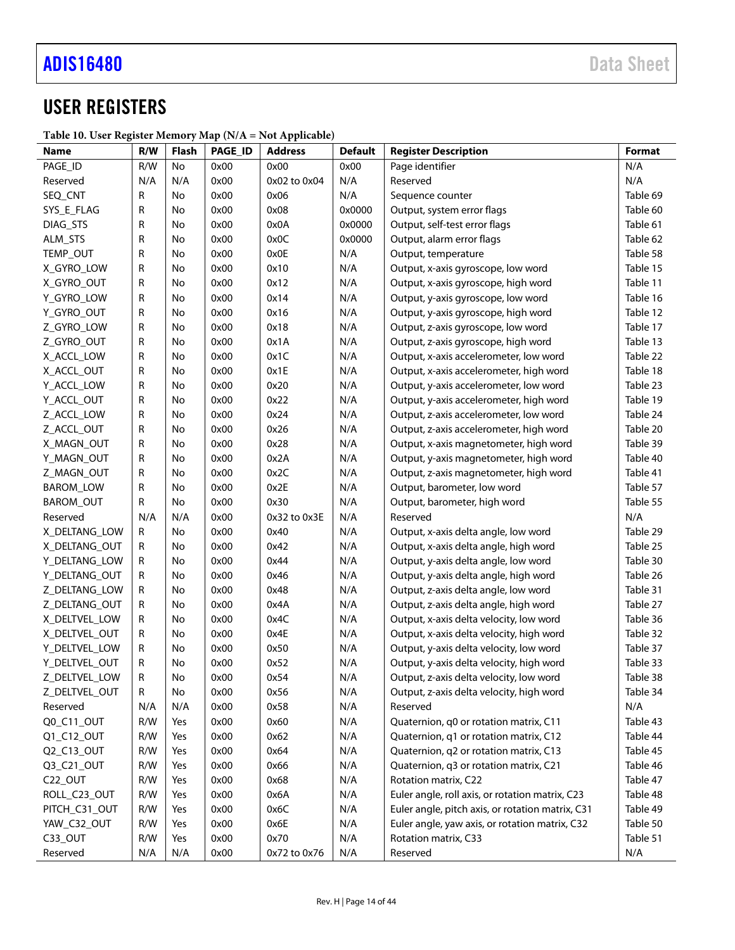# <span id="page-13-0"></span>USER REGISTERS

### <span id="page-13-1"></span>**Table 10. User Register Memory Map (N/A = Not Applicable)**

| Name                           | R/W    | <b>Flash</b> | PAGE_ID      | <b>Address</b> | <b>Default</b> | <b>Register Description</b>                                                         | Format               |
|--------------------------------|--------|--------------|--------------|----------------|----------------|-------------------------------------------------------------------------------------|----------------------|
| PAGE_ID                        | R/W    | No           | 0x00         | 0x00           | 0x00           | Page identifier                                                                     | N/A                  |
| Reserved                       | N/A    | N/A          | 0x00         | 0x02 to 0x04   | N/A            | Reserved                                                                            | N/A                  |
| SEQ_CNT                        | R      | No           | 0x00         | 0x06           | N/A            | Sequence counter                                                                    | Table 69             |
| SYS_E_FLAG                     | R      | No           | 0x00         | 0x08           | 0x0000         | Output, system error flags                                                          | Table 60             |
| DIAG_STS                       | R      | No           | 0x00         | 0x0A           | 0x0000         | Output, self-test error flags                                                       | Table 61             |
| ALM_STS                        | R      | No           | 0x00         | 0x0C           | 0x0000         | Output, alarm error flags                                                           | Table 62             |
| TEMP_OUT                       | R      | No           | 0x00         | 0x0E           | N/A            | Output, temperature                                                                 | Table 58             |
| X_GYRO_LOW                     | R      | No           | 0x00         | 0x10           | N/A            | Output, x-axis gyroscope, low word                                                  | Table 15             |
| X_GYRO_OUT                     | R      | No           | 0x00         | 0x12           | N/A            | Output, x-axis gyroscope, high word                                                 | Table 11             |
| Y_GYRO_LOW                     | R      | No           | 0x00         | 0x14           | N/A            | Output, y-axis gyroscope, low word                                                  | Table 16             |
| Y_GYRO_OUT                     | R      | No           | 0x00         | 0x16           | N/A            | Output, y-axis gyroscope, high word                                                 | Table 12             |
| Z_GYRO_LOW                     | R      | No           | 0x00         | 0x18           | N/A            | Output, z-axis gyroscope, low word                                                  | Table 17             |
| Z_GYRO_OUT                     | R      | No           | 0x00         | 0x1A           | N/A            | Output, z-axis gyroscope, high word                                                 | Table 13             |
| X_ACCL_LOW                     | R      | No           | 0x00         | 0x1C           | N/A            | Output, x-axis accelerometer, low word                                              | Table 22             |
| X_ACCL_OUT                     | R      | No           | 0x00         | 0x1E           | N/A            | Output, x-axis accelerometer, high word                                             | Table 18             |
| Y_ACCL_LOW                     | R      | No           | 0x00         | 0x20           | N/A            | Output, y-axis accelerometer, low word                                              | Table 23             |
| Y_ACCL_OUT                     | R      | No           | 0x00         | 0x22           | N/A            | Output, y-axis accelerometer, high word                                             | Table 19             |
| Z_ACCL_LOW                     | R      | No           | 0x00         | 0x24           | N/A            | Output, z-axis accelerometer, low word                                              | Table 24             |
| Z_ACCL_OUT                     | R      | No           | 0x00         | 0x26           | N/A            | Output, z-axis accelerometer, high word                                             | Table 20             |
| X_MAGN_OUT                     | R      | No           | 0x00         | 0x28           | N/A            | Output, x-axis magnetometer, high word                                              | Table 39             |
| Y_MAGN_OUT                     | R      | No           | 0x00         | 0x2A           | N/A            | Output, y-axis magnetometer, high word                                              | Table 40             |
| Z_MAGN_OUT                     | R      | No           | 0x00         | 0x2C           | N/A            | Output, z-axis magnetometer, high word                                              | Table 41             |
| BAROM_LOW                      | R      | No           | 0x00         | 0x2E           | N/A            | Output, barometer, low word                                                         | Table 57             |
| BAROM_OUT                      | R      | No           | 0x00         | 0x30           | N/A            | Output, barometer, high word                                                        | Table 55             |
| Reserved                       | N/A    | N/A          | 0x00         | 0x32 to 0x3E   | N/A            | Reserved                                                                            | N/A                  |
| X DELTANG LOW                  | R      | No           | 0x00         | 0x40           | N/A            | Output, x-axis delta angle, low word                                                | Table 29             |
| X DELTANG OUT                  | R      | No           | 0x00         | 0x42           | N/A            | Output, x-axis delta angle, high word                                               | Table 25             |
| Y_DELTANG_LOW                  | R      | No           | 0x00         | 0x44           | N/A            | Output, y-axis delta angle, low word                                                | Table 30             |
| Y_DELTANG_OUT                  | R      | No           | 0x00         | 0x46           | N/A            | Output, y-axis delta angle, high word                                               | Table 26             |
| Z_DELTANG_LOW                  | R      | No<br>No     | 0x00         | 0x48<br>0x4A   | N/A            | Output, z-axis delta angle, low word                                                | Table 31<br>Table 27 |
| Z DELTANG OUT<br>X_DELTVEL_LOW | R      | No           | 0x00<br>0x00 | 0x4C           | N/A            | Output, z-axis delta angle, high word                                               |                      |
| X DELTVEL OUT                  | R      | No           | 0x00         | 0x4E           | N/A<br>N/A     | Output, x-axis delta velocity, low word<br>Output, x-axis delta velocity, high word | Table 36<br>Table 32 |
| Y_DELTVEL_LOW                  | R<br>R | No           | 0x00         | 0x50           | N/A            | Output, y-axis delta velocity, low word                                             | Table 37             |
| Y_DELTVEL_OUT                  | R      | No           | 0x00         | 0x52           | N/A            | Output, y-axis delta velocity, high word                                            | Table 33             |
| Z_DELTVEL_LOW                  | R      | No           | 0x00         | 0x54           | N/A            | Output, z-axis delta velocity, low word                                             | Table 38             |
| Z_DELTVEL_OUT                  | R      | No           | 0x00         | 0x56           | N/A            | Output, z-axis delta velocity, high word                                            | Table 34             |
| Reserved                       | N/A    | N/A          | 0x00         | 0x58           | N/A            | Reserved                                                                            | N/A                  |
| Q0_C11_OUT                     | R/W    | Yes          | 0x00         | 0x60           | N/A            | Quaternion, q0 or rotation matrix, C11                                              | Table 43             |
| Q1_C12_OUT                     | R/W    | Yes          | 0x00         | 0x62           | N/A            | Quaternion, q1 or rotation matrix, C12                                              | Table 44             |
| Q2_C13_OUT                     | R/W    | Yes          | 0x00         | 0x64           | N/A            | Quaternion, q2 or rotation matrix, C13                                              | Table 45             |
| Q3_C21_OUT                     | R/W    | Yes          | 0x00         | 0x66           | N/A            | Quaternion, q3 or rotation matrix, C21                                              | Table 46             |
| C22_OUT                        | R/W    | Yes          | 0x00         | 0x68           | N/A            | Rotation matrix, C22                                                                | Table 47             |
| ROLL_C23_OUT                   | R/W    | Yes          | 0x00         | 0x6A           | N/A            | Euler angle, roll axis, or rotation matrix, C23                                     | Table 48             |
| PITCH_C31_OUT                  | R/W    | Yes          | 0x00         | 0x6C           | N/A            | Euler angle, pitch axis, or rotation matrix, C31                                    | Table 49             |
| YAW_C32_OUT                    | R/W    | Yes          | 0x00         | 0x6E           | N/A            | Euler angle, yaw axis, or rotation matrix, C32                                      | Table 50             |
| C33_OUT                        | R/W    | Yes          | 0x00         | 0x70           | N/A            | Rotation matrix, C33                                                                | Table 51             |
| Reserved                       | N/A    | N/A          | 0x00         | 0x72 to 0x76   | N/A            | Reserved                                                                            | N/A                  |
|                                |        |              |              |                |                |                                                                                     |                      |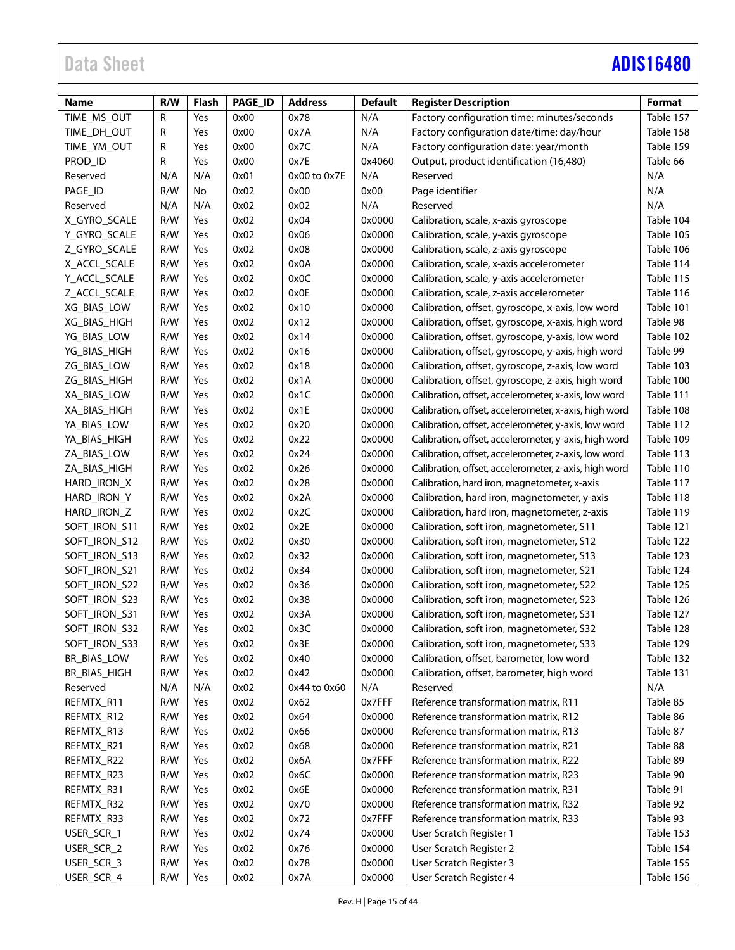# Data Sheet **[ADIS16480](https://www.analog.com/ADIS16480?doc=ADIS16480.pdf)**

| Name          | R/W | <b>Flash</b> | PAGE_ID | <b>Address</b> | <b>Default</b> | <b>Register Description</b>                           | Format    |
|---------------|-----|--------------|---------|----------------|----------------|-------------------------------------------------------|-----------|
| TIME_MS_OUT   | R   | Yes          | 0x00    | 0x78           | N/A            | Factory configuration time: minutes/seconds           | Table 157 |
| TIME DH OUT   | R   | Yes          | 0x00    | 0x7A           | N/A            | Factory configuration date/time: day/hour             | Table 158 |
| TIME_YM_OUT   | R   | Yes          | 0x00    | 0x7C           | N/A            | Factory configuration date: year/month                | Table 159 |
| PROD_ID       | R   | Yes          | 0x00    | 0x7E           | 0x4060         | Output, product identification (16,480)               | Table 66  |
| Reserved      | N/A | N/A          | 0x01    | 0x00 to 0x7E   | N/A            | Reserved                                              | N/A       |
| PAGE_ID       | R/W | No           | 0x02    | 0x00           | 0x00           | Page identifier                                       | N/A       |
| Reserved      | N/A | N/A          | 0x02    | 0x02           | N/A            | Reserved                                              | N/A       |
| X_GYRO_SCALE  | R/W | Yes          | 0x02    | 0x04           | 0x0000         | Calibration, scale, x-axis gyroscope                  | Table 104 |
| Y_GYRO_SCALE  | R/W | Yes          | 0x02    | 0x06           | 0x0000         | Calibration, scale, y-axis gyroscope                  | Table 105 |
| Z_GYRO_SCALE  | R/W | Yes          | 0x02    | 0x08           | 0x0000         | Calibration, scale, z-axis gyroscope                  | Table 106 |
| X_ACCL_SCALE  | R/W | Yes          | 0x02    | 0x0A           | 0x0000         | Calibration, scale, x-axis accelerometer              | Table 114 |
| Y_ACCL_SCALE  | R/W | Yes          | 0x02    | 0x0C           | 0x0000         | Calibration, scale, y-axis accelerometer              | Table 115 |
| Z_ACCL_SCALE  | R/W | Yes          | 0x02    | 0x0E           | 0x0000         | Calibration, scale, z-axis accelerometer              | Table 116 |
| XG_BIAS_LOW   | R/W | Yes          | 0x02    | 0x10           | 0x0000         | Calibration, offset, gyroscope, x-axis, low word      | Table 101 |
| XG_BIAS_HIGH  | R/W | Yes          | 0x02    | 0x12           | 0x0000         | Calibration, offset, gyroscope, x-axis, high word     | Table 98  |
| YG_BIAS_LOW   | R/W | Yes          | 0x02    | 0x14           | 0x0000         | Calibration, offset, gyroscope, y-axis, low word      | Table 102 |
| YG_BIAS_HIGH  | R/W | Yes          | 0x02    | 0x16           | 0x0000         | Calibration, offset, gyroscope, y-axis, high word     | Table 99  |
| ZG_BIAS_LOW   | R/W | Yes          | 0x02    | 0x18           | 0x0000         | Calibration, offset, gyroscope, z-axis, low word      | Table 103 |
| ZG_BIAS_HIGH  | R/W | Yes          | 0x02    | 0x1A           | 0x0000         | Calibration, offset, gyroscope, z-axis, high word     | Table 100 |
| XA_BIAS_LOW   | R/W | Yes          | 0x02    | 0x1C           | 0x0000         | Calibration, offset, accelerometer, x-axis, low word  | Table 111 |
| XA_BIAS_HIGH  | R/W | Yes          | 0x02    | 0x1E           | 0x0000         | Calibration, offset, accelerometer, x-axis, high word | Table 108 |
| YA_BIAS_LOW   | R/W | Yes          | 0x02    | 0x20           | 0x0000         | Calibration, offset, accelerometer, y-axis, low word  | Table 112 |
| YA_BIAS_HIGH  | R/W | Yes          | 0x02    | 0x22           | 0x0000         | Calibration, offset, accelerometer, y-axis, high word | Table 109 |
| ZA_BIAS_LOW   | R/W | Yes          | 0x02    | 0x24           | 0x0000         | Calibration, offset, accelerometer, z-axis, low word  | Table 113 |
| ZA_BIAS_HIGH  | R/W | Yes          | 0x02    | 0x26           | 0x0000         | Calibration, offset, accelerometer, z-axis, high word | Table 110 |
| HARD_IRON_X   | R/W | Yes          | 0x02    | 0x28           | 0x0000         | Calibration, hard iron, magnetometer, x-axis          | Table 117 |
| HARD_IRON_Y   | R/W | Yes          | 0x02    | 0x2A           | 0x0000         | Calibration, hard iron, magnetometer, y-axis          | Table 118 |
| HARD_IRON_Z   | R/W | Yes          | 0x02    | 0x2C           | 0x0000         | Calibration, hard iron, magnetometer, z-axis          | Table 119 |
| SOFT_IRON_S11 | R/W | Yes          | 0x02    | 0x2E           | 0x0000         | Calibration, soft iron, magnetometer, S11             | Table 121 |
| SOFT_IRON_S12 | R/W | Yes          | 0x02    | 0x30           | 0x0000         | Calibration, soft iron, magnetometer, S12             | Table 122 |
| SOFT_IRON_S13 | R/W | Yes          | 0x02    | 0x32           | 0x0000         | Calibration, soft iron, magnetometer, S13             | Table 123 |
| SOFT_IRON_S21 | R/W | Yes          | 0x02    | 0x34           | 0x0000         | Calibration, soft iron, magnetometer, S21             | Table 124 |
| SOFT_IRON_S22 | R/W | Yes          | 0x02    | 0x36           | 0x0000         | Calibration, soft iron, magnetometer, S22             | Table 125 |
| SOFT_IRON_S23 | R/W | Yes          | 0x02    | 0x38           | 0x0000         | Calibration, soft iron, magnetometer, S23             | Table 126 |
| SOFT_IRON_S31 | R/W | Yes          | 0x02    | 0x3A           | 0x0000         | Calibration, soft iron, magnetometer, S31             | Table 127 |
| SOFT_IRON_S32 | R/W | Yes          | 0x02    | 0x3C           | 0x0000         | Calibration, soft iron, magnetometer, S32             | Table 128 |
| SOFT_IRON_S33 | R/W | Yes          | 0x02    | 0x3E           | 0x0000         | Calibration, soft iron, magnetometer, S33             | Table 129 |
| BR_BIAS_LOW   | R/W | Yes          | 0x02    | 0x40           | 0x0000         | Calibration, offset, barometer, low word              | Table 132 |
| BR_BIAS_HIGH  | R/W | Yes          | 0x02    | 0x42           | 0x0000         | Calibration, offset, barometer, high word             | Table 131 |
| Reserved      | N/A | N/A          | 0x02    | 0x44 to 0x60   | N/A            | Reserved                                              | N/A       |
| REFMTX_R11    | R/W | Yes          | 0x02    | 0x62           | 0x7FFF         | Reference transformation matrix, R11                  | Table 85  |
| REFMTX_R12    | R/W | Yes          | 0x02    | 0x64           | 0x0000         | Reference transformation matrix, R12                  | Table 86  |
| REFMTX_R13    | R/W | Yes          | 0x02    | 0x66           | 0x0000         | Reference transformation matrix, R13                  | Table 87  |
| REFMTX_R21    | R/W | Yes          | 0x02    | 0x68           | 0x0000         | Reference transformation matrix, R21                  | Table 88  |
| REFMTX_R22    | R/W | Yes          | 0x02    | 0x6A           | 0x7FFF         | Reference transformation matrix, R22                  | Table 89  |
| REFMTX_R23    | R/W | Yes          | 0x02    | 0x6C           | 0x0000         | Reference transformation matrix, R23                  | Table 90  |
| REFMTX_R31    | R/W | Yes          | 0x02    | 0x6E           | 0x0000         | Reference transformation matrix, R31                  | Table 91  |
| REFMTX_R32    | R/W | Yes          | 0x02    | 0x70           | 0x0000         | Reference transformation matrix, R32                  | Table 92  |
| REFMTX_R33    | R/W | Yes          | 0x02    | 0x72           | 0x7FFF         | Reference transformation matrix, R33                  | Table 93  |
| USER_SCR_1    | R/W | Yes          | 0x02    | 0x74           | 0x0000         | User Scratch Register 1                               | Table 153 |
| USER_SCR_2    | R/W | Yes          | 0x02    | 0x76           | 0x0000         | User Scratch Register 2                               | Table 154 |
| USER_SCR_3    | R/W | Yes          | 0x02    | 0x78           | 0x0000         | User Scratch Register 3                               | Table 155 |
|               |     |              |         |                |                |                                                       |           |
| USER_SCR_4    | R/W | Yes          | 0x02    | 0x7A           | 0x0000         | User Scratch Register 4                               | Table 156 |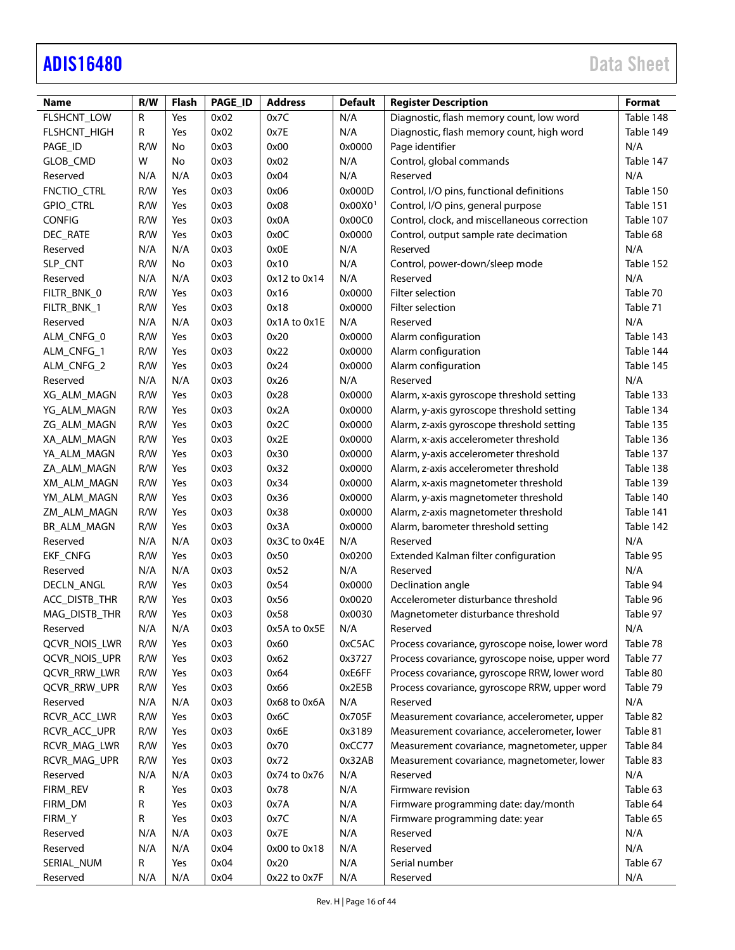# [ADIS16480](https://www.analog.com/ADIS16480?doc=ADIS16480.pdf) Data Sheet

| Name                | R/W | <b>Flash</b> | PAGE_ID | <b>Address</b> | <b>Default</b>        | <b>Register Description</b>                     | Format    |
|---------------------|-----|--------------|---------|----------------|-----------------------|-------------------------------------------------|-----------|
| FLSHCNT_LOW         | R   | Yes          | 0x02    | 0x7C           | N/A                   | Diagnostic, flash memory count, low word        | Table 148 |
| FLSHCNT_HIGH        | R   | Yes          | 0x02    | 0x7E           | N/A                   | Diagnostic, flash memory count, high word       | Table 149 |
| PAGE_ID             | R/W | No           | 0x03    | 0x00           | 0x0000                | Page identifier                                 | N/A       |
| GLOB_CMD            | W   | No           | 0x03    | 0x02           | N/A                   | Control, global commands                        | Table 147 |
| Reserved            | N/A | N/A          | 0x03    | 0x04           | N/A                   | Reserved                                        | N/A       |
| FNCTIO_CTRL         | R/W | Yes          | 0x03    | 0x06           | 0x000D                | Control, I/O pins, functional definitions       | Table 150 |
| GPIO_CTRL           | R/W | Yes          | 0x03    | 0x08           | $0x00X0$ <sup>1</sup> | Control, I/O pins, general purpose              | Table 151 |
| <b>CONFIG</b>       | R/W | Yes          | 0x03    | 0x0A           | 0x00C0                | Control, clock, and miscellaneous correction    | Table 107 |
| DEC_RATE            | R/W | Yes          | 0x03    | 0x0C           | 0x0000                | Control, output sample rate decimation          | Table 68  |
| Reserved            | N/A | N/A          | 0x03    | 0x0E           | N/A                   | Reserved                                        | N/A       |
| SLP_CNT             | R/W | No           | 0x03    | 0x10           | N/A                   | Control, power-down/sleep mode                  | Table 152 |
| Reserved            | N/A | N/A          | 0x03    | 0x12 to 0x14   | N/A                   | Reserved                                        | N/A       |
| FILTR_BNK_0         | R/W | Yes          | 0x03    | 0x16           | 0x0000                | Filter selection                                | Table 70  |
| FILTR_BNK_1         | R/W | Yes          | 0x03    | 0x18           | 0x0000                | Filter selection                                | Table 71  |
| Reserved            | N/A | N/A          | 0x03    | 0x1A to 0x1E   | N/A                   | Reserved                                        | N/A       |
| ALM_CNFG_0          | R/W | Yes          | 0x03    | 0x20           | 0x0000                | Alarm configuration                             | Table 143 |
| ALM_CNFG_1          | R/W | Yes          | 0x03    | 0x22           | 0x0000                | Alarm configuration                             | Table 144 |
| ALM_CNFG_2          | R/W | Yes          | 0x03    | 0x24           | 0x0000                | Alarm configuration                             | Table 145 |
| Reserved            | N/A | N/A          | 0x03    | 0x26           | N/A                   | Reserved                                        | N/A       |
| XG_ALM_MAGN         | R/W | Yes          | 0x03    | 0x28           | 0x0000                | Alarm, x-axis gyroscope threshold setting       | Table 133 |
| YG ALM MAGN         | R/W | Yes          | 0x03    | 0x2A           | 0x0000                | Alarm, y-axis gyroscope threshold setting       | Table 134 |
| ZG ALM MAGN         | R/W | Yes          | 0x03    | 0x2C           | 0x0000                | Alarm, z-axis gyroscope threshold setting       | Table 135 |
| XA_ALM_MAGN         | R/W | Yes          | 0x03    | 0x2E           | 0x0000                | Alarm, x-axis accelerometer threshold           | Table 136 |
| YA_ALM_MAGN         | R/W | Yes          | 0x03    | 0x30           | 0x0000                | Alarm, y-axis accelerometer threshold           | Table 137 |
| ZA_ALM_MAGN         | R/W | Yes          | 0x03    | 0x32           | 0x0000                | Alarm, z-axis accelerometer threshold           | Table 138 |
| XM_ALM_MAGN         | R/W | Yes          | 0x03    | 0x34           | 0x0000                | Alarm, x-axis magnetometer threshold            | Table 139 |
| YM_ALM_MAGN         | R/W | Yes          | 0x03    | 0x36           | 0x0000                | Alarm, y-axis magnetometer threshold            | Table 140 |
| ZM_ALM_MAGN         | R/W | Yes          | 0x03    | 0x38           | 0x0000                | Alarm, z-axis magnetometer threshold            | Table 141 |
| BR_ALM_MAGN         | R/W | Yes          | 0x03    | 0x3A           | 0x0000                | Alarm, barometer threshold setting              | Table 142 |
| Reserved            | N/A | N/A          | 0x03    | 0x3C to 0x4E   | N/A                   | Reserved                                        | N/A       |
| EKF_CNFG            | R/W | Yes          | 0x03    | 0x50           | 0x0200                | Extended Kalman filter configuration            | Table 95  |
| Reserved            | N/A | N/A          | 0x03    | 0x52           | N/A                   | Reserved                                        | N/A       |
| DECLN_ANGL          | R/W | Yes          | 0x03    | 0x54           | 0x0000                | Declination angle                               | Table 94  |
| ACC_DISTB_THR       | R/W | Yes          | 0x03    | 0x56           | 0x0020                | Accelerometer disturbance threshold             | Table 96  |
| MAG_DISTB_THR       | R/W | Yes          | 0x03    | 0x58           | 0x0030                | Magnetometer disturbance threshold              | Table 97  |
| Reserved            | N/A | N/A          | 0x03    | 0x5A to 0x5E   | N/A                   | Reserved                                        | N/A       |
| QCVR_NOIS_LWR       | R/W | Yes          | 0x03    | 0x60           | 0xC5AC                | Process covariance, gyroscope noise, lower word | Table 78  |
| QCVR_NOIS_UPR       | R/W | Yes          | 0x03    | 0x62           | 0x3727                | Process covariance, gyroscope noise, upper word | Table 77  |
| <b>QCVR_RRW_LWR</b> | R/W | Yes          | 0x03    | 0x64           | 0xE6FF                | Process covariance, gyroscope RRW, lower word   | Table 80  |
| QCVR_RRW_UPR        | R/W | Yes          | 0x03    | 0x66           | 0x2E5B                | Process covariance, gyroscope RRW, upper word   | Table 79  |
| Reserved            | N/A | N/A          | 0x03    | 0x68 to 0x6A   | N/A                   | Reserved                                        | N/A       |
| RCVR_ACC_LWR        | R/W | Yes          | 0x03    | 0x6C           | 0x705F                | Measurement covariance, accelerometer, upper    | Table 82  |
| RCVR_ACC_UPR        | R/W | Yes          | 0x03    | 0x6E           | 0x3189                | Measurement covariance, accelerometer, lower    | Table 81  |
| RCVR_MAG_LWR        | R/W | Yes          | 0x03    | 0x70           | 0xCC77                | Measurement covariance, magnetometer, upper     | Table 84  |
| RCVR_MAG_UPR        | R/W | Yes          | 0x03    | 0x72           | 0x32AB                | Measurement covariance, magnetometer, lower     | Table 83  |
| Reserved            | N/A | N/A          | 0x03    | 0x74 to 0x76   | N/A                   | Reserved                                        | N/A       |
| FIRM_REV            | R   | Yes          | 0x03    | 0x78           | N/A                   | Firmware revision                               | Table 63  |
|                     |     |              | 0x03    | 0x7A           |                       |                                                 | Table 64  |
| FIRM_DM             | R   | Yes          |         |                | N/A                   | Firmware programming date: day/month            |           |
| FIRM_Y              | R   | Yes          | 0x03    | 0x7C           | N/A                   | Firmware programming date: year                 | Table 65  |
| Reserved            | N/A | N/A          | 0x03    | 0x7E           | N/A                   | Reserved                                        | N/A       |
| Reserved            | N/A | N/A          | 0x04    | 0x00 to 0x18   | N/A                   | Reserved                                        | N/A       |
| SERIAL_NUM          | R   | Yes          | 0x04    | 0x20           | N/A                   | Serial number                                   | Table 67  |
| Reserved            | N/A | N/A          | 0x04    | 0x22 to 0x7F   | N/A                   | Reserved                                        | N/A       |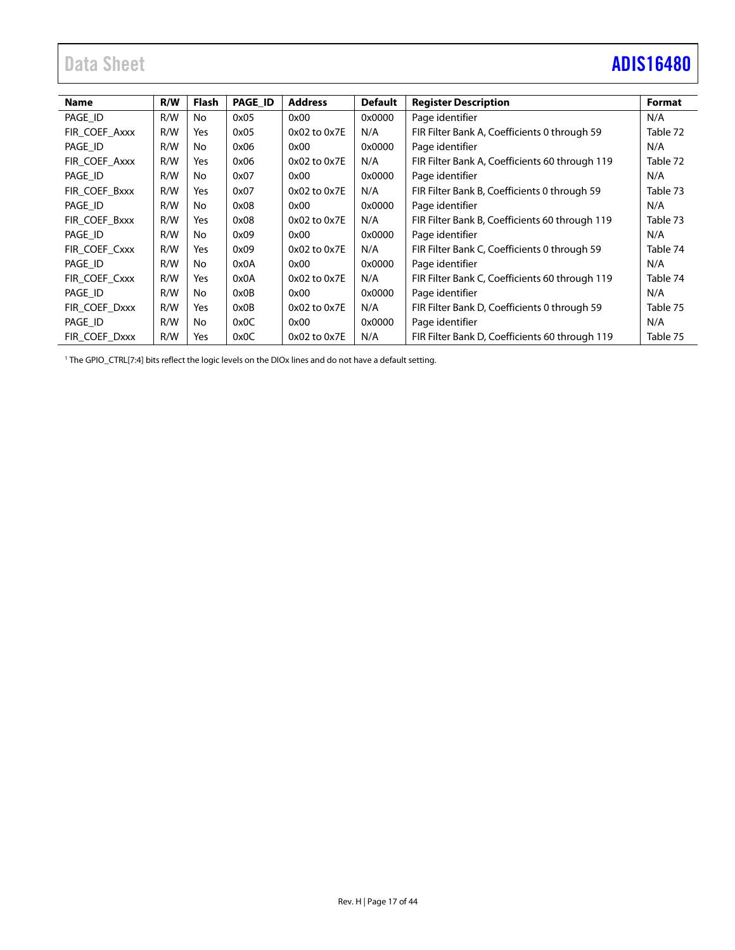# <span id="page-16-0"></span>Data Sheet **[ADIS16480](https://www.analog.com/ADIS16480?doc=ADIS16480.pdf)**

| <b>Name</b>   | R/W | Flash | <b>PAGE ID</b> | <b>Address</b>   | <b>Default</b> | <b>Register Description</b>                    | Format   |
|---------------|-----|-------|----------------|------------------|----------------|------------------------------------------------|----------|
| PAGE ID       | R/W | No    | 0x05           | 0x00             | 0x0000         | Page identifier                                | N/A      |
| FIR_COEF_Axxx | R/W | Yes   | 0x05           | 0x02 to 0x7E     | N/A            | FIR Filter Bank A, Coefficients 0 through 59   | Table 72 |
|               |     |       |                |                  |                |                                                |          |
| PAGE ID       | R/W | No    | 0x06           | 0x00             | 0x0000         | Page identifier                                | N/A      |
| FIR COEF Axxx | R/W | Yes   | 0x06           | $0x02$ to $0x7E$ | N/A            | FIR Filter Bank A, Coefficients 60 through 119 | Table 72 |
| PAGE_ID       | R/W | No    | 0x07           | 0x00             | 0x0000         | Page identifier                                | N/A      |
| FIR_COEF_Bxxx | R/W | Yes   | 0x07           | $0x02$ to $0x7E$ | N/A            | FIR Filter Bank B, Coefficients 0 through 59   | Table 73 |
| PAGE ID       | R/W | No    | 0x08           | 0x00             | 0x0000         | Page identifier                                | N/A      |
| FIR COEF Bxxx | R/W | Yes   | 0x08           | $0x02$ to $0x7E$ | N/A            | FIR Filter Bank B, Coefficients 60 through 119 | Table 73 |
| PAGE ID       | R/W | No    | 0x09           | 0x00             | 0x0000         | Page identifier                                | N/A      |
| FIR COEF Cxxx | R/W | Yes   | 0x09           | $0x02$ to $0x7E$ | N/A            | FIR Filter Bank C, Coefficients 0 through 59   | Table 74 |
| PAGE ID       | R/W | No    | 0x0A           | 0x00             | 0x0000         | Page identifier                                | N/A      |
| FIR COEF Cxxx | R/W | Yes   | 0x0A           | $0x02$ to $0x7E$ | N/A            | FIR Filter Bank C, Coefficients 60 through 119 | Table 74 |
| PAGE ID       | R/W | No    | 0x0B           | 0x00             | 0x0000         | Page identifier                                | N/A      |
| FIR COEF Dxxx | R/W | Yes   | 0x0B           | $0x02$ to $0x7E$ | N/A            | FIR Filter Bank D, Coefficients 0 through 59   | Table 75 |
| PAGE ID       | R/W | No    | 0x0C           | 0x00             | 0x0000         | Page identifier                                | N/A      |
| FIR COEF Dxxx | R/W | Yes   | 0x0C           | 0x02 to 0x7E     | N/A            | FIR Filter Bank D, Coefficients 60 through 119 | Table 75 |

<sup>1</sup> The GPIO\_CTRL[7:4] bits reflect the logic levels on the DIOx lines and do not have a default setting.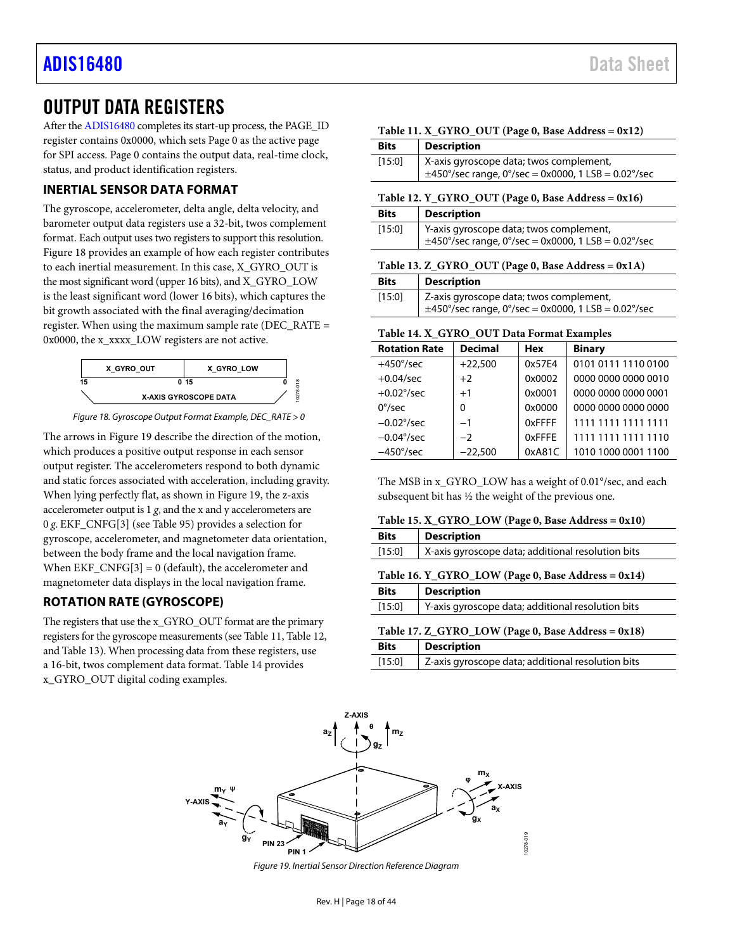### <span id="page-17-0"></span>OUTPUT DATA REGISTERS

After th[e ADIS16480 c](https://www.analog.com/ADIS16480?doc=ADIS16480.pdf)ompletes its start-up process, the PAGE\_ID register contains 0x0000, which sets Page 0 as the active page for SPI access. Page 0 contains the output data, real-time clock, status, and product identification registers.

### <span id="page-17-1"></span>**INERTIAL SENSOR DATA FORMAT**

The gyroscope, accelerometer, delta angle, delta velocity, and barometer output data registers use a 32-bit, twos complement format. Each output uses two registers to support this resolution. [Figure 18 p](#page-17-9)rovides an example of how each register contributes to each inertial measurement. In this case, X\_GYRO\_OUT is the most significant word (upper 16 bits), and X\_GYRO\_LOW is the least significant word (lower 16 bits), which captures the bit growth associated with the final averaging/decimation register. When using the maximum sample rate (DEC\_RATE = 0x0000, the x\_xxxx\_LOW registers are not active.





<span id="page-17-9"></span>The arrows in [Figure 19 d](#page-17-10)escribe the direction of the motion, which produces a positive output response in each sensor output register. The accelerometers respond to both dynamic and static forces associated with acceleration, including gravity. When lying perfectly flat, as shown i[n Figure 19,](#page-17-10) the z-axis accelerometer output is 1 *g*, and the x and y accelerometers are 0 *g*. EKF\_CNFG[3] (se[e Table 95\)](#page-30-2) provides a selection for gyroscope, accelerometer, and magnetometer data orientation, between the body frame and the local navigation frame. When  $EKF_CNFG[3] = 0$  (default), the accelerometer and magnetometer data displays in the local navigation frame.

### <span id="page-17-2"></span>**ROTATION RATE (GYROSCOPE)**

The registers that use the x\_GYRO\_OUT format are the primary registers for the gyroscope measurements (se[e Table 11,](#page-17-4) [Table 12,](#page-17-6) an[d Table 13\)](#page-17-8). When processing data from these registers, use a 16-bit, twos complement data format. [Table 14 p](#page-17-11)rovides x\_GYRO\_OUT digital coding examples.

<span id="page-17-4"></span>

<span id="page-17-6"></span>

| <b>Bits</b>                                        | <b>Description</b>                                       |  |  |  |
|----------------------------------------------------|----------------------------------------------------------|--|--|--|
| [15:0]                                             | X-axis gyroscope data; twos complement,                  |  |  |  |
|                                                    | $\pm$ 450°/sec range, 0°/sec = 0x0000, 1 LSB = 0.02°/sec |  |  |  |
|                                                    |                                                          |  |  |  |
|                                                    | Table 12. Y_GYRO_OUT (Page 0, Base Address = 0x16)       |  |  |  |
| <b>Bits</b>                                        | <b>Description</b>                                       |  |  |  |
| [15:0]                                             | Y-axis gyroscope data; twos complement,                  |  |  |  |
|                                                    | $\pm$ 450°/sec range, 0°/sec = 0x0000, 1 LSB = 0.02°/sec |  |  |  |
|                                                    |                                                          |  |  |  |
| Table 13. Z_GYRO_OUT (Page 0, Base Address = 0x1A) |                                                          |  |  |  |
| <b>Bits</b>                                        | <b>Description</b>                                       |  |  |  |

<span id="page-17-8"></span>

| [15:0] | Z-axis gyroscope data; twos complement,<br>$\pm$ 450°/sec range, 0°/sec = 0x0000, 1 LSB = 0.02°/sec |
|--------|-----------------------------------------------------------------------------------------------------|
|        |                                                                                                     |

### <span id="page-17-11"></span>**Table 14. X\_GYRO\_OUT Data Format Examples**

| <b>Rotation Rate</b> | <b>Decimal</b> | <b>Hex</b> | <b>Binary</b>       |
|----------------------|----------------|------------|---------------------|
| $+450^{\circ}/sec$   | $+22,500$      | 0x57E4     | 0101 0111 1110 0100 |
| $+0.04$ /sec         | $+2$           | 0x0002     | 0000 0000 0000 0010 |
| $+0.02^{\circ}/sec$  | $+1$           | 0x0001     | 0000 0000 0000 0001 |
| $0^{\circ}/sec$      | $\Omega$       | 0x0000     | 0000 0000 0000 0000 |
| $-0.02^{\circ}/sec$  | $-1$           | 0xFFFF     | 1111 1111 1111 1111 |
| $-0.04^{\circ}/sec$  | $-2$           | 0xFFFE     | 1111 1111 1111 1110 |
| $-450^{\circ}/sec$   | $-22.500$      | 0xA81C     | 1010 1000 0001 1100 |

The MSB in x\_GYRO\_LOW has a weight of 0.01°/sec, and each subsequent bit has ½ the weight of the previous one.

<span id="page-17-3"></span>

<span id="page-17-7"></span><span id="page-17-5"></span>

| <b>Bits</b>                                        | <b>Description</b>                                |  |  |  |
|----------------------------------------------------|---------------------------------------------------|--|--|--|
| [15:0]                                             | X-axis gyroscope data; additional resolution bits |  |  |  |
| Table 16. Y_GYRO_LOW (Page 0, Base Address = 0x14) |                                                   |  |  |  |
| <b>Bits</b>                                        | <b>Description</b>                                |  |  |  |
| [15:0]                                             | Y-axis gyroscope data; additional resolution bits |  |  |  |
| Table 17. Z_GYRO_LOW (Page 0, Base Address = 0x18) |                                                   |  |  |  |
| <b>Bits</b>                                        | <b>Description</b>                                |  |  |  |
| [15:0]                                             | Z-axis gyroscope data; additional resolution bits |  |  |  |

<span id="page-17-10"></span>

Figure 19. Inertial Sensor Direction Reference Diagram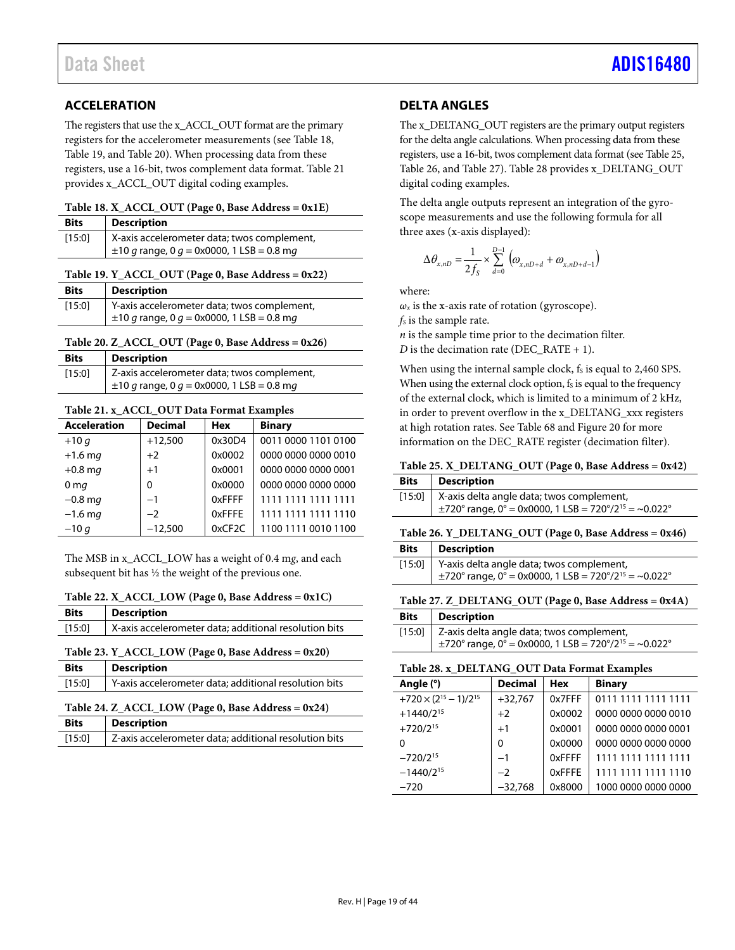### <span id="page-18-0"></span>**ACCELERATION**

The registers that use the x\_ACCL\_OUT format are the primary registers for the accelerometer measurements (se[e Table 18,](#page-18-3) [Table 19,](#page-18-5) an[d Table 20\)](#page-18-7). When processing data from these registers, use a 16-bit, twos complement data format[. Table 21](#page-18-11) provides x\_ACCL\_OUT digital coding examples.

<span id="page-18-3"></span>

| Table 18. X_ACCL_OUT (Page 0, Base Address = 0x1E) |  |  |  |  |  |  |
|----------------------------------------------------|--|--|--|--|--|--|
|----------------------------------------------------|--|--|--|--|--|--|

| <b>Bits</b> | <b>Description</b>                             |
|-------------|------------------------------------------------|
| [15:0]      | X-axis accelerometer data; twos complement,    |
|             | $\pm 10$ g range, 0 g = 0x0000, 1 LSB = 0.8 mg |

### <span id="page-18-5"></span>**Table 19. Y\_ACCL\_OUT (Page 0, Base Address = 0x22)**

| <b>Bits</b> | <b>Description</b>                             |
|-------------|------------------------------------------------|
| [15:0]      | Y-axis accelerometer data; twos complement,    |
|             | $\pm 10$ g range, 0 g = 0x0000, 1 LSB = 0.8 mg |

### <span id="page-18-7"></span>**Table 20. Z\_ACCL\_OUT (Page 0, Base Address = 0x26)**

| <b>Bits</b> | <b>Description</b>                             |
|-------------|------------------------------------------------|
| [15:0]      | Z-axis accelerometer data; twos complement,    |
|             | $\pm 10$ g range, 0 g = 0x0000, 1 LSB = 0.8 mg |

### <span id="page-18-11"></span>**Table 21. x\_ACCL\_OUT Data Format Examples**

| <b>Acceleration</b> | <b>Decimal</b> | <b>Hex</b> | <b>Binary</b>       |
|---------------------|----------------|------------|---------------------|
| $+10q$              | $+12,500$      | 0x30D4     | 0011 0000 1101 0100 |
| $+1.6$ mg           | $+2$           | 0x0002     | 0000 0000 0000 0010 |
| $+0.8$ mg           | $+1$           | 0x0001     | 0000 0000 0000 0001 |
| 0 <sub>mg</sub>     | $\Omega$       | 0x0000     | 0000 0000 0000 0000 |
| $-0.8$ mg           | $-1$           | 0xFFFF     | 1111 1111 1111 1111 |
| $-1.6$ mg           | $-2$           | 0xFFFE     | 1111 1111 1111 1110 |
| $-10q$              | $-12,500$      | 0xCF2C     | 1100 1111 0010 1100 |

The MSB in x\_ACCL\_LOW has a weight of 0.4 m*g*, and each subsequent bit has ½ the weight of the previous one.

### <span id="page-18-2"></span>**Table 22. X\_ACCL\_LOW (Page 0, Base Address = 0x1C)**

| <b>Bits</b> | <b>Description</b> |
|-------------|--------------------|
|             |                    |

### <span id="page-18-4"></span>[15:0] X-axis accelerometer data; additional resolution bits

### **Table 23. Y\_ACCL\_LOW (Page 0, Base Address = 0x20)**

| <b>Bits</b>                                                 | <b>Description</b>                                    |
|-------------------------------------------------------------|-------------------------------------------------------|
| [15:0]                                                      | Y-axis accelerometer data; additional resolution bits |
| Table 24. Z $\angle$ ACCL LOW (Page 0, Base Address = 0x24) |                                                       |

#### <span id="page-18-6"></span>**Table 24. Z\_ACCL\_LOW (Page 0, Base Address = 0x24) Bits Description**

| <b>BITS</b> | <b>Description</b>                                    |
|-------------|-------------------------------------------------------|
| [15:0]      | Z-axis accelerometer data; additional resolution bits |
|             |                                                       |

### <span id="page-18-1"></span>**DELTA ANGLES**

The x\_DELTANG\_OUT registers are the primary output registers for the delta angle calculations. When processing data from these registers, use a 16-bit, twos complement data format (se[e Table](#page-18-8) 25, [Table 26,](#page-18-9) an[d Table 27\)](#page-18-10)[. Table 28](#page-18-12) provides x\_DELTANG\_OUT digital coding examples.

The delta angle outputs represent an integration of the gyroscope measurements and use the following formula for all three axes (x-axis displayed):

$$
\Delta \theta_{x,nD} = \frac{1}{2f_s} \times \sum_{d=0}^{D-1} (\omega_{x,nD+d} + \omega_{x,nD+d-1})
$$

where:

 $\omega_x$  is the x-axis rate of rotation (gyroscope).

 $f<sub>S</sub>$  is the sample rate.

*n* is the sample time prior to the decimation filter.

 $D$  is the decimation rate (DEC\_RATE + 1).

When using the internal sample clock, fs is equal to 2,460 SPS. When using the external clock option,  $f_s$  is equal to the frequency of the external clock, which is limited to a minimum of 2 kHz, in order to prevent overflow in the x\_DELTANG\_xxx registers at high rotation rates. See [Table 68](#page-25-5) an[d Figure 20](#page-25-6) for more information on the DEC\_RATE register (decimation filter).

### <span id="page-18-8"></span>**Table 25. X\_DELTANG\_OUT (Page 0, Base Address = 0x42)**

| <b>Bits</b>   Description                                                                                                   |
|-----------------------------------------------------------------------------------------------------------------------------|
| [15:0]   X-axis delta angle data; twos complement,<br>$\pm$ 720° range, 0° = 0x0000, 1 LSB = 720°/2 <sup>15</sup> = ~0.022° |

### <span id="page-18-9"></span>**Table 26. Y\_DELTANG\_OUT (Page 0, Base Address = 0x46)**

| <b>Bits</b> | Description                                                           |
|-------------|-----------------------------------------------------------------------|
|             | [15:0]   Y-axis delta angle data; twos complement,                    |
|             | $\pm$ 720° range, 0° = 0x0000, 1 LSB = 720°/2 <sup>15</sup> = ~0.022° |

### <span id="page-18-10"></span>**Table 27. Z\_DELTANG\_OUT (Page 0, Base Address = 0x4A)**

| <b>Bits</b> | Description                                                           |
|-------------|-----------------------------------------------------------------------|
|             | [15:0]   Z-axis delta angle data; twos complement,                    |
|             | $\pm$ 720° range, 0° = 0x0000, 1 LSB = 720°/2 <sup>15</sup> = ~0.022° |

### <span id="page-18-12"></span>**Table 28. x\_DELTANG\_OUT Data Format Examples**

| Angle (°)                         | <b>Decimal</b> | <b>Hex</b> | <b>Binary</b>       |
|-----------------------------------|----------------|------------|---------------------|
| $+720 \times (2^{15} - 1)/2^{15}$ | $+32,767$      | 0x7FFF     | 0111 1111 1111 1111 |
| $+1440/2^{15}$                    | $+2$           | 0x0002     | 0000 0000 0000 0010 |
| $+720/2^{15}$                     | $+1$           | 0x0001     | 0000 0000 0000 0001 |
| 0                                 | $\Omega$       | 0x0000     | 0000 0000 0000 0000 |
| $-720/2^{15}$                     | $-1$           | 0xFFFF     | 1111 1111 1111 1111 |
| $-1440/2^{15}$                    | $-2$           | 0xFFFE     | 1111 1111 1111 1110 |
| $-720$                            | $-32,768$      | 0x8000     | 1000 0000 0000 0000 |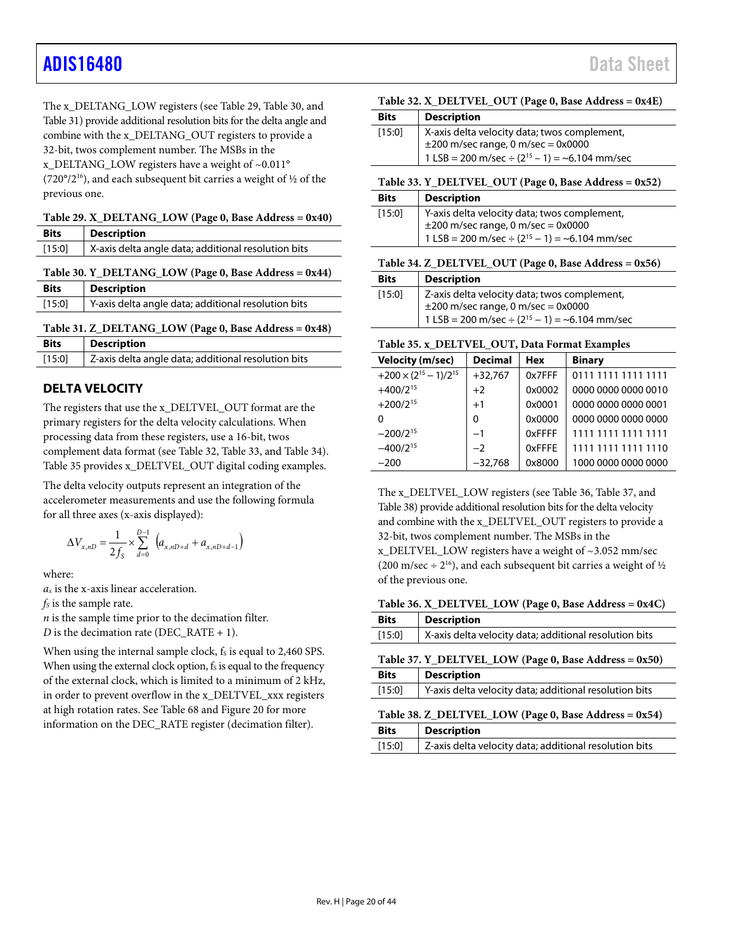## [ADIS16480](https://www.analog.com/ADIS16480?doc=ADIS16480.pdf) Data Sheet

The x\_DELTANG\_LOW registers (se[e Table 29,](#page-19-1) [Table 30,](#page-19-2) and [Table 31\)](#page-19-3) provide additional resolution bits for the delta angle and combine with the x\_DELTANG\_OUT registers to provide a 32-bit, twos complement number. The MSBs in the x\_DELTANG\_LOW registers have a weight of  $~0.011$ ° (720°/2<sup>16</sup>), and each subsequent bit carries a weight of  $\frac{1}{2}$  of the previous one.

<span id="page-19-1"></span>**Table 29. X\_DELTANG\_LOW (Page 0, Base Address = 0x40)** 

| <b>Bits</b> | <b>Description</b>                                                                                       |
|-------------|----------------------------------------------------------------------------------------------------------|
| [15:0]      | X-axis delta angle data; additional resolution bits                                                      |
|             | $\mathbf{F}$ 11 20 $\mathbf{V}$ DRI $\mathbf{F}$ (1) $\mathbf{V}$ $\mathbf{A}$ $\mathbf{V}$ $\mathbf{A}$ |

<span id="page-19-2"></span>

|  |  | Table 30. Y_DELTANG_LOW (Page 0, Base Address = 0x44) |
|--|--|-------------------------------------------------------|
|  |  |                                                       |

<span id="page-19-3"></span>

| <b>Bits</b> | <b>Description</b>                                       |  |
|-------------|----------------------------------------------------------|--|
| [15:0]      | Y-axis delta angle data; additional resolution bits      |  |
|             | Table 31. Z DELTANG LOW (Page 0, Base Address = $0x48$ ) |  |
| <b>Bits</b> | <b>Description</b>                                       |  |
| [15:0]      | Z-axis delta angle data; additional resolution bits      |  |

### <span id="page-19-0"></span>**DELTA VELOCITY**

The registers that use the x\_DELTVEL\_OUT format are the primary registers for the delta velocity calculations. When processing data from these registers, use a 16-bit, twos complement data format (see [Table](#page-19-5) 32[, Table 33,](#page-19-7) and [Table 34\)](#page-19-9). [Table 35](#page-19-10) provides x\_DELTVEL\_OUT digital coding examples.

The delta velocity outputs represent an integration of the accelerometer measurements and use the following formula for all three axes (x-axis displayed):

$$
\Delta V_{x,nD} = \frac{1}{2 f_S} \times \sum_{d=0}^{D-1} \ \left( a_{x,nD+d} + a_{x,nD+d-1} \right)
$$

where:

*ax* is the x-axis linear acceleration.

 $f<sub>S</sub>$  is the sample rate.

*n* is the sample time prior to the decimation filter.

*D* is the decimation rate (DEC\_RATE + 1).

When using the internal sample clock, fs is equal to 2,460 SPS. When using the external clock option,  $f_s$  is equal to the frequency of the external clock, which is limited to a minimum of 2 kHz, in order to prevent overflow in the x\_DELTVEL\_xxx registers at high rotation rates. See [Table 68](#page-25-5) an[d Figure 20](#page-25-6) for more information on the DEC\_RATE register (decimation filter).

### <span id="page-19-5"></span>**Table 32. X\_DELTVEL\_OUT (Page 0, Base Address = 0x4E)**

| <b>Bits</b> | <b>Description</b>                                                                 |
|-------------|------------------------------------------------------------------------------------|
| [15:0]      | X-axis delta velocity data; twos complement,<br>±200 m/sec range, 0 m/sec = 0x0000 |
|             |                                                                                    |
|             | 1 LSB = 200 m/sec $\div$ (2 <sup>15</sup> – 1) = ~6.104 mm/sec                     |

<span id="page-19-7"></span>**Table 33. Y\_DELTVEL\_OUT (Page 0, Base Address = 0x52)** 

| <b>Bits</b> | <b>Description</b>                                             |
|-------------|----------------------------------------------------------------|
| [15:0]      | Y-axis delta velocity data; twos complement,                   |
|             | $\pm$ 200 m/sec range, 0 m/sec = 0x0000                        |
|             | 1 LSB = 200 m/sec $\div$ (2 <sup>15</sup> - 1) = ~6.104 mm/sec |

### <span id="page-19-9"></span>**Table 34. Z\_DELTVEL\_OUT (Page 0, Base Address = 0x56)**

| <b>Bits</b> | <b>Description</b>                                                                      |
|-------------|-----------------------------------------------------------------------------------------|
| [15:0]      | Z-axis delta velocity data; twos complement,<br>$\pm 200$ m/sec range, 0 m/sec = 0x0000 |
|             | 1 LSB = 200 m/sec $\div$ (2 <sup>15</sup> – 1) = ~6.104 mm/sec                          |

### <span id="page-19-10"></span>**Table 35. x\_DELTVEL\_OUT, Data Format Examples**

| <b>Velocity (m/sec)</b>           | <b>Decimal</b> | <b>Hex</b> | <b>Binary</b>       |
|-----------------------------------|----------------|------------|---------------------|
| $+200 \times (2^{15} - 1)/2^{15}$ | $+32,767$      | 0x7FFF     | 0111 1111 1111 1111 |
| $+400/2^{15}$                     | $+2$           | 0x0002     | 0000 0000 0000 0010 |
| $+200/2^{15}$                     | $+1$           | 0x0001     | 0000 0000 0000 0001 |
| O                                 | $\Omega$       | 0x0000     | 0000 0000 0000 0000 |
| $-200/2^{15}$                     | $-1$           | 0xFFFF     | 1111 1111 1111 1111 |
| $-400/2^{15}$                     | $-2$           | 0xFFFF     | 1111 1111 1111 1110 |
| $-200$                            | $-32.768$      | 0x8000     | 1000 0000 0000 0000 |

The x\_DELTVEL\_LOW registers (se[e Table 36,](#page-19-4) [Table 37,](#page-19-6) and [Table 38\)](#page-19-8) provide additional resolution bits for the delta velocity and combine with the x\_DELTVEL\_OUT registers to provide a 32-bit, twos complement number. The MSBs in the x DELTVEL LOW registers have a weight of  $\sim$ 3.052 mm/sec (200 m/sec  $\div$  2<sup>16</sup>), and each subsequent bit carries a weight of ½ of the previous one.

<span id="page-19-4"></span>**Table 36. X\_DELTVEL\_LOW (Page 0, Base Address = 0x4C)** 

| Bits   | <b>Description</b>                                     |
|--------|--------------------------------------------------------|
| [15:0] | X-axis delta velocity data; additional resolution bits |

<span id="page-19-6"></span>

| Table 37. Y_DELTVEL_LOW (Page 0, Base Address = 0x50) |                    |  |
|-------------------------------------------------------|--------------------|--|
| <b>Bits</b>                                           | <b>Description</b> |  |

| [15:0] | Y-axis delta velocity data; additional resolution bits |
|--------|--------------------------------------------------------|
|        |                                                        |

<span id="page-19-8"></span>

| Table 38. Z_DELTVEL_LOW (Page 0, Base Address = $0x54$ ) |                                                        |  |
|----------------------------------------------------------|--------------------------------------------------------|--|
| <b>Bits</b>                                              | <b>Description</b>                                     |  |
| [15:0]                                                   | Z-axis delta velocity data; additional resolution bits |  |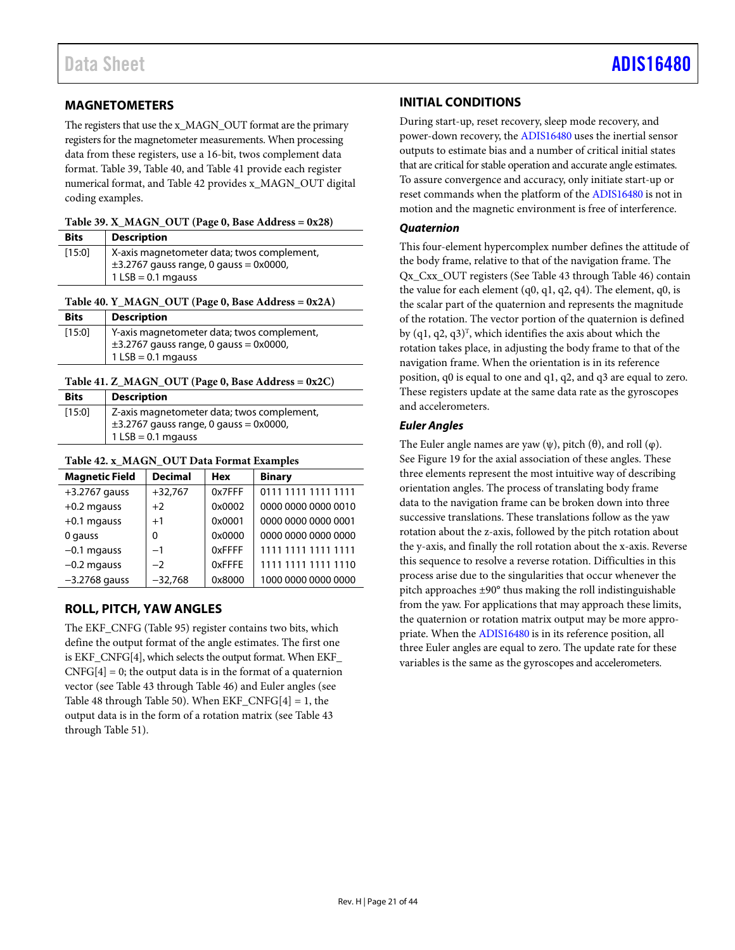### <span id="page-20-0"></span>**MAGNETOMETERS**

The registers that use the x\_MAGN\_OUT format are the primary registers for the magnetometer measurements. When processing data from these registers, use a 16-bit, twos complement data format. [Table 39,](#page-20-3) [Table 40,](#page-20-4) and [Table 41](#page-20-5) provide each register numerical format, an[d Table 42](#page-20-6) provides x\_MAGN\_OUT digital coding examples.

<span id="page-20-3"></span>**Table 39. X\_MAGN\_OUT (Page 0, Base Address = 0x28)** 

| <b>Bits</b> | <b>Description</b>                                                                                                |
|-------------|-------------------------------------------------------------------------------------------------------------------|
| [15:0]      | X-axis magnetometer data; twos complement,<br>$\pm$ 3.2767 gauss range, 0 gauss = 0x0000,<br>$1$ LSB = 0.1 mgauss |

### <span id="page-20-4"></span>**Table 40. Y\_MAGN\_OUT (Page 0, Base Address = 0x2A)**

| <b>Bits</b> | <b>Description</b>                                                                                                |
|-------------|-------------------------------------------------------------------------------------------------------------------|
| [15:0]      | Y-axis magnetometer data; twos complement,<br>$\pm$ 3.2767 gauss range, 0 gauss = 0x0000,<br>$1$ LSB = 0.1 mgauss |

### <span id="page-20-5"></span>**Table 41. Z\_MAGN\_OUT (Page 0, Base Address = 0x2C)**

| <b>Bits</b> | Description                                                                               |
|-------------|-------------------------------------------------------------------------------------------|
| [15:0]      | Z-axis magnetometer data; twos complement,<br>$\pm$ 3.2767 gauss range, 0 gauss = 0x0000, |
|             | $1$ LSB = 0.1 mgauss                                                                      |

### <span id="page-20-6"></span>**Table 42. x\_MAGN\_OUT Data Format Examples**

| <b>Magnetic Field</b> | <b>Decimal</b> | <b>Hex</b> | <b>Binary</b>       |
|-----------------------|----------------|------------|---------------------|
| $+3.2767$ gauss       | $+32,767$      | 0x7FFF     | 0111 1111 1111 1111 |
| $+0.2$ mgauss         | $+2$           | 0x0002     | 0000 0000 0000 0010 |
| $+0.1$ mgauss         | $+1$           | 0x0001     | 0000 0000 0000 0001 |
| 0 gauss               | 0              | 0x0000     | 0000 0000 0000 0000 |
| $-0.1$ mgauss         | $-1$           | 0xFFFF     | 1111 1111 1111 1111 |
| $-0.2$ mgauss         | $-2$           | 0xFFFE     | 1111 1111 1111 1110 |
| $-3.2768$ gauss       | $-32,768$      | 0x8000     | 1000 0000 0000 0000 |

### <span id="page-20-1"></span>**ROLL, PITCH, YAW ANGLES**

The EKF\_CNFG [\(Table 95\)](#page-30-2) register contains two bits, which define the output format of the angle estimates. The first one is EKF\_CNFG[4], which selects the output format. When EKF\_  $CNFG[4] = 0$ ; the output data is in the format of a quaternion vector (see [Table](#page-21-1) 43 throug[h Table 46\)](#page-21-4) and Euler angles (see [Table 48](#page-21-6) throug[h Table 50\)](#page-21-8). When  $EKF_CNFG[4] = 1$ , the output data is in the form of a rotation matrix (see [Table](#page-21-1) 43 through [Table 51\)](#page-21-9).

### <span id="page-20-2"></span>**INITIAL CONDITIONS**

During start-up, reset recovery, sleep mode recovery, and power-down recovery, the [ADIS16480](https://www.analog.com/ADIS16480?doc=ADIS16480.pdf) uses the inertial sensor outputs to estimate bias and a number of critical initial states that are critical for stable operation and accurate angle estimates. To assure convergence and accuracy, only initiate start-up or reset commands when the platform of th[e ADIS16480](https://www.analog.com/ADIS16480?doc=ADIS16480.pdf) is not in motion and the magnetic environment is free of interference.

### *Quaternion*

This four-element hypercomplex number defines the attitude of the body frame, relative to that of the navigation frame. The Qx\_Cxx\_OUT registers (Se[e Table](#page-21-1) 43 through [Table 46\)](#page-21-4) contain the value for each element (q0, q1, q2, q4). The element, q0, is the scalar part of the quaternion and represents the magnitude of the rotation. The vector portion of the quaternion is defined by (q1, q2, q3)<sup>T</sup>, which identifies the axis about which the rotation takes place, in adjusting the body frame to that of the navigation frame. When the orientation is in its reference position, q0 is equal to one and q1, q2, and q3 are equal to zero. These registers update at the same data rate as the gyroscopes and accelerometers.

### *Euler Angles*

The Euler angle names are yaw  $(\psi)$ , pitch  $(\theta)$ , and roll  $(\phi)$ . See [Figure 19](#page-17-10) for the axial association of these angles. These three elements represent the most intuitive way of describing orientation angles. The process of translating body frame data to the navigation frame can be broken down into three successive translations. These translations follow as the yaw rotation about the z-axis, followed by the pitch rotation about the y-axis, and finally the roll rotation about the x-axis. Reverse this sequence to resolve a reverse rotation. Difficulties in this process arise due to the singularities that occur whenever the pitch approaches ±90° thus making the roll indistinguishable from the yaw. For applications that may approach these limits, the quaternion or rotation matrix output may be more appropriate. When the [ADIS16480](https://www.analog.com/ADIS16480?doc=ADIS16480.pdf) is in its reference position, all three Euler angles are equal to zero. The update rate for these variables is the same as the gyroscopes and accelerometers.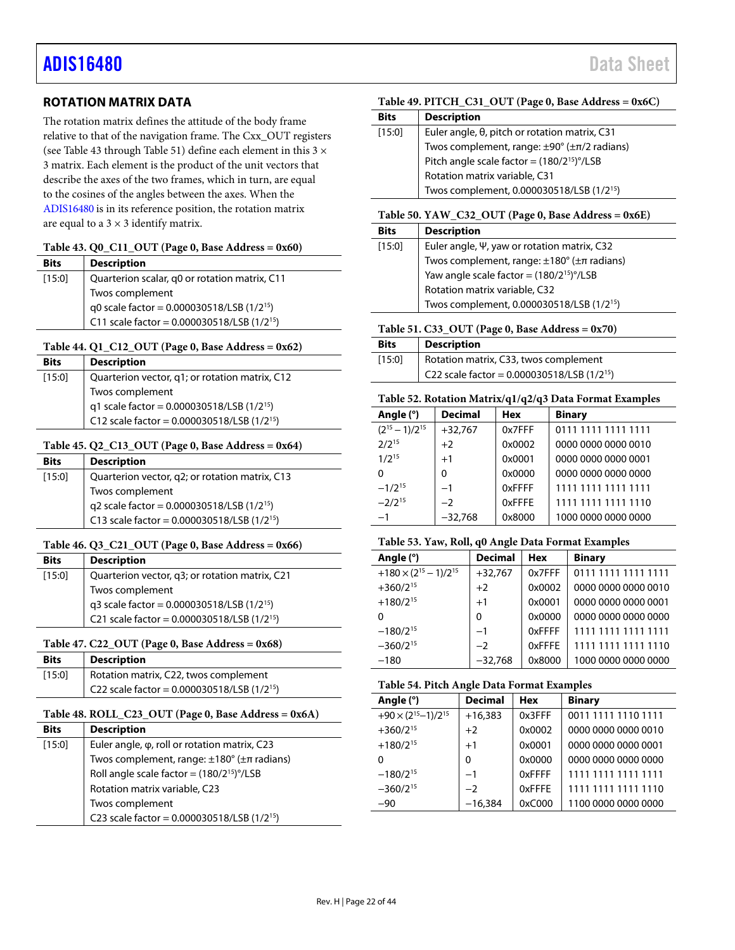### <span id="page-21-0"></span>**ROTATION MATRIX DATA**

The rotation matrix defines the attitude of the body frame relative to that of the navigation frame. The Cxx\_OUT registers (see [Table](#page-21-1) 43 through [Table 51\)](#page-21-9) define each element in this  $3 \times$ 3 matrix. Each element is the product of the unit vectors that describe the axes of the two frames, which in turn, are equal to the cosines of the angles between the axes. When the [ADIS16480](https://www.analog.com/ADIS16480?doc=ADIS16480.pdf) is in its reference position, the rotation matrix are equal to a  $3 \times 3$  identify matrix.

### <span id="page-21-1"></span>**Table 43. Q0\_C11\_OUT (Page 0, Base Address = 0x60)**

| <b>Bits</b> | <b>Description</b>                                          |
|-------------|-------------------------------------------------------------|
| $[15:0]$    | Quarterion scalar, q0 or rotation matrix, C11               |
|             | Twos complement                                             |
|             | q0 scale factor = 0.000030518/LSB (1/2 <sup>15</sup> )      |
|             | C11 scale factor = $0.000030518 / LSB$ (1/2 <sup>15</sup> ) |

### <span id="page-21-2"></span>**Table 44. Q1\_C12\_OUT (Page 0, Base Address = 0x62)**

| <b>Bits</b> | <b>Description</b>                                         |
|-------------|------------------------------------------------------------|
| [15:0]      | Quarterion vector, q1; or rotation matrix, C12             |
|             | Twos complement                                            |
|             | q1 scale factor = 0.000030518/LSB (1/2 <sup>15</sup> )     |
|             | C12 scale factor = $0.000030518$ /LSB (1/2 <sup>15</sup> ) |

### <span id="page-21-3"></span>**Table 45. Q2\_C13\_OUT (Page 0, Base Address = 0x64)**

| <b>Bits</b> | <b>Description</b>                                         |
|-------------|------------------------------------------------------------|
| $[15:0]$    | Quarterion vector, q2; or rotation matrix, C13             |
|             | Twos complement                                            |
|             | q2 scale factor = $0.000030518 / LSB$ (1/2 <sup>15</sup> ) |
|             | C13 scale factor = $0.000030518$ /LSB (1/2 <sup>15</sup> ) |

### <span id="page-21-4"></span>**Table 46. Q3\_C21\_OUT (Page 0, Base Address = 0x66)**

| <b>Bits</b>                                              | <b>Description</b>                                                                                                |  |  |  |  |
|----------------------------------------------------------|-------------------------------------------------------------------------------------------------------------------|--|--|--|--|
| Quarterion vector, q3; or rotation matrix, C21<br>[15:0] |                                                                                                                   |  |  |  |  |
|                                                          | Twos complement                                                                                                   |  |  |  |  |
|                                                          | q3 scale factor = 0.000030518/LSB (1/2 <sup>15</sup> )<br>C21 scale factor = 0.000030518/LSB (1/2 <sup>15</sup> ) |  |  |  |  |
|                                                          |                                                                                                                   |  |  |  |  |

### <span id="page-21-5"></span>**Table 47. C22\_OUT (Page 0, Base Address = 0x68)**

| <b>Bits</b> | <b>Description</b>                                         |
|-------------|------------------------------------------------------------|
| [15:0]      | Rotation matrix, C22, twos complement                      |
|             | C22 scale factor = $0.000030518$ /LSB (1/2 <sup>15</sup> ) |

### <span id="page-21-6"></span>**Table 48. ROLL\_C23\_OUT (Page 0, Base Address = 0x6A)**

| <b>Bits</b> | <b>Description</b>                                           |
|-------------|--------------------------------------------------------------|
| [15:0]      | Euler angle, φ, roll or rotation matrix, C23                 |
|             | Twos complement, range: $\pm 180^\circ$ ( $\pm \pi$ radians) |
|             | Roll angle scale factor = $(180/2^{15})^{\circ}$ /LSB        |
|             | Rotation matrix variable, C23                                |
|             | Twos complement                                              |
|             | C23 scale factor = $0.000030518$ /LSB (1/2 <sup>15</sup> )   |

### <span id="page-21-7"></span>**Table 49. PITCH\_C31\_OUT (Page 0, Base Address = 0x6C)**

| <b>Bits</b> | <b>Description</b>                                            |  |  |  |  |
|-------------|---------------------------------------------------------------|--|--|--|--|
| $[15:0]$    | Euler angle, θ, pitch or rotation matrix, C31                 |  |  |  |  |
|             | Twos complement, range: $\pm 90^\circ$ ( $\pm \pi/2$ radians) |  |  |  |  |
|             | Pitch angle scale factor = $(180/2^{15})^{\circ}/LSB$         |  |  |  |  |
|             | Rotation matrix variable, C31                                 |  |  |  |  |
|             | Twos complement, 0.000030518/LSB (1/2 <sup>15</sup> )         |  |  |  |  |

### <span id="page-21-8"></span>**Table 50. YAW\_C32\_OUT (Page 0, Base Address = 0x6E)**

| <b>Bits</b> | <b>Description</b>                                                                                                                                                                                       |  |  |  |  |  |
|-------------|----------------------------------------------------------------------------------------------------------------------------------------------------------------------------------------------------------|--|--|--|--|--|
| [15:0]      | Euler angle, $\Psi$ , yaw or rotation matrix, C32<br>Twos complement, range: $\pm 180^\circ$ ( $\pm \pi$ radians)<br>Yaw angle scale factor = $(180/2^{15})^\circ$ /LSB<br>Rotation matrix variable, C32 |  |  |  |  |  |
|             |                                                                                                                                                                                                          |  |  |  |  |  |
|             |                                                                                                                                                                                                          |  |  |  |  |  |
|             |                                                                                                                                                                                                          |  |  |  |  |  |
|             | Twos complement, 0.000030518/LSB (1/2 <sup>15</sup> )                                                                                                                                                    |  |  |  |  |  |

### <span id="page-21-9"></span>**Table 51. C33\_OUT (Page 0, Base Address = 0x70)**

| <b>Bits</b> | <b>Description</b>                                          |
|-------------|-------------------------------------------------------------|
| [15:0]      | Rotation matrix, C33, twos complement                       |
|             | C22 scale factor = $0.000030518 / LSB$ (1/2 <sup>15</sup> ) |

#### **Table 52. Rotation Matrix/q1/q2/q3 Data Format Examples**

| Angle (°)             | <b>Decimal</b> | Hex    | <b>Binary</b>       |
|-----------------------|----------------|--------|---------------------|
| $(2^{15} - 1)/2^{15}$ | $+32,767$      | 0x7FFF | 0111 1111 1111 1111 |
| $2/2^{15}$            | $+2$           | 0x0002 | 0000 0000 0000 0010 |
| $1/2^{15}$            | $+1$           | 0x0001 | 0000 0000 0000 0001 |
| $\Omega$              | O              | 0x0000 | 0000 0000 0000 0000 |
| $-1/2^{15}$           | $-1$           | 0xFFFF | 1111 1111 1111 1111 |
| $-2/2^{15}$           | $-2$           | 0xFFFF | 1111 1111 1111 1110 |
| $-1$                  | $-32,768$      | 0x8000 | 1000 0000 0000 0000 |

### **Table 53. Yaw, Roll, q0 Angle Data Format Examples**

| Angle (°)                         | <b>Decimal</b> | <b>Hex</b> | <b>Binary</b>       |
|-----------------------------------|----------------|------------|---------------------|
| $+180 \times (2^{15} - 1)/2^{15}$ | $+32,767$      | 0x7FFF     | 0111 1111 1111 1111 |
| $+360/2^{15}$                     | $+2$           | 0x0002     | 0000 0000 0000 0010 |
| $+180/2^{15}$                     | $+1$           | 0x0001     | 0000 0000 0000 0001 |
| $\Omega$                          | 0              | 0x0000     | 0000 0000 0000 0000 |
| $-180/2^{15}$                     | $-1$           | 0xFFFF     | 1111 1111 1111 1111 |
| $-360/2^{15}$                     | $-2$           | 0xFFFE     | 1111 1111 1111 1110 |
| $-180$                            | $-32.768$      | 0x8000     | 1000 0000 0000 0000 |

### **Table 54. Pitch Angle Data Format Examples**

| Tuole o II I Ren Inigie Dum I offinit Examples |                |            |                     |  |
|------------------------------------------------|----------------|------------|---------------------|--|
| Angle (°)                                      | <b>Decimal</b> | <b>Hex</b> | <b>Binary</b>       |  |
| $+90 \times (2^{15}-1)/2^{15}$                 | $+16,383$      | 0x3FFF     | 0011 1111 1110 1111 |  |
| $+360/2^{15}$                                  | $+2$           | 0x0002     | 0000 0000 0000 0010 |  |
| $+180/2^{15}$                                  | $+1$           | 0x0001     | 0000 0000 0000 0001 |  |
| O                                              | 0              | 0x0000     | 0000 0000 0000 0000 |  |
| $-180/2^{15}$                                  | $-1$           | 0xFFFF     | 1111 1111 1111 1111 |  |
| $-360/2^{15}$                                  | $-2$           | 0xFFFE     | 1111 1111 1111 1110 |  |
| $-90$                                          | $-16,384$      | 0xC000     | 1100 0000 0000 0000 |  |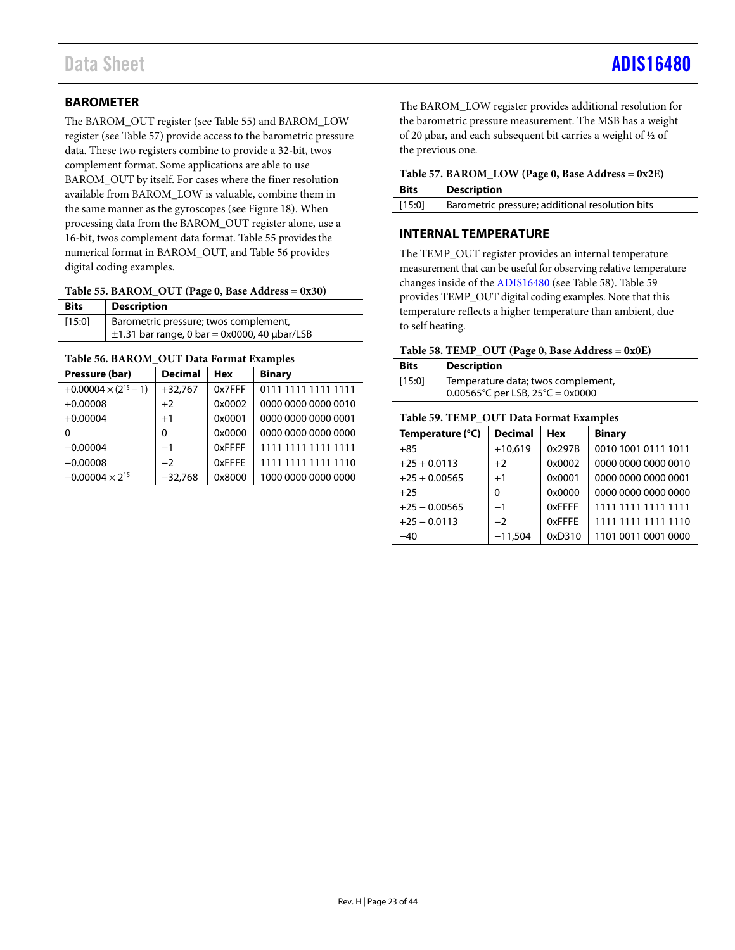### <span id="page-22-0"></span>**BAROMETER**

The BAROM\_OUT register (se[e Table 55\)](#page-22-4) and BAROM\_LOW register (se[e Table](#page-22-3) 57) provide access to the barometric pressure data. These two registers combine to provide a 32-bit, twos complement format. Some applications are able to use BAROM\_OUT by itself. For cases where the finer resolution available from BAROM\_LOW is valuable, combine them in the same manner as the gyroscopes (see [Figure 18\)](#page-17-9). When processing data from the BAROM\_OUT register alone, use a 16-bit, twos complement data format[. Table 55](#page-22-4) provides the numerical format in BAROM\_OUT, an[d Table 56](#page-22-5) provides digital coding examples.

<span id="page-22-4"></span>

| Table 55. BAROM_OUT (Page 0, Base Address = 0x30) |  |  |  |  |
|---------------------------------------------------|--|--|--|--|
|---------------------------------------------------|--|--|--|--|

| <b>Bits</b> | <b>Description</b>                                                                              |
|-------------|-------------------------------------------------------------------------------------------------|
| [15:0]      | Barometric pressure; twos complement,<br>$\pm$ 1.31 bar range, 0 bar = 0x0000, 40 $\mu$ bar/LSB |

### <span id="page-22-5"></span>**Table 56. BAROM\_OUT Data Format Examples**

| Pressure (bar)                 | <b>Decimal</b> | Hex    | <b>Binary</b>       |
|--------------------------------|----------------|--------|---------------------|
| $+0.00004 \times (2^{15} - 1)$ | $+32,767$      | 0x7FFF | 0111 1111 1111 1111 |
| $+0.00008$                     | $+2$           | 0x0002 | 0000 0000 0000 0010 |
| $+0.00004$                     | $+1$           | 0x0001 | 0000 0000 0000 0001 |
| O                              | $\Omega$       | 0x0000 | 0000 0000 0000 0000 |
| $-0.00004$                     | $-1$           | 0xFFFF | 1111 1111 1111 1111 |
| $-0.00008$                     | $-2$           | 0xFFFE | 1111 1111 1111 1110 |
| $-0.00004 \times 2^{15}$       | $-32,768$      | 0x8000 | 1000 0000 0000 0000 |

The BAROM\_LOW register provides additional resolution for the barometric pressure measurement. The MSB has a weight of 20 µbar, and each subsequent bit carries a weight of ½ of the previous one.

<span id="page-22-3"></span>

| Table 57. BAROM_LOW (Page 0, Base Address = 0x2E) |  |  |  |
|---------------------------------------------------|--|--|--|
|---------------------------------------------------|--|--|--|

| <b>Bits</b> | <b>Description</b>                              |
|-------------|-------------------------------------------------|
| [15:0]      | Barometric pressure; additional resolution bits |

### <span id="page-22-1"></span>**INTERNAL TEMPERATURE**

The TEMP\_OUT register provides an internal temperature measurement that can be useful for observing relative temperature changes inside of the [ADIS16480](https://www.analog.com/ADIS16480?doc=ADIS16480.pdf) (se[e Table 58\)](#page-22-2)[. Table 59](#page-22-6) provides TEMP\_OUT digital coding examples. Note that this temperature reflects a higher temperature than ambient, due to self heating.

### <span id="page-22-2"></span>**Table 58. TEMP\_OUT (Page 0, Base Address = 0x0E)**

| <b>Bits</b> | <b>Description</b>                                                                          |
|-------------|---------------------------------------------------------------------------------------------|
| [15:0]      | Temperature data; twos complement,<br>$0.00565^{\circ}$ C per LSB, 25 $^{\circ}$ C = 0x0000 |

### <span id="page-22-6"></span>**Table 59. TEMP\_OUT Data Format Examples**

| Temperature (°C) | <b>Decimal</b> | <b>Hex</b> | <b>Binary</b>       |
|------------------|----------------|------------|---------------------|
| $+85$            | $+10,619$      | 0x297B     | 0010 1001 0111 1011 |
| $+25 + 0.0113$   | $+2$           | 0x0002     | 0000 0000 0000 0010 |
| $+25 + 0.00565$  | $+1$           | 0x0001     | 0000 0000 0000 0001 |
| $+25$            | 0              | 0x0000     | 0000 0000 0000 0000 |
| $+25 - 0.00565$  | $-1$           | 0xFFFF     | 1111 1111 1111 1111 |
| $+25 - 0.0113$   | $-2$           | 0xFFFF     | 1111 1111 1111 1110 |
| $-40$            | $-11,504$      | 0xD310     | 1101 0011 0001 0000 |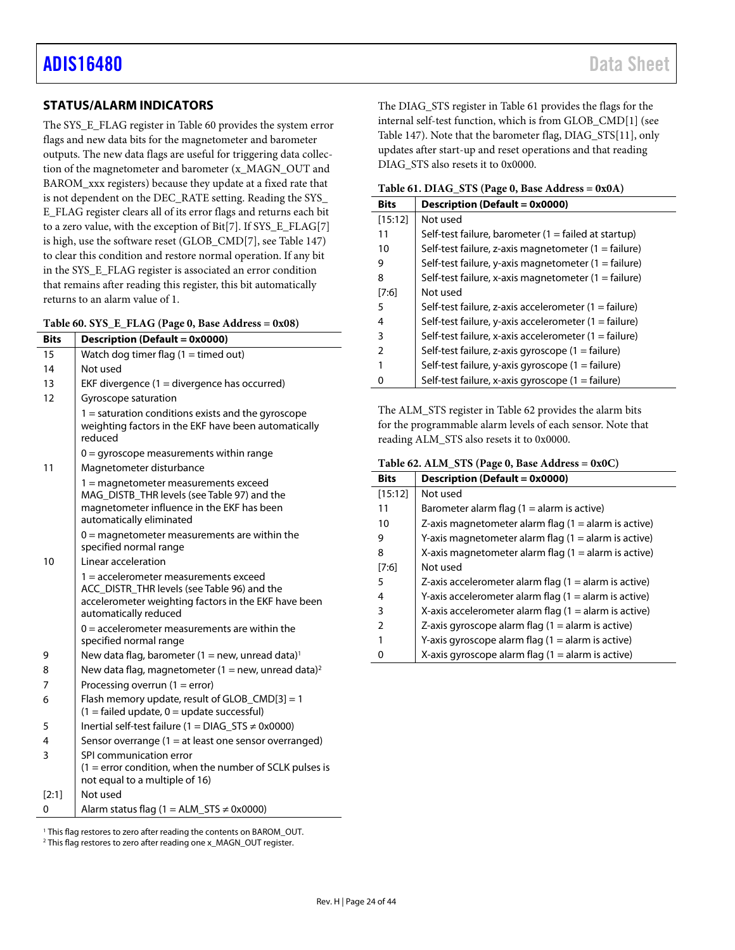### <span id="page-23-0"></span>**STATUS/ALARM INDICATORS**

The SYS\_E\_FLAG register i[n Table 60](#page-23-1) provides the system error flags and new data bits for the magnetometer and barometer outputs. The new data flags are useful for triggering data collection of the magnetometer and barometer (x\_MAGN\_OUT and BAROM\_xxx registers) because they update at a fixed rate that is not dependent on the DEC\_RATE setting. Reading the SYS\_ E\_FLAG register clears all of its error flags and returns each bit to a zero value, with the exception of Bit[7]. If SYS\_E\_FLAG[7] is high, use the software reset (GLOB\_CMD[7], se[e Table](#page-38-5) 147) to clear this condition and restore normal operation. If any bit in the SYS\_E\_FLAG register is associated an error condition that remains after reading this register, this bit automatically returns to an alarm value of 1.

<span id="page-23-1"></span>

|  |  |  |  |  | Table 60. SYS_E_FLAG (Page 0, Base Address = 0x08) |
|--|--|--|--|--|----------------------------------------------------|
|--|--|--|--|--|----------------------------------------------------|

| <b>Bits</b> | <b>Description (Default = 0x0000)</b>                                                                                                                                   |
|-------------|-------------------------------------------------------------------------------------------------------------------------------------------------------------------------|
| 15          | Watch dog timer flag $(1 =$ timed out)                                                                                                                                  |
| 14          | Not used                                                                                                                                                                |
| 13          | EKF divergence $(1 =$ divergence has occurred)                                                                                                                          |
| 12          | Gyroscope saturation                                                                                                                                                    |
|             | $1 =$ saturation conditions exists and the gyroscope<br>weighting factors in the EKF have been automatically<br>reduced                                                 |
|             | $0 =$ qyroscope measurements within range                                                                                                                               |
| 11          | Magnetometer disturbance                                                                                                                                                |
|             | 1 = magnetometer measurements exceed<br>MAG DISTB THR levels (see Table 97) and the<br>magnetometer influence in the EKF has been<br>automatically eliminated           |
|             | $0 =$ magnetometer measurements are within the<br>specified normal range                                                                                                |
| 10          | Linear acceleration                                                                                                                                                     |
|             | $1$ = accelerometer measurements exceed<br>ACC_DISTR_THR levels (see Table 96) and the<br>accelerometer weighting factors in the EKF have been<br>automatically reduced |
|             | $0 =$ accelerometer measurements are within the<br>specified normal range                                                                                               |
| 9           | New data flag, barometer (1 = new, unread data) <sup>1</sup>                                                                                                            |
| 8           | New data flag, magnetometer (1 = new, unread data) <sup>2</sup>                                                                                                         |
| 7           | Processing overrun $(1 = error)$                                                                                                                                        |
| 6           | Flash memory update, result of GLOB $CMD[3] = 1$<br>$(1 = \text{failed update}, 0 = \text{update}$ successful)                                                          |
| 5           | Inertial self-test failure (1 = DIAG_STS $\neq$ 0x0000)                                                                                                                 |
| 4           | Sensor overrange $(1 = at least one sensor overranged)$                                                                                                                 |
| 3           | SPI communication error<br>$(1 =$ error condition, when the number of SCLK pulses is<br>not equal to a multiple of 16)                                                  |
| [2:1]       | Not used                                                                                                                                                                |
| 0           | Alarm status flag (1 = ALM_STS $\neq$ 0x0000)                                                                                                                           |

<sup>1</sup> This flag restores to zero after reading the contents on BAROM\_OUT.<br><sup>2</sup> This flag restores to zero after reading one x\_MAGN\_OUT register.

The DIAG\_STS register in [Table 61](#page-23-2) provides the flags for the internal self-test function, which is from GLOB\_CMD[1] (see [Table](#page-38-5) 147). Note that the barometer flag, DIAG\_STS[11], only updates after start-up and reset operations and that reading DIAG\_STS also resets it to 0x0000.

<span id="page-23-2"></span>

|  |  | Table 61. DIAG_STS (Page 0, Base Address = 0x0A) |
|--|--|--------------------------------------------------|
|--|--|--------------------------------------------------|

| <b>Bits</b> | <b>Description (Default = 0x0000)</b>                          |
|-------------|----------------------------------------------------------------|
| [15:12]     | Not used                                                       |
| 11          | Self-test failure, barometer $(1 = \text{failed at startup})$  |
| 10          | Self-test failure, z-axis magnetometer $(1 = \text{failure})$  |
| 9           | Self-test failure, y-axis magnetometer (1 = failure)           |
| 8           | Self-test failure, x-axis magnetometer $(1 = \text{failure})$  |
| [7:6]       | Not used                                                       |
| 5           | Self-test failure, z-axis accelerometer $(1 = \text{failure})$ |
| 4           | Self-test failure, y-axis accelerometer $(1 = \text{failure})$ |
| 3           | Self-test failure, x-axis accelerometer (1 = failure)          |
| 2           | Self-test failure, z-axis gyroscope $(1 = \text{failure})$     |
|             | Self-test failure, y-axis gyroscope (1 = failure)              |
|             | Self-test failure, x-axis gyroscope $(1 = \text{failure})$     |

The ALM\_STS register i[n Table 62](#page-23-3) provides the alarm bits for the programmable alarm levels of each sensor. Note that reading ALM\_STS also resets it to 0x0000.

<span id="page-23-3"></span>

| Table 62. ALM_STS (Page 0, Base Address = 0x0C) |  |  |  |
|-------------------------------------------------|--|--|--|
|-------------------------------------------------|--|--|--|

| <b>Bits</b>   | Description (Default = 0x0000)                          |
|---------------|---------------------------------------------------------|
| [15:12]       | Not used                                                |
| 11            | Barometer alarm flag $(1 =$ alarm is active)            |
| 10            | Z-axis magnetometer alarm flag $(1 =$ alarm is active)  |
| 9             | Y-axis magnetometer alarm flag $(1 =$ alarm is active)  |
| 8             | X-axis magnetometer alarm flag $(1 =$ alarm is active)  |
| [7:6]         | Not used                                                |
| 5             | Z-axis accelerometer alarm flag $(1 =$ alarm is active) |
| 4             | Y-axis accelerometer alarm flag $(1 =$ alarm is active) |
| 3             | X-axis accelerometer alarm flag $(1 =$ alarm is active) |
| $\mathcal{P}$ | Z-axis gyroscope alarm flag $(1 =$ alarm is active)     |
|               | Y-axis gyroscope alarm flag $(1 =$ alarm is active)     |
|               | X-axis gyroscope alarm flag $(1 =$ alarm is active)     |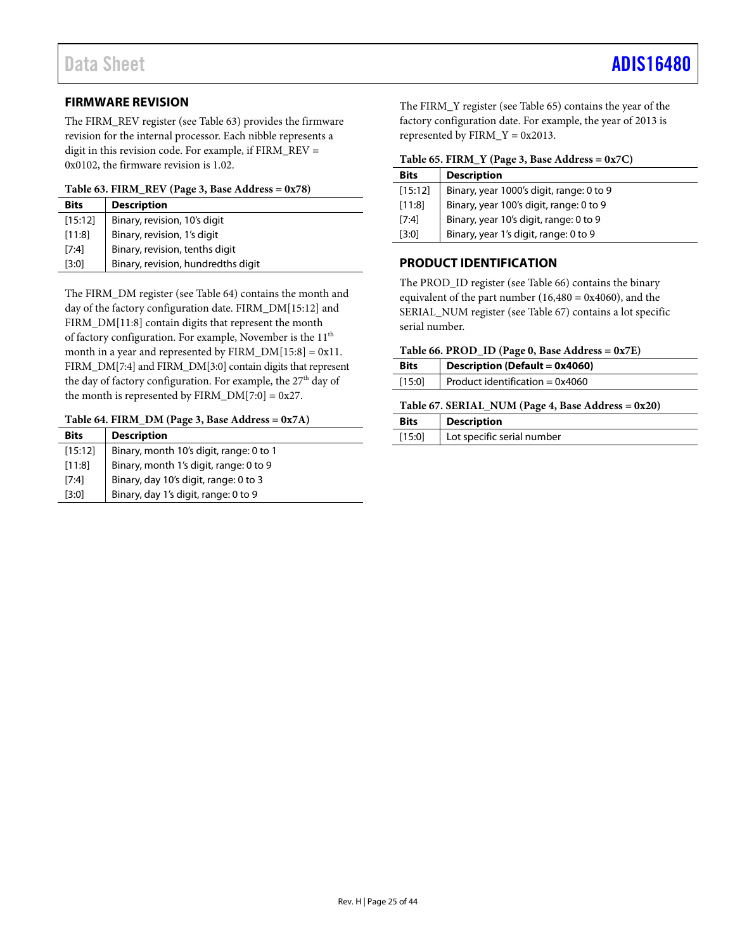### <span id="page-24-0"></span>**FIRMWARE REVISION**

The FIRM\_REV register (see [Table 63\)](#page-24-3) provides the firmware revision for the internal processor. Each nibble represents a digit in this revision code. For example, if FIRM\_REV = 0x0102, the firmware revision is 1.02.

### <span id="page-24-3"></span>**Table 63. FIRM\_REV (Page 3, Base Address = 0x78)**

| <b>Bits</b> | <b>Description</b>                 |
|-------------|------------------------------------|
| [15:12]     | Binary, revision, 10's digit       |
| [11:8]      | Binary, revision, 1's digit        |
| [7:4]       | Binary, revision, tenths digit     |
| [3:0]       | Binary, revision, hundredths digit |

The FIRM\_DM register (se[e Table 64\)](#page-24-4) contains the month and day of the factory configuration date. FIRM\_DM[15:12] and FIRM\_DM[11:8] contain digits that represent the month of factory configuration. For example, November is the 11<sup>th</sup> month in a year and represented by FIRM  $DM[15:8] = 0x11$ . FIRM\_DM[7:4] and FIRM\_DM[3:0] contain digits that represent the day of factory configuration. For example, the 27<sup>th</sup> day of the month is represented by  $FIRM\_DM[7:0] = 0x27$ .

### <span id="page-24-4"></span>**Table 64. FIRM\_DM (Page 3, Base Address = 0x7A)**

| <b>Bits</b> | <b>Description</b>                      |
|-------------|-----------------------------------------|
| [15:12]     | Binary, month 10's digit, range: 0 to 1 |
| [11:8]      | Binary, month 1's digit, range: 0 to 9  |
| [7:4]       | Binary, day 10's digit, range: 0 to 3   |
| [3:0]       | Binary, day 1's digit, range: 0 to 9    |

The FIRM\_Y register (see [Table 65\)](#page-24-5) contains the year of the factory configuration date. For example, the year of 2013 is represented by  $FIRM_Y = 0x2013$ .

<span id="page-24-5"></span>

| <b>Bits</b> | <b>Description</b>                       |
|-------------|------------------------------------------|
| [15:12]     | Binary, year 1000's digit, range: 0 to 9 |
| [11:8]      | Binary, year 100's digit, range: 0 to 9  |
| [7:4]       | Binary, year 10's digit, range: 0 to 9   |
| [3:0]       | Binary, year 1's digit, range: 0 to 9    |

### <span id="page-24-1"></span>**PRODUCT IDENTIFICATION**

The PROD\_ID register (see [Table 66\)](#page-24-2) contains the binary equivalent of the part number  $(16,480 = 0x4060)$ , and the SERIAL\_NUM register (see [Table 67\)](#page-24-6) contains a lot specific serial number.

### <span id="page-24-2"></span>**Table 66. PROD\_ID (Page 0, Base Address = 0x7E)**

| <b>Bits</b> | <b>Description (Default = 0x4060)</b> |
|-------------|---------------------------------------|
| [15:0]      | Product identification = $0x4060$     |

### <span id="page-24-6"></span>**Table 67. SERIAL\_NUM (Page 4, Base Address = 0x20)**

| <b>Bits</b> | <b>Description</b>         |  |
|-------------|----------------------------|--|
| [15:0]      | Lot specific serial number |  |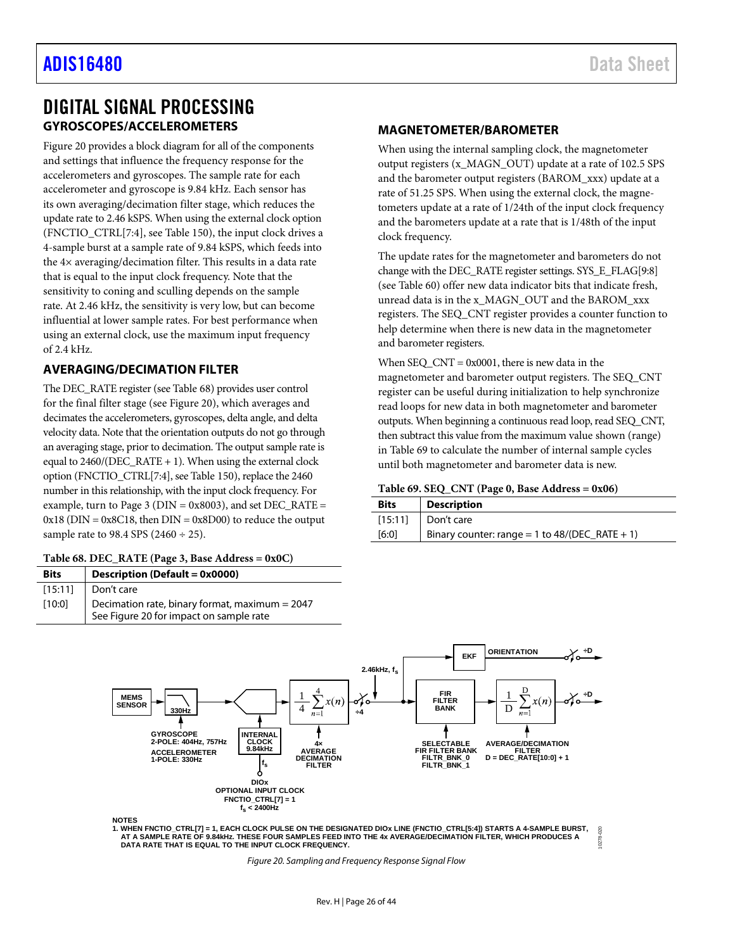### <span id="page-25-1"></span><span id="page-25-0"></span>DIGITAL SIGNAL PROCESSING **GYROSCOPES/ACCELEROMETERS**

[Figure 20](#page-25-6) provides a block diagram for all of the components and settings that influence the frequency response for the accelerometers and gyroscopes. The sample rate for each accelerometer and gyroscope is 9.84 kHz. Each sensor has its own averaging/decimation filter stage, which reduces the update rate to 2.46 kSPS. When using the external clock option (FNCTIO\_CTRL[7:4], se[e Table](#page-39-2) 150), the input clock drives a 4-sample burst at a sample rate of 9.84 kSPS, which feeds into the 4× averaging/decimation filter. This results in a data rate that is equal to the input clock frequency. Note that the sensitivity to coning and sculling depends on the sample rate. At 2.46 kHz, the sensitivity is very low, but can become influential at lower sample rates. For best performance when using an external clock, use the maximum input frequency of 2.4 kHz.

### <span id="page-25-2"></span>**AVERAGING/DECIMATION FILTER**

The DEC\_RATE register (se[e Table 68\)](#page-25-5) provides user control for the final filter stage (se[e Figure 20\)](#page-25-6), which averages and decimates the accelerometers, gyroscopes, delta angle, and delta velocity data. Note that the orientation outputs do not go through an averaging stage, prior to decimation. The output sample rate is equal to  $2460/(DEC_RATE + 1)$ . When using the external clock option (FNCTIO\_CTRL[7:4], se[e Table](#page-39-2) 150), replace the 2460 number in this relationship, with the input clock frequency. For example, turn to Page 3 ( $DIN = 0x8003$ ), and set  $DEC_RATE =$  $0x18$  (DIN =  $0x8C18$ , then DIN =  $0x8D00$ ) to reduce the output sample rate to 98.4 SPS (2460  $\div$  25).

<span id="page-25-5"></span>

|  |  | Table 68. DEC_RATE (Page 3, Base Address = 0x0C) |  |
|--|--|--------------------------------------------------|--|
|--|--|--------------------------------------------------|--|

| <b>Bits</b> | Description (Default = 0x0000)                                                            |
|-------------|-------------------------------------------------------------------------------------------|
| [15:11]     | Don't care                                                                                |
| [10:0]      | Decimation rate, binary format, maximum = 2047<br>See Figure 20 for impact on sample rate |

### <span id="page-25-3"></span>**MAGNETOMETER/BAROMETER**

When using the internal sampling clock, the magnetometer output registers (x\_MAGN\_OUT) update at a rate of 102.5 SPS and the barometer output registers (BAROM\_xxx) update at a rate of 51.25 SPS. When using the external clock, the magnetometers update at a rate of 1/24th of the input clock frequency and the barometers update at a rate that is 1/48th of the input clock frequency.

The update rates for the magnetometer and barometers do not change with the DEC\_RATE register settings. SYS\_E\_FLAG[9:8] (see [Table 60\)](#page-23-1) offer new data indicator bits that indicate fresh, unread data is in the x\_MAGN\_OUT and the BAROM\_xxx registers. The SEQ\_CNT register provides a counter function to help determine when there is new data in the magnetometer and barometer registers.

When SEQ\_CNT = 0x0001, there is new data in the magnetometer and barometer output registers. The SEQ\_CNT register can be useful during initialization to help synchronize read loops for new data in both magnetometer and barometer outputs. When beginning a continuous read loop, read SEQ\_CNT, then subtract this value from the maximum value shown (range) in [Table 69](#page-25-4) to calculate the number of internal sample cycles until both magnetometer and barometer data is new.

### <span id="page-25-4"></span>**Table 69. SEQ\_CNT (Page 0, Base Address = 0x06)**

| <b>Bits</b> | <b>Description</b>                               |
|-------------|--------------------------------------------------|
| [15:11]     | Don't care                                       |
| [6:0]       | Binary counter: range = 1 to $48/(DEC_RATE + 1)$ |

10278-020



<span id="page-25-6"></span>1. WHEN FNCTIO\_CTRL[7] = 1, EACH CLOCK PULSE ON THE DESIGNATED DIOx LINE (FNCTIO\_CTRL[5:4]) STARTS A 4-SAMPLE BURST,<br>AT A SAMPLE RATE OF 9.84kHz. THESE FOUR SAMPLES FEED INTO THE 4x AVERAGE/DECIMATION FILTER, WHICH PRODUCE  **DATA RATE THAT IS EQUAL TO THE INPUT CLOCK FREQUENCY.**

*Figure 20. Sampling and Frequency Response Signal Flow*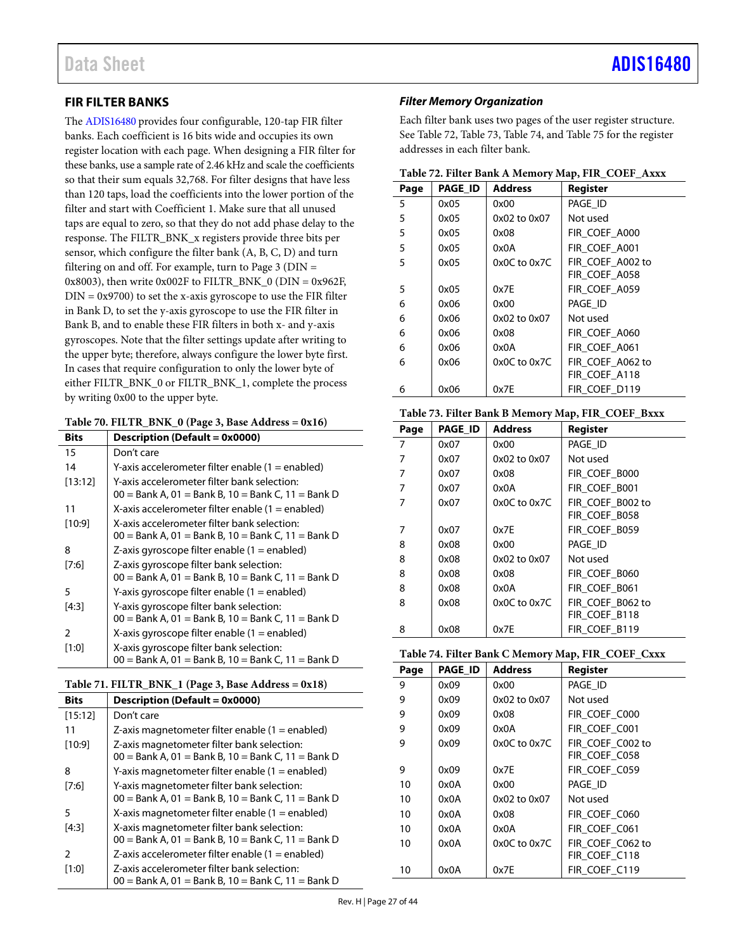### <span id="page-26-0"></span>**FIR FILTER BANKS**

The [ADIS16480](https://www.analog.com/ADIS16480?doc=ADIS16480.pdf) provides four configurable, 120-tap FIR filter banks. Each coefficient is 16 bits wide and occupies its own register location with each page. When designing a FIR filter for these banks, use a sample rate of 2.46 kHz and scale the coefficients so that their sum equals 32,768. For filter designs that have less than 120 taps, load the coefficients into the lower portion of the filter and start with Coefficient 1. Make sure that all unused taps are equal to zero, so that they do not add phase delay to the response. The FILTR\_BNK\_x registers provide three bits per sensor, which configure the filter bank (A, B, C, D) and turn filtering on and off. For example, turn to Page  $3$  (DIN = 0x8003), then write 0x002F to FILTR\_BNK\_0 (DIN = 0x962F,  $DIN = 0x9700$ ) to set the x-axis gyroscope to use the FIR filter in Bank D, to set the y-axis gyroscope to use the FIR filter in Bank B, and to enable these FIR filters in both x- and y-axis gyroscopes. Note that the filter settings update after writing to the upper byte; therefore, always configure the lower byte first. In cases that require configuration to only the lower byte of either FILTR\_BNK\_0 or FILTR\_BNK\_1, complete the process by writing 0x00 to the upper byte.

<span id="page-26-1"></span>

| <b>Bits</b> | <b>Description (Default = 0x0000)</b>                                                               |
|-------------|-----------------------------------------------------------------------------------------------------|
| 15          | Don't care                                                                                          |
| 14          | Y-axis accelerometer filter enable (1 = enabled)                                                    |
| [13:12]     | Y-axis accelerometer filter bank selection:<br>$00 =$ Bank A, 01 = Bank B, 10 = Bank C, 11 = Bank D |
| 11          | X-axis accelerometer filter enable (1 = enabled)                                                    |
| [10:9]      | X-axis accelerometer filter bank selection:<br>$00 =$ Bank A, 01 = Bank B, 10 = Bank C, 11 = Bank D |
| 8           | Z-axis gyroscope filter enable $(1 =$ enabled)                                                      |
| [7:6]       | Z-axis gyroscope filter bank selection:<br>$00 =$ Bank A, 01 = Bank B, 10 = Bank C, 11 = Bank D     |
| 5           | Y-axis gyroscope filter enable $(1 =$ enabled)                                                      |
| [4:3]       | Y-axis gyroscope filter bank selection:<br>$00 =$ Bank A, 01 = Bank B, 10 = Bank C, 11 = Bank D     |
| 2           | X-axis gyroscope filter enable $(1 =$ enabled)                                                      |
| [1:0]       | X-axis gyroscope filter bank selection:<br>$00 =$ Bank A, 01 = Bank B, 10 = Bank C, 11 = Bank D     |

<span id="page-26-2"></span>

| Table 71. FILTR_BNK_1 (Page 3, Base Address = 0x18) |  |  |  |  |  |  |
|-----------------------------------------------------|--|--|--|--|--|--|
|-----------------------------------------------------|--|--|--|--|--|--|

| <b>Bits</b>   | Description (Default = 0x0000)                                                                      |
|---------------|-----------------------------------------------------------------------------------------------------|
| [15:12]       | Don't care                                                                                          |
| 11            | Z-axis magnetometer filter enable $(1 =$ enabled)                                                   |
| [10:9]        | Z-axis magnetometer filter bank selection:<br>$00 =$ Bank A, 01 = Bank B, 10 = Bank C, 11 = Bank D  |
| 8             | Y-axis magnetometer filter enable $(1 =$ enabled)                                                   |
| [7:6]         | Y-axis magnetometer filter bank selection:                                                          |
|               | $00 =$ Bank A, 01 = Bank B, 10 = Bank C, 11 = Bank D                                                |
| 5             | X-axis magnetometer filter enable $(1 =$ enabled)                                                   |
| [4:3]         | X-axis magnetometer filter bank selection:                                                          |
|               | $00 =$ Bank A, 01 = Bank B, 10 = Bank C, 11 = Bank D                                                |
| $\mathcal{P}$ | Z-axis accelerometer filter enable $(1 =$ enabled)                                                  |
| [1:0]         | Z-axis accelerometer filter bank selection:<br>$00 =$ Bank A, 01 = Bank B, 10 = Bank C, 11 = Bank D |

### *Filter Memory Organization*

Each filter bank uses two pages of the user register structure. See [Table 72,](#page-26-3) [Table 73,](#page-26-4) [Table 74,](#page-26-5) and [Table 75](#page-27-0) for the register addresses in each filter bank.

<span id="page-26-3"></span>

| Page | <b>PAGE ID</b> | <b>Address</b>   | Register         |
|------|----------------|------------------|------------------|
| 5    | 0x05           | 0x00             | PAGE ID          |
| 5    | 0x05           | 0x02 to 0x07     | Not used         |
| 5    | 0x05           | 0x08             | FIR COEF A000    |
| 5    | 0x05           | 0x0A             | FIR COEF A001    |
| 5    | 0x05           | $0x0C$ to $0x7C$ | FIR COEF A002 to |
|      |                |                  | FIR COEF A058    |
| 5    | 0x05           | 0x7E             | FIR COEF A059    |
| 6    | 0x06           | 0x00             | PAGE ID          |
| 6    | 0x06           | 0x02 to 0x07     | Not used         |
| 6    | 0x06           | 0x08             | FIR COEF A060    |
| 6    | 0x06           | 0x0A             | FIR COEF A061    |
| 6    | 0x06           | $0x0C$ to $0x7C$ | FIR_COEF_A062 to |
|      |                |                  | FIR_COEF_A118    |
| 6    | 0x06           | 0x7E             | FIR_COEF_D119    |

### <span id="page-26-4"></span>**Table 73. Filter Bank B Memory Map, FIR\_COEF\_Bxxx**

| Page | <b>PAGE ID</b> | <b>Address</b>   | Register         |
|------|----------------|------------------|------------------|
| 7    | 0x07           | 0x00             | PAGE_ID          |
| 7    | 0x07           | 0x02 to 0x07     | Not used         |
| 7    | 0x07           | 0x08             | FIR_COEF_B000    |
| 7    | 0x07           | 0x0A             | FIR COEF B001    |
| 7    | 0x07           | $0x0C$ to $0x7C$ | FIR COEF B002 to |
|      |                |                  | FIR COEF B058    |
| 7    | 0x07           | 0x7E             | FIR COEF B059    |
| 8    | 0x08           | 0x00             | PAGE_ID          |
| 8    | 0x08           | 0x02 to 0x07     | Not used         |
| 8    | 0x08           | 0x08             | FIR COEF B060    |
| 8    | 0x08           | 0x0A             | FIR COEF B061    |
| 8    | 0x08           | $0x0C$ to $0x7C$ | FIR COEF B062 to |
|      |                |                  | FIR COEF B118    |
| 8    | 0x08           | 0x7E             | FIR COEF B119    |

<span id="page-26-5"></span>

| Page | <b>PAGE ID</b> | <b>Address</b>   | Register         |
|------|----------------|------------------|------------------|
| 9    | 0x09           | 0x00             | PAGE_ID          |
| 9    | 0x09           | 0x02 to 0x07     | Not used         |
| 9    | 0x09           | 0x08             | FIR COEF C000    |
| 9    | 0x09           | 0x0A             | FIR COEF C001    |
| 9    | 0x09           | 0x0C to 0x7C     | FIR COEF C002 to |
|      |                |                  | FIR COEF C058    |
| 9    | 0x09           | 0x7E             | FIR COEF C059    |
| 10   | 0x0A           | 0x00             | PAGE ID          |
| 10   | 0x0A           | 0x02 to 0x07     | Not used         |
| 10   | 0x0A           | 0x08             | FIR COEF C060    |
| 10   | 0x0A           | 0x0A             | FIR COEF C061    |
| 10   | 0x0A           | $0x0C$ to $0x7C$ | FIR COEF C062 to |
|      |                |                  | FIR COEF C118    |
| 10   | 0x0A           | 0x7E             | FIR COEF C119    |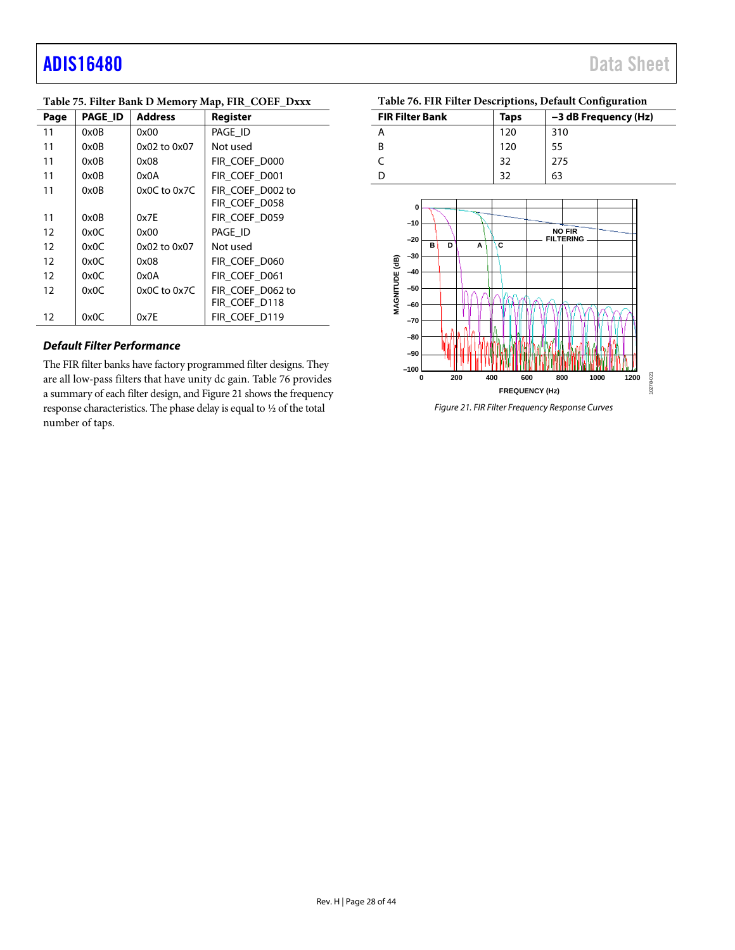# adis16480 Data Sheet

| Page | <b>PAGE ID</b> | <b>Address</b> | Register         |
|------|----------------|----------------|------------------|
| 11   | 0x0B           | 0x00           | PAGE ID          |
| 11   | 0x0B           | 0x02 to 0x07   | Not used         |
| 11   | 0x0B           | 0x08           | FIR COEF D000    |
| 11   | 0x0B           | 0x0A           | FIR COEF D001    |
| 11   | 0x0B           | 0x0C to 0x7C   | FIR COEF D002 to |
|      |                |                | FIR_COEF_D058    |
| 11   | 0x0B           | 0x7E           | FIR_COEF_D059    |
| 12   | 0x0C           | 0x00           | PAGE ID          |
| 12   | 0x0C           | 0x02 to 0x07   | Not used         |
| 12   | 0x0C           | 0x08           | FIR COEF D060    |
| 12   | 0x0C           | 0x0A           | FIR COEF D061    |
| 12   | 0x0C           | 0x0C to 0x7C   | FIR COEF D062 to |
|      |                |                | FIR COEF_D118    |
| 12   | 0x0C           | 0x7E           | FIR COEF D119    |

### <span id="page-27-0"></span>**Table 75. Filter Bank D Memory Map, FIR\_COEF\_Dxxx**

### *Default Filter Performance*

The FIR filter banks have factory programmed filter designs. They are all low-pass filters that have unity dc gain[. Table 76](#page-27-1) provides a summary of each filter design, an[d Figure 21](#page-27-2) shows the frequency response characteristics. The phase delay is equal to ½ of the total number of taps.

<span id="page-27-1"></span>

|  |  |  |  | Table 76. FIR Filter Descriptions, Default Configuration |
|--|--|--|--|----------------------------------------------------------|
|--|--|--|--|----------------------------------------------------------|

| <b>FIR Filter Bank</b> | Taps | -3 dB Frequency (Hz) |
|------------------------|------|----------------------|
|                        | 120  | 310                  |
| B                      | 120  |                      |
|                        | 32   | 275                  |
|                        |      | 63                   |



<span id="page-27-2"></span>*Figure 21. FIR Filter Frequency Response Curves*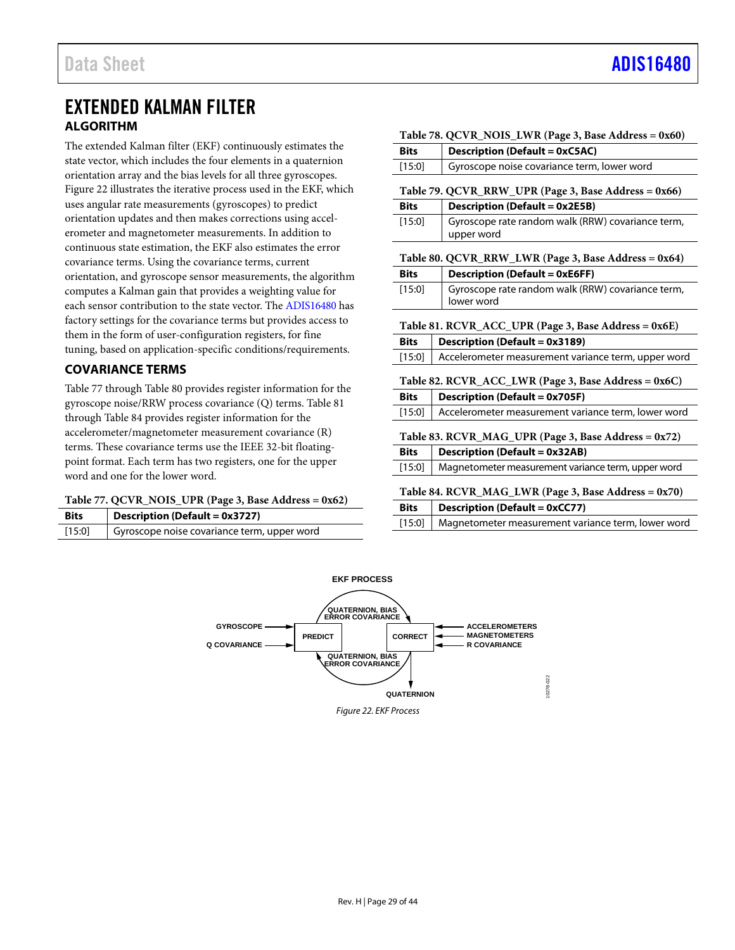### <span id="page-28-0"></span>EXTENDED KALMAN FILTER **ALGORITHM**

<span id="page-28-1"></span>The extended Kalman filter (EKF) continuously estimates the state vector, which includes the four elements in a quaternion orientation array and the bias levels for all three gyroscopes. [Figure 22](#page-28-11) illustrates the iterative process used in the EKF, which uses angular rate measurements (gyroscopes) to predict orientation updates and then makes corrections using accelerometer and magnetometer measurements. In addition to continuous state estimation, the EKF also estimates the error covariance terms. Using the covariance terms, current orientation, and gyroscope sensor measurements, the algorithm computes a Kalman gain that provides a weighting value for each sensor contribution to the state vector. The [ADIS16480](https://www.analog.com/ADIS16480?doc=ADIS16480.pdf) has factory settings for the covariance terms but provides access to them in the form of user-configuration registers, for fine tuning, based on application-specific conditions/requirements.

### <span id="page-28-2"></span>**COVARIANCE TERMS**

[Table 77](#page-28-4) throug[h Table 80](#page-28-5) provides register information for the gyroscope noise/RRW process covariance (Q) terms[. Table 81](#page-28-8) through [Table 84](#page-28-9) provides register information for the accelerometer/magnetometer measurement covariance (R) terms. These covariance terms use the IEEE 32-bit floatingpoint format. Each term has two registers, one for the upper word and one for the lower word.

### <span id="page-28-4"></span>**Table 77. QCVR\_NOIS\_UPR (Page 3, Base Address = 0x62)**

| <b>Bits</b> | <b>Description (Default = 0x3727)</b>       |
|-------------|---------------------------------------------|
| [15:0]      | Gyroscope noise covariance term, upper word |

<span id="page-28-8"></span><span id="page-28-7"></span><span id="page-28-6"></span><span id="page-28-5"></span><span id="page-28-3"></span>

|                                                      | Table 78. QCVR_NOIS_LWR (Page 3, Base Address = 0x60)           |
|------------------------------------------------------|-----------------------------------------------------------------|
| <b>Description (Default = 0xC5AC)</b><br><b>Bits</b> |                                                                 |
| [15:0]                                               | Gyroscope noise covariance term, lower word                     |
|                                                      | Table 79. QCVR_RRW_UPR (Page 3, Base Address = 0x66)            |
| <b>Bits</b>                                          | <b>Description (Default = 0x2E5B)</b>                           |
| $[15:0]$                                             | Gyroscope rate random walk (RRW) covariance term,<br>upper word |
|                                                      | Table 80. QCVR_RRW_LWR (Page 3, Base Address = 0x64)            |
| <b>Bits</b>                                          | <b>Description (Default = 0xE6FF)</b>                           |
| $[15:0]$                                             | Gyroscope rate random walk (RRW) covariance term,<br>lower word |
|                                                      | Table 81. RCVR_ACC_UPR (Page 3, Base Address = 0x6E)            |
| <b>Bits</b>                                          | <b>Description (Default = 0x3189)</b>                           |
| [15:0]                                               | Accelerometer measurement variance term, upper word             |
|                                                      | Table 82. RCVR_ACC_LWR (Page 3, Base Address = 0x6C)            |
| <b>Bits</b>                                          | <b>Description (Default = 0x705F)</b>                           |
| $[15:0]$                                             | Accelerometer measurement variance term, lower word             |
|                                                      | Table 83. RCVR_MAG_UPR (Page 3, Base Address = 0x72)            |
| <b>Bits</b>                                          | <b>Description (Default = 0x32AB)</b>                           |
| $[15:0]$                                             | Magnetometer measurement variance term, upper word              |
|                                                      | Table 84. $RCVR\_MAG\_LWR$ (Page 3, Base Address = 0x70)        |
| <b>Bits</b>                                          | <b>Description (Default = 0xCC77)</b>                           |
| [15:0]                                               | Magnetometer measurement variance term, lower word              |

<span id="page-28-11"></span><span id="page-28-10"></span><span id="page-28-9"></span>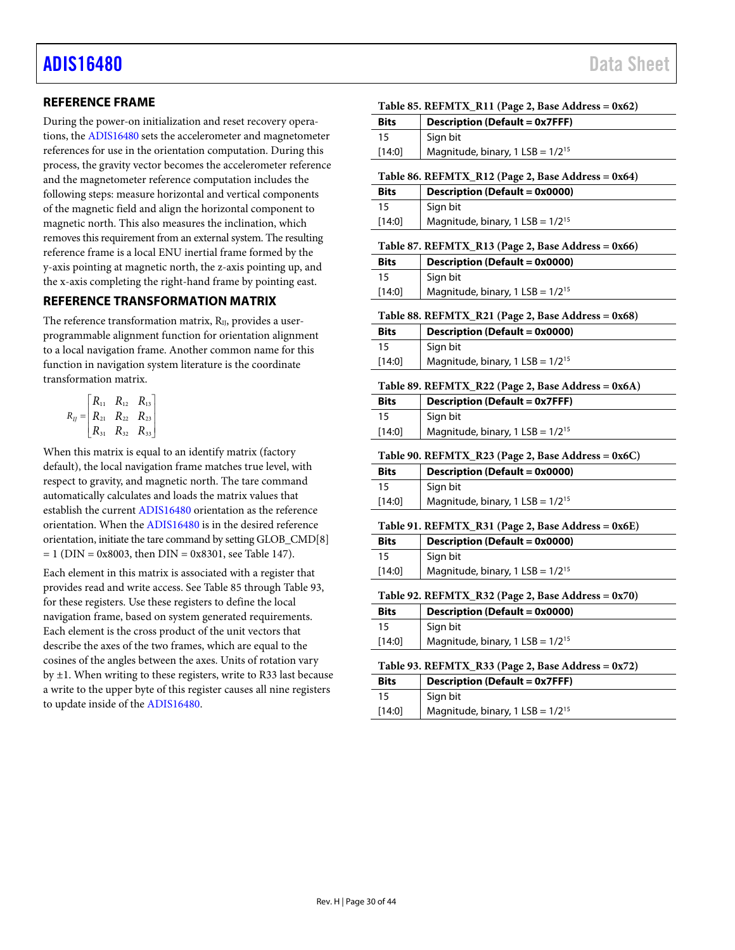### <span id="page-29-0"></span>**REFERENCE FRAME**

During the power-on initialization and reset recovery operations, th[e ADIS16480](https://www.analog.com/ADIS16480?doc=ADIS16480.pdf) sets the accelerometer and magnetometer references for use in the orientation computation. During this process, the gravity vector becomes the accelerometer reference and the magnetometer reference computation includes the following steps: measure horizontal and vertical components of the magnetic field and align the horizontal component to magnetic north. This also measures the inclination, which removes this requirement from an external system. The resulting reference frame is a local ENU inertial frame formed by the y-axis pointing at magnetic north, the z-axis pointing up, and the x-axis completing the right-hand frame by pointing east.

### <span id="page-29-1"></span>**REFERENCE TRANSFORMATION MATRIX**

The reference transformation matrix,  $R_{II}$ , provides a userprogrammable alignment function for orientation alignment to a local navigation frame. Another common name for this function in navigation system literature is the coordinate transformation matrix.

$$
R_{IJ} = \begin{bmatrix} R_{11} & R_{12} & R_{13} \\ R_{21} & R_{22} & R_{23} \\ R_{31} & R_{32} & R_{33} \end{bmatrix}
$$

When this matrix is equal to an identify matrix (factory default), the local navigation frame matches true level, with respect to gravity, and magnetic north. The tare command automatically calculates and loads the matrix values that establish the curren[t ADIS16480](https://www.analog.com/ADIS16480?doc=ADIS16480.pdf) orientation as the reference orientation. When th[e ADIS16480](https://www.analog.com/ADIS16480?doc=ADIS16480.pdf) is in the desired reference orientation, initiate the tare command by setting GLOB\_CMD[8]  $= 1$  (DIN = 0x8003, then DIN = 0x8301, see [Table](#page-38-5) 147).

<span id="page-29-2"></span>Each element in this matrix is associated with a register that provides read and write access. See [Table 85](#page-29-2) throug[h Table 93,](#page-29-10) for these registers. Use these registers to define the local navigation frame, based on system generated requirements. Each element is the cross product of the unit vectors that describe the axes of the two frames, which are equal to the cosines of the angles between the axes. Units of rotation vary by ±1. When writing to these registers, write to R33 last because a write to the upper byte of this register causes all nine registers to update inside of th[e ADIS16480.](https://www.analog.com/ADIS16480?doc=ADIS16480.pdf) 

### **Table 85. REFMTX\_R11 (Page 2, Base Address = 0x62)**

| <b>Bits</b>                                                     | <b>Description (Default = 0x7FFF)</b>   |  |
|-----------------------------------------------------------------|-----------------------------------------|--|
| 15                                                              | Sign bit                                |  |
| [14:0]                                                          | Magnitude, binary, $1$ LSB = $1/2^{15}$ |  |
| $T_0 h l_0 06$ DEEMTY D12 (Daga 2 Daga Address = $0 \times 4$ ) |                                         |  |

<span id="page-29-3"></span>**Table 86. REFMTX\_R12 (Page 2, Base Address = 0x64)**<br>  $\frac{1}{2}$ **Bits Description (Default = 0x0000)**

| <b>Bits</b> | Description (Default = $0x0000$ )       |
|-------------|-----------------------------------------|
| 15          | Sian bit                                |
| [14:0]      | Magnitude, binary, $1$ LSB = $1/2^{15}$ |

#### <span id="page-29-4"></span>**Table 87. REFMTX\_R13 (Page 2, Base Address = 0x66)**

| <b>Bits</b> | <b>Description (Default = 0x0000)</b>   |
|-------------|-----------------------------------------|
| 15          | Sign bit                                |
| $[14:0]$    | Magnitude, binary, $1$ LSB = $1/2^{15}$ |

<span id="page-29-5"></span>**Table 88. REFMTX\_R21 (Page 2, Base Address = 0x68)**

| <b>Bits</b> | <b>Description (Default = 0x0000)</b>   |
|-------------|-----------------------------------------|
| 15          | Sign bit                                |
| $[14:0]$    | Magnitude, binary, $1$ LSB = $1/2^{15}$ |

#### <span id="page-29-6"></span>**Table 89. REFMTX\_R22 (Page 2, Base Address = 0x6A)**

| <b>Bits</b> | <b>Description (Default = 0x7FFF)</b>   |
|-------------|-----------------------------------------|
| 15          | Sign bit                                |
| [14:0]      | Magnitude, binary, $1$ LSB = $1/2^{15}$ |

<span id="page-29-7"></span>**Table 90. REFMTX\_R23 (Page 2, Base Address = 0x6C)**

| <b>Bits</b> | Description (Default = 0x0000)          |
|-------------|-----------------------------------------|
| 15          | Sign bit                                |
| [14:0]      | Magnitude, binary, $1$ LSB = $1/2^{15}$ |

### <span id="page-29-8"></span>**Table 91. REFMTX\_R31 (Page 2, Base Address = 0x6E) Bits Description (Default = 0x0000)** 15 Sign bit

| [14:0] | - - - - - - - - -<br>Magnitude, binary, $1$ LSB = $1/2^{15}$ |
|--------|--------------------------------------------------------------|
|        |                                                              |
|        |                                                              |

<span id="page-29-9"></span>**Table 92. REFMTX\_R32 (Page 2, Base Address = 0x70)**

| <b>Bits</b> | <b>Description (Default = 0x0000)</b>   |
|-------------|-----------------------------------------|
| 15          | Sign bit                                |
| [14:0]      | Magnitude, binary, $1$ LSB = $1/2^{15}$ |

### <span id="page-29-10"></span>**Table 93. REFMTX\_R33 (Page 2, Base Address = 0x72)**

| <b>Bits</b> | <b>Description (Default = 0x7FFF)</b>   |  |
|-------------|-----------------------------------------|--|
| 15          | Sign bit                                |  |
| [14:0]      | Magnitude, binary, $1$ LSB = $1/2^{15}$ |  |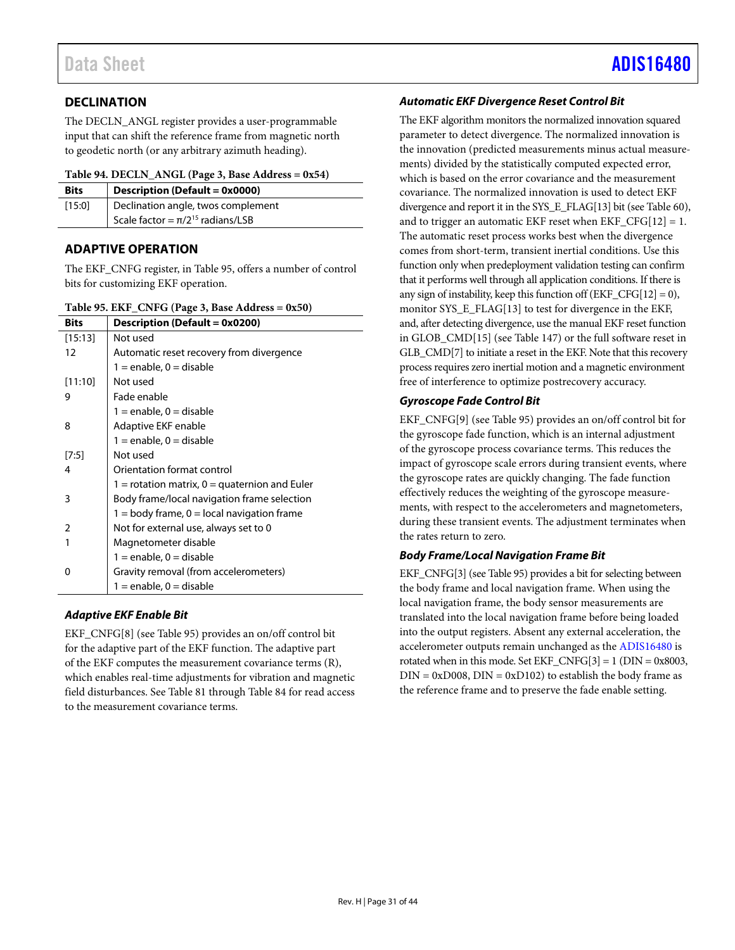# Data Sheet And a sheet Albert Advanced [ADIS16480](https://www.analog.com/ADIS16480?doc=ADIS16480.pdf) ADIS16480

### <span id="page-30-0"></span>**DECLINATION**

The DECLN\_ANGL register provides a user-programmable input that can shift the reference frame from magnetic north to geodetic north (or any arbitrary azimuth heading).

### <span id="page-30-3"></span>**Table 94. DECLN\_ANGL (Page 3, Base Address = 0x54)**

| <b>Bits</b> | <b>Description (Default = 0x0000)</b>   |
|-------------|-----------------------------------------|
| [15:0]      | Declination angle, twos complement      |
|             | Scale factor = $\pi/2^{15}$ radians/LSB |

### <span id="page-30-1"></span>**ADAPTIVE OPERATION**

The EKF\_CNFG register, in [Table 95,](#page-30-2) offers a number of control bits for customizing EKF operation.

<span id="page-30-2"></span>

|  | Table 95. EKF_CNFG (Page 3, Base Address = 0x50) |  |  |  |
|--|--------------------------------------------------|--|--|--|
|--|--------------------------------------------------|--|--|--|

| Bits    | Description (Default = 0x0200)                  |
|---------|-------------------------------------------------|
| [15:13] | Not used                                        |
| 12      | Automatic reset recovery from divergence        |
|         | $1 =$ enable, $0 =$ disable                     |
| [11:10] | Not used                                        |
| 9       | Fade enable                                     |
|         | $1 =$ enable, 0 = disable                       |
| 8       | Adaptive EKF enable                             |
|         | $1 =$ enable, 0 = disable                       |
| [7:5]   | Not used                                        |
| 4       | Orientation format control                      |
|         | 1 = rotation matrix, $0 =$ quaternion and Euler |
| 3       | Body frame/local navigation frame selection     |
|         | $1 =$ body frame, $0 =$ local navigation frame  |
| 2       | Not for external use, always set to 0           |
| 1       | Magnetometer disable                            |
|         | $1 =$ enable, 0 = disable                       |
| ŋ       | Gravity removal (from accelerometers)           |
|         | $1 =$ enable, 0 = disable                       |

### *Adaptive EKF Enable Bit*

EKF\_CNFG[8] (see [Table 95\)](#page-30-2) provides an on/off control bit for the adaptive part of the EKF function. The adaptive part of the EKF computes the measurement covariance terms (R), which enables real-time adjustments for vibration and magnetic field disturbances. Se[e Table 81](#page-28-8) through [Table 84](#page-28-9) for read access to the measurement covariance terms.

### *Automatic EKF Divergence Reset Control Bit*

The EKF algorithm monitors the normalized innovation squared parameter to detect divergence. The normalized innovation is the innovation (predicted measurements minus actual measurements) divided by the statistically computed expected error, which is based on the error covariance and the measurement covariance. The normalized innovation is used to detect EKF divergence and report it in the SYS\_E\_FLAG[13] bit (see [Table 60\)](#page-23-1), and to trigger an automatic EKF reset when  $EKF_CFG[12] = 1$ . The automatic reset process works best when the divergence comes from short-term, transient inertial conditions. Use this function only when predeployment validation testing can confirm that it performs well through all application conditions. If there is any sign of instability, keep this function off  $(EKF_CFG[12] = 0)$ , monitor SYS\_E\_FLAG[13] to test for divergence in the EKF, and, after detecting divergence, use the manual EKF reset function in GLOB\_CMD[15] (see [Table](#page-38-5) 147) or the full software reset in GLB\_CMD[7] to initiate a reset in the EKF. Note that this recovery process requires zero inertial motion and a magnetic environment free of interference to optimize postrecovery accuracy.

### *Gyroscope Fade Control Bit*

EKF\_CNFG[9] (see [Table 95\)](#page-30-2) provides an on/off control bit for the gyroscope fade function, which is an internal adjustment of the gyroscope process covariance terms. This reduces the impact of gyroscope scale errors during transient events, where the gyroscope rates are quickly changing. The fade function effectively reduces the weighting of the gyroscope measurements, with respect to the accelerometers and magnetometers, during these transient events. The adjustment terminates when the rates return to zero.

### *Body Frame/Local Navigation Frame Bit*

EKF\_CNFG[3] (se[e Table 95\)](#page-30-2) provides a bit for selecting between the body frame and local navigation frame. When using the local navigation frame, the body sensor measurements are translated into the local navigation frame before being loaded into the output registers. Absent any external acceleration, the accelerometer outputs remain unchanged as the [ADIS16480](https://www.analog.com/ADIS16480?doc=ADIS16480.pdf) is rotated when in this mode. Set EKF\_CNFG[3] = 1 (DIN =  $0x8003$ ,  $DIN = 0xD008$ ,  $DIN = 0xD102$ ) to establish the body frame as the reference frame and to preserve the fade enable setting.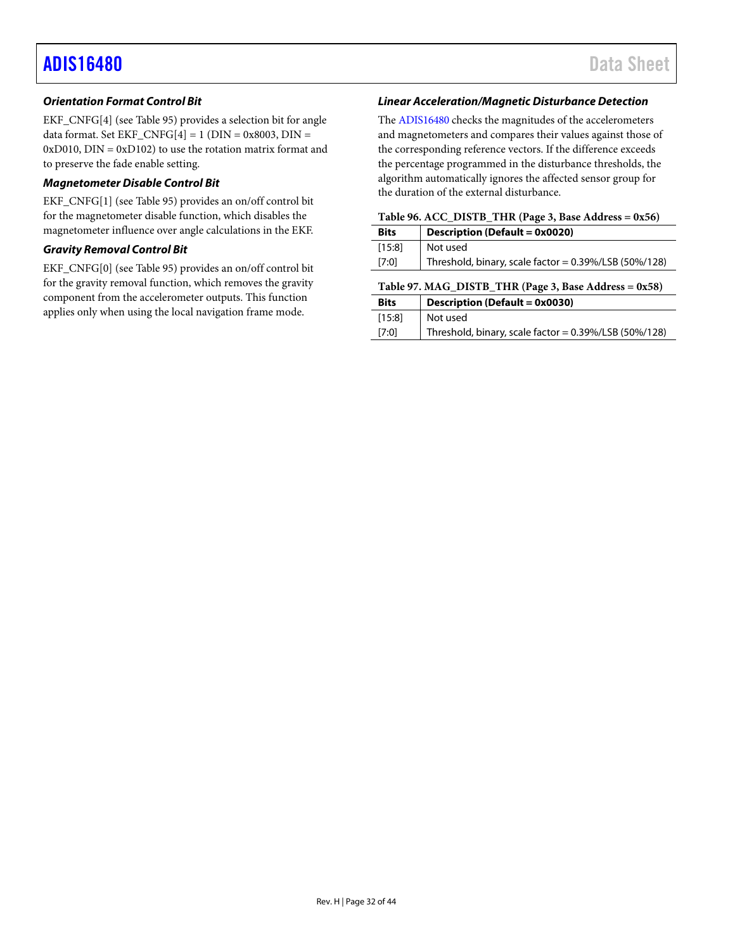### *Orientation Format Control Bit*

EKF\_CNFG[4] (see [Table 95\)](#page-30-2) provides a selection bit for angle data format. Set EKF\_CNFG[4] = 1 (DIN = 0x8003, DIN =  $0xD010$ ,  $DIN = 0xD102$ ) to use the rotation matrix format and to preserve the fade enable setting.

### *Magnetometer Disable Control Bit*

EKF\_CNFG[1] (see [Table 95\)](#page-30-2) provides an on/off control bit for the magnetometer disable function, which disables the magnetometer influence over angle calculations in the EKF.

### *Gravity Removal Control Bit*

EKF\_CNFG[0] (see [Table 95\)](#page-30-2) provides an on/off control bit for the gravity removal function, which removes the gravity component from the accelerometer outputs. This function applies only when using the local navigation frame mode.

### *Linear Acceleration/Magnetic Disturbance Detection*

The [ADIS16480](https://www.analog.com/ADIS16480?doc=ADIS16480.pdf) checks the magnitudes of the accelerometers and magnetometers and compares their values against those of the corresponding reference vectors. If the difference exceeds the percentage programmed in the disturbance thresholds, the algorithm automatically ignores the affected sensor group for the duration of the external disturbance.

<span id="page-31-0"></span>

<span id="page-31-1"></span>

| <b>Bits</b> | Description (Default = 0x0020)                           |  |
|-------------|----------------------------------------------------------|--|
| $[15:8]$    | Not used                                                 |  |
| [7:0]       | Threshold, binary, scale factor = $0.39\%/LSB$ (50%/128) |  |
|             | Table 97. MAG_DISTB_THR (Page 3, Base Address = 0x58)    |  |
|             |                                                          |  |
| <b>Bits</b> | <b>Description (Default = 0x0030)</b>                    |  |
| [15:8]      | Not used                                                 |  |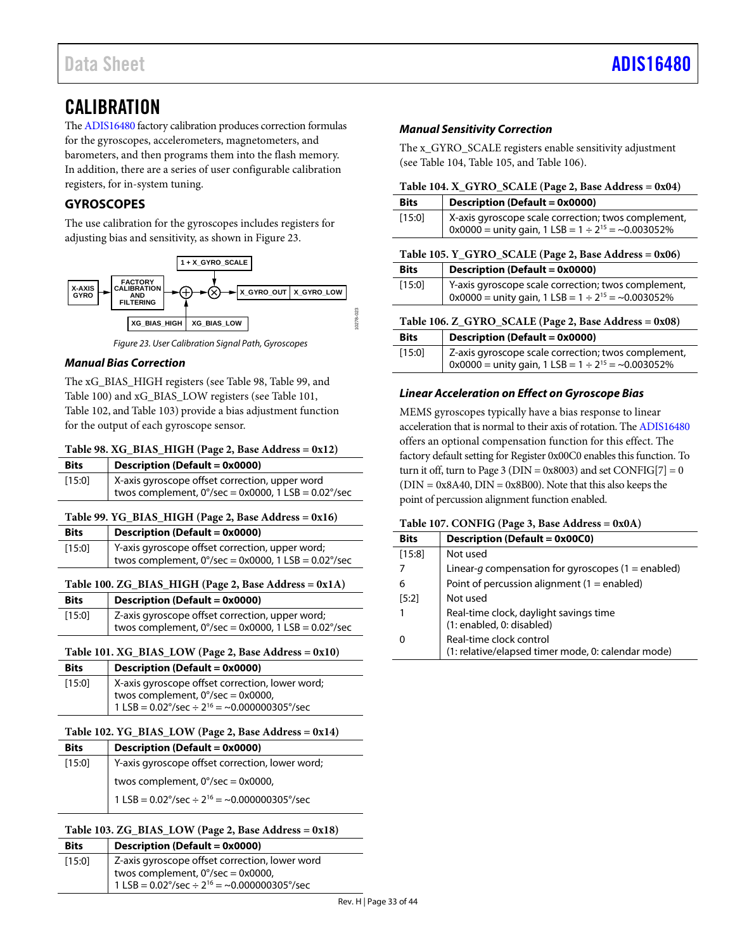## <span id="page-32-0"></span>**CALIBRATION**

Th[e ADIS16480](https://www.analog.com/ADIS16480?doc=ADIS16480.pdf) factory calibration produces correction formulas for the gyroscopes, accelerometers, magnetometers, and barometers, and then programs them into the flash memory. In addition, there are a series of user configurable calibration registers, for in-system tuning.

### <span id="page-32-1"></span>**GYROSCOPES**

The use calibration for the gyroscopes includes registers for adjusting bias and sensitivity, as shown in [Figure 23.](#page-32-12)



*Figure 23. User Calibration Signal Path, Gyroscopes*

### <span id="page-32-12"></span>*Manual Bias Correction*

The xG\_BIAS\_HIGH registers (see [Table 98,](#page-32-6) [Table 99,](#page-32-8) and [Table](#page-32-10) 100) and xG\_BIAS\_LOW registers (se[e Table 101,](#page-32-5)  [Table](#page-32-7) 102, an[d Table 103\)](#page-32-9) provide a bias adjustment function for the output of each gyroscope sensor.

### <span id="page-32-6"></span>**Table 98. XG\_BIAS\_HIGH (Page 2, Base Address = 0x12)**

| <b>Bits</b> | Description (Default = 0x0000)                                                                                  |
|-------------|-----------------------------------------------------------------------------------------------------------------|
| [15:0]      | X-axis gyroscope offset correction, upper word<br>twos complement, $0^{\circ}/sec = 0x0000$ , 1 LSB = 0.02°/sec |

### <span id="page-32-8"></span>**Table 99. YG\_BIAS\_HIGH (Page 2, Base Address = 0x16)**

| <b>Bits</b> | <b>Description (Default = 0x0000)</b>                                                                            |
|-------------|------------------------------------------------------------------------------------------------------------------|
| [15:0]      | Y-axis gyroscope offset correction, upper word;<br>twos complement, $0^{\circ}/sec = 0x0000$ , 1 LSB = 0.02°/sec |

### <span id="page-32-10"></span>**Table 100. ZG\_BIAS\_HIGH (Page 2, Base Address = 0x1A)**

| <b>Bits</b> | Description (Default = 0x0000)                                          |
|-------------|-------------------------------------------------------------------------|
| [15:0]      | Z-axis gyroscope offset correction, upper word;                         |
|             | twos complement, $0^{\circ}/sec = 0x0000$ , 1 LSB = 0.02 $^{\circ}/sec$ |

### <span id="page-32-5"></span>**Table 101. XG\_BIAS\_LOW (Page 2, Base Address = 0x10)**

| <b>Bits</b> | Description (Default = 0x0000)                                                                                                                                             |
|-------------|----------------------------------------------------------------------------------------------------------------------------------------------------------------------------|
| [15:0]      | X-axis gyroscope offset correction, lower word;<br>twos complement, $0^{\circ}/sec = 0 \times 0000$ ,<br>1 LSB = $0.02^{\circ}/sec \div 2^{16} = -0.000000305^{\circ}/sec$ |

### <span id="page-32-7"></span>**Table 102. YG\_BIAS\_LOW (Page 2, Base Address = 0x14)**

| <b>Bits</b> | <b>Description (Default = 0x0000)</b>                             |
|-------------|-------------------------------------------------------------------|
| [15:0]      | Y-axis gyroscope offset correction, lower word;                   |
|             | twos complement, $0^{\circ}/sec = 0 \times 0000$ ,                |
|             | 1 LSB = $0.02^{\circ}/sec \div 2^{16} = -0.000000305^{\circ}/sec$ |

### <span id="page-32-9"></span>**Table 103. ZG\_BIAS\_LOW (Page 2, Base Address = 0x18)**

| <b>Bits</b> | Description (Default = 0x0000)                                                                                                                                            |
|-------------|---------------------------------------------------------------------------------------------------------------------------------------------------------------------------|
| [15:0]      | Z-axis gyroscope offset correction, lower word<br>twos complement, $0^{\circ}/sec = 0 \times 0000$ ,<br>1 LSB = $0.02^{\circ}/sec \div 2^{16} = -0.000000305^{\circ}/sec$ |

### *Manual Sensitivity Correction*

The x\_GYRO\_SCALE registers enable sensitivity adjustment (see [Table 104,](#page-32-2) [Table 105,](#page-32-3) an[d Table 106\)](#page-32-4).

### <span id="page-32-2"></span>**Table 104. X\_GYRO\_SCALE (Page 2, Base Address = 0x04)**

<span id="page-32-3"></span>

| <b>Bits</b>                                           | <b>Description (Default = 0x0000)</b>                                                                               |  |
|-------------------------------------------------------|---------------------------------------------------------------------------------------------------------------------|--|
| [15:0]                                                | X-axis gyroscope scale correction; twos complement,<br>$0x0000 =$ unity gain, 1 LSB = $1 \div 2^{15} = -0.003052\%$ |  |
|                                                       | Table 105. Y_GYRO_SCALE (Page 2, Base Address = 0x06)                                                               |  |
| <b>Bits</b>                                           | Description (Default = 0x0000)                                                                                      |  |
| [15:0]                                                | Y-axis gyroscope scale correction; twos complement,<br>0x0000 = unity gain, 1 LSB = $1 \div 2^{15}$ = ~0.003052%    |  |
| Table 106. Z_GYRO_SCALE (Page 2, Base Address = 0x08) |                                                                                                                     |  |
| <b>Bits</b>                                           | Description (Default = 0x0000)                                                                                      |  |
| [15:0]                                                | Z-axis gyroscope scale correction; twos complement,<br>0x0000 = unity gain, 1 LSB = $1 \div 2^{15}$ = ~0.003052%    |  |

### <span id="page-32-4"></span>*Linear Acceleration on Effect on Gyroscope Bias*

MEMS gyroscopes typically have a bias response to linear acceleration that is normal to their axis of rotation. Th[e ADIS16480](https://www.analog.com/ADIS16480?doc=ADIS16480.pdf) offers an optional compensation function for this effect. The factory default setting for Register 0x00C0 enables this function. To turn it off, turn to Page 3 ( $DIN = 0x8003$ ) and set  $CONFIG[7] = 0$  $(DIN = 0x8A40, DIN = 0x8B00)$ . Note that this also keeps the point of percussion alignment function enabled.

### <span id="page-32-11"></span>**Table 107. CONFIG (Page 3, Base Address = 0x0A)**

| <b>Bits</b> | Description (Default = 0x00C0)                                                |
|-------------|-------------------------------------------------------------------------------|
| [15:8]      | Not used                                                                      |
|             | Linear-q compensation for gyroscopes (1 = enabled)                            |
| 6           | Point of percussion alignment $(1 =$ enabled)                                 |
| [5:2]       | Not used                                                                      |
|             | Real-time clock, daylight savings time<br>(1: enabled, 0: disabled)           |
| 0           | Real-time clock control<br>(1: relative/elapsed timer mode, 0: calendar mode) |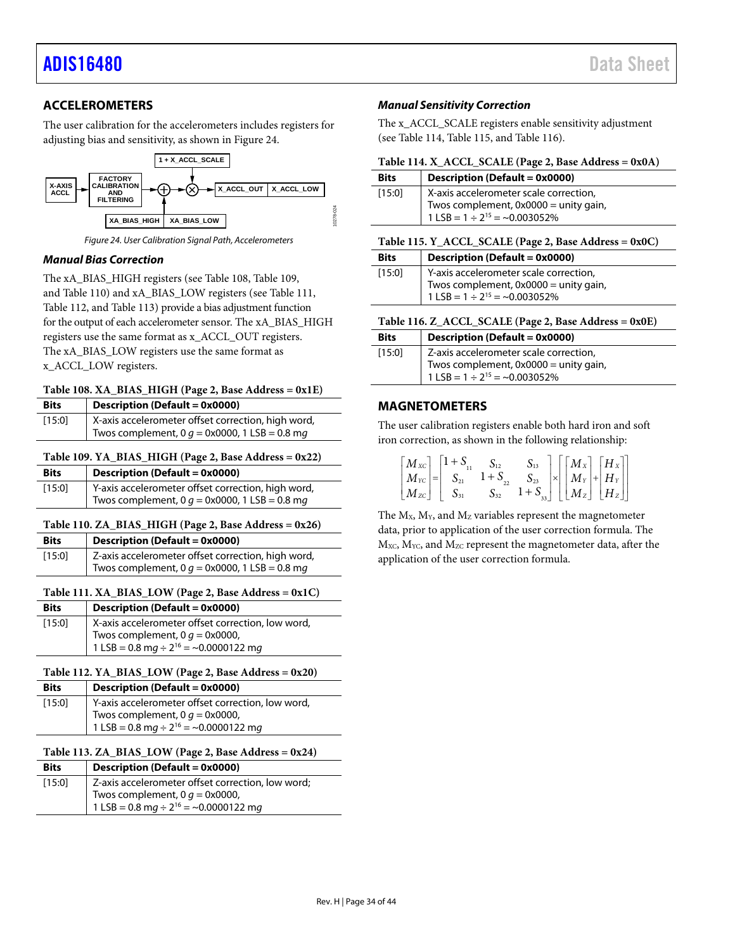### <span id="page-33-0"></span>**ACCELEROMETERS**

The user calibration for the accelerometers includes registers for adjusting bias and sensitivity, as shown in [Figure 24.](#page-33-11)



*Figure 24. User Calibration Signal Path, Accelerometers*

### <span id="page-33-11"></span>*Manual Bias Correction*

The xA\_BIAS\_HIGH registers (see [Table 108,](#page-33-6) [Table 109,](#page-33-8)  an[d Table 110\)](#page-33-10) and xA\_BIAS\_LOW registers (see [Table 111,](#page-33-5) [Table](#page-33-7) 112, and [Table 113\)](#page-33-9) provide a bias adjustment function for the output of each accelerometer sensor. The xA\_BIAS\_HIGH registers use the same format as x\_ACCL\_OUT registers. The xA\_BIAS\_LOW registers use the same format as x\_ACCL\_LOW registers.

<span id="page-33-6"></span>

| <b>Bits</b> | <b>Description (Default = 0x0000)</b>                   |
|-------------|---------------------------------------------------------|
| [15:0]      | X-axis accelerometer offset correction, high word,      |
|             | Twos complement, 0 $q = 0 \times 0000$ , 1 LSB = 0.8 mg |

### <span id="page-33-8"></span>**Table 109. YA\_BIAS\_HIGH (Page 2, Base Address = 0x22)**

| <b>Bits</b> | <b>Description (Default = 0x0000)</b>                   |
|-------------|---------------------------------------------------------|
| [15:0]      | Y-axis accelerometer offset correction, high word,      |
|             | Twos complement, 0 $q = 0 \times 0000$ , 1 LSB = 0.8 mg |

### <span id="page-33-10"></span>**Table 110. ZA\_BIAS\_HIGH (Page 2, Base Address = 0x26)**

| <b>Bits</b> | <b>Description (Default = 0x0000)</b>                   |
|-------------|---------------------------------------------------------|
| [15:0]      | Z-axis accelerometer offset correction, high word,      |
|             | Twos complement, 0 $q = 0 \times 0000$ , 1 LSB = 0.8 mg |

#### <span id="page-33-5"></span>Table 111.  $XA\_BIAS\_LOW$  (Page 2, Base Address =  $0x1C$ ) **Bits Description (Default = 0x0000)**

| <b>BITS</b> | Description (Default = 0x0000)                        |
|-------------|-------------------------------------------------------|
| [15:0]      | X-axis accelerometer offset correction, low word,     |
|             | Twos complement, 0 $g = 0 \times 0000$ ,              |
|             | 1 LSB = 0.8 mg $\div$ 2 <sup>16</sup> = ~0.0000122 mg |

### <span id="page-33-7"></span>**Table 112. YA\_BIAS\_LOW (Page 2, Base Address = 0x20)**

| <b>Bits</b> | Description (Default = 0x0000)                        |
|-------------|-------------------------------------------------------|
| [15:0]      | Y-axis accelerometer offset correction, low word,     |
|             | Twos complement, 0 $q = 0 \times 0000$ ,              |
|             | 1 LSB = 0.8 mg $\div$ 2 <sup>16</sup> = ~0.0000122 mg |

### <span id="page-33-9"></span>**Table 113. ZA\_BIAS\_LOW (Page 2, Base Address = 0x24)**

| <b>Bits</b> | Description (Default = 0x0000)                                                                                                                         |
|-------------|--------------------------------------------------------------------------------------------------------------------------------------------------------|
| [15:0]      | Z-axis accelerometer offset correction, low word;<br>Twos complement, 0 $g = 0 \times 0000$ ,<br>1 LSB = 0.8 mg $\div$ 2 <sup>16</sup> = ~0.0000122 mg |

### *Manual Sensitivity Correction*

The x ACCL SCALE registers enable sensitivity adjustment (see [Table 114,](#page-33-2) [Table 115,](#page-33-3) an[d Table 116\)](#page-33-4).

<span id="page-33-2"></span>

|  |  |  |  |  | Table 114. X_ACCL_SCALE (Page 2, Base Address = 0x0A) |
|--|--|--|--|--|-------------------------------------------------------|
|--|--|--|--|--|-------------------------------------------------------|

| <b>Bits</b> | Description (Default = 0x0000)                                                                                             |
|-------------|----------------------------------------------------------------------------------------------------------------------------|
| $[15:0]$    | X-axis accelerometer scale correction,<br>Twos complement, $0x0000 =$ unity gain,<br>1 LSB = $1 \div 2^{15} = -0.003052\%$ |
|             | $T_2$ kla 115 V ACCL SCALE (Daga 2 Daga Adduara - 0x0C)                                                                    |

<span id="page-33-3"></span>

| Table 115. $\Gamma$ ACCL SCALE (Page 2, base Address = 0x0C) |                                        |  |  |  |
|--------------------------------------------------------------|----------------------------------------|--|--|--|
| <b>Bits</b>                                                  | <b>Description (Default = 0x0000)</b>  |  |  |  |
| [15:0]                                                       | Y-axis accelerometer scale correction, |  |  |  |
|                                                              | Tues complement $0.0000 - \text{unit}$ |  |  |  |

<span id="page-33-4"></span>

| Table 116. Z_ACCL_SCALE (Page 2, Base Address = 0x0E) |  |  |  |  |  |  |
|-------------------------------------------------------|--|--|--|--|--|--|
|-------------------------------------------------------|--|--|--|--|--|--|

| <b>Bits</b> | <b>Description (Default = 0x0000)</b>                                                                                     |
|-------------|---------------------------------------------------------------------------------------------------------------------------|
| [15:0]      | Z-axis accelerometer scale correction,<br>Twos complement, 0x0000 = unity gain,<br>$1$ LSB = $1 \div 2^{15}$ = ~0.003052% |

### <span id="page-33-1"></span>**MAGNETOMETERS**

The user calibration registers enable both hard iron and soft iron correction, as shown in the following relationship:

| $\begin{bmatrix} M_{\text{xc}} \\ M_{\text{yc}} \\ M_{\text{zc}} \end{bmatrix} = \begin{bmatrix} 1 + S_{11} & S_{12} & S_{13} \\ S_{21} & 1 + S_{22} & S_{23} \\ S_{31} & S_{32} & 1 + S_{33} \end{bmatrix} \times \begin{bmatrix} M_{\text{xx}} \\ M_{\text{y}} \\ M_{\text{z}} \end{bmatrix} + \begin{bmatrix} H_{\text{x}} \\ H_{\text{y}} \\ H_{\text{z}} \end{bmatrix}$ |  |  |  |  |
|------------------------------------------------------------------------------------------------------------------------------------------------------------------------------------------------------------------------------------------------------------------------------------------------------------------------------------------------------------------------------|--|--|--|--|

The  $M_X$ ,  $M_Y$ , and  $M_Z$  variables represent the magnetometer data, prior to application of the user correction formula. The  $M_{\text{XC}}$ ,  $M_{\text{YC}}$ , and  $M_{\text{ZC}}$  represent the magnetometer data, after the application of the user correction formula.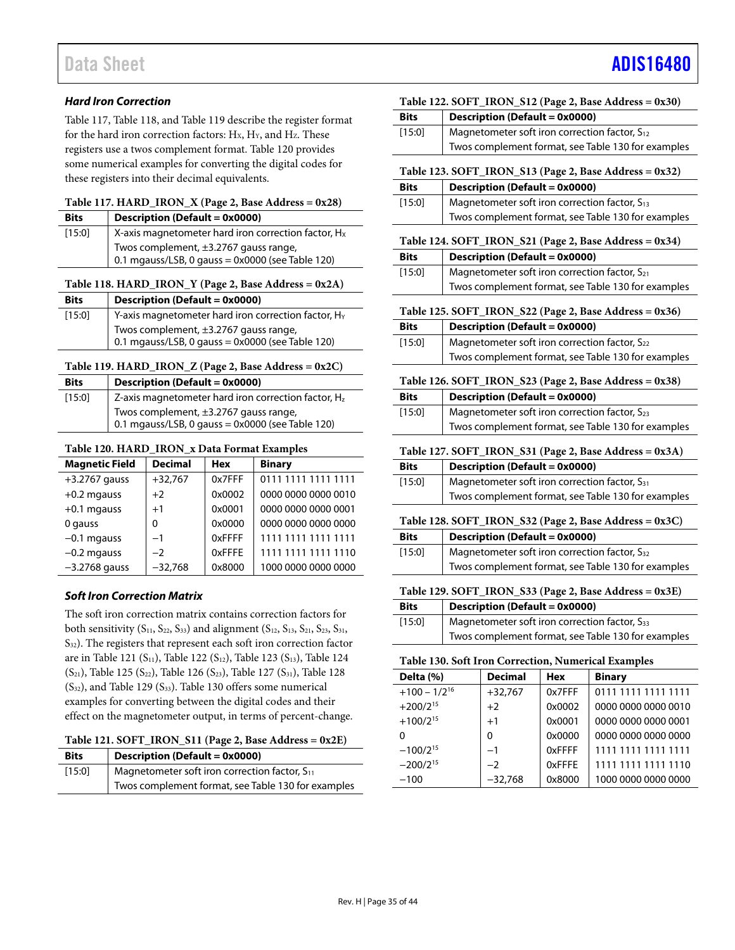### *Hard Iron Correction*

[Table 117,](#page-34-0) [Table 118,](#page-34-1) an[d Table 119](#page-34-2) describe the register format for the hard iron correction factors:  $H_X$ ,  $H_Y$ , and  $H_Z$ . These registers use a twos complement format. [Table 120](#page-34-12) provides some numerical examples for converting the digital codes for these registers into their decimal equivalents.

### <span id="page-34-0"></span>**Table 117. HARD\_IRON\_X (Page 2, Base Address = 0x28)**

| <b>Bits</b> | Description (Default = $0x0000$ )                                                                |
|-------------|--------------------------------------------------------------------------------------------------|
| [15:0]      | X-axis magnetometer hard iron correction factor, $H_x$                                           |
|             | Twos complement, $\pm$ 3.2767 gauss range,<br>0.1 mgauss/LSB, 0 gauss = $0x0000$ (see Table 120) |

### <span id="page-34-1"></span>**Table 118. HARD\_IRON\_Y (Page 2, Base Address = 0x2A)**

| <b>Bits</b> | Description (Default = 0x0000)                                                              |
|-------------|---------------------------------------------------------------------------------------------|
| [15:0]      | Y-axis magnetometer hard iron correction factor, H <sub>Y</sub>                             |
|             | Twos complement, ±3.2767 gauss range,<br>0.1 mgauss/LSB, 0 gauss = $0x0000$ (see Table 120) |

### <span id="page-34-2"></span>**Table 119. HARD\_IRON\_Z (Page 2, Base Address = 0x2C)**

| <b>Bits</b> | Description (Default = 0x0000)                                                              |
|-------------|---------------------------------------------------------------------------------------------|
| [15:0]      | Z-axis magnetometer hard iron correction factor, Hz                                         |
|             | Twos complement, ±3.2767 gauss range,<br>0.1 mgauss/LSB, 0 gauss = $0x0000$ (see Table 120) |

### <span id="page-34-12"></span>**Table 120. HARD\_IRON\_x Data Format Examples**

| <b>Magnetic Field</b> | <b>Decimal</b> | <b>Hex</b> | <b>Binary</b>       |
|-----------------------|----------------|------------|---------------------|
| $+3.2767$ gauss       | $+32,767$      | 0x7FFF     | 0111 1111 1111 1111 |
| $+0.2$ mgauss         | $+2$           | 0x0002     | 0000 0000 0000 0010 |
| $+0.1$ mgauss         | $+1$           | 0x0001     | 0000 0000 0000 0001 |
| 0 gauss               | 0              | 0x0000     | 0000 0000 0000 0000 |
| $-0.1$ mgauss         | $-1$           | 0xFFFF     | 1111 1111 1111 1111 |
| $-0.2$ mgauss         | $-2$           | 0xFFFE     | 1111 1111 1111 1110 |
| $-3.2768$ gauss       | $-32,768$      | 0x8000     | 1000 0000 0000 0000 |

### *Soft Iron Correction Matrix*

The soft iron correction matrix contains correction factors for both sensitivity  $(S_{11}, S_{22}, S_{33})$  and alignment  $(S_{12}, S_{13}, S_{21}, S_{23}, S_{31}, S_{32})$ S32). The registers that represent each soft iron correction factor are i[n Table 121](#page-34-3) (S<sub>11</sub>)[, Table 122](#page-34-4) (S<sub>12</sub>)[, Table 123](#page-34-5) (S<sub>13</sub>)[, Table 124](#page-34-6)  $(S_{21})$ [, Table 125](#page-34-7)  $(S_{22})$ [, Table 126](#page-34-8)  $(S_{23})$ [, Table 127](#page-34-9)  $(S_{31})$ [, Table 128](#page-34-10)  $(S_{32})$ , and [Table 129](#page-34-11)  $(S_{33})$ . [Table 130](#page-34-13) offers some numerical examples for converting between the digital codes and their effect on the magnetometer output, in terms of percent-change.

### <span id="page-34-3"></span>**Table 121. SOFT\_IRON\_S11 (Page 2, Base Address = 0x2E)**

| <b>Bits</b> | <b>Description (Default = 0x0000)</b>              |
|-------------|----------------------------------------------------|
| [15:0]      | Magnetometer soft iron correction factor, $S_{11}$ |
|             | Twos complement format, see Table 130 for examples |

<span id="page-34-4"></span>

| Table 122. SOFT_IRON_S12 (Page 2, Base Address = 0x30) |                                                           |  |
|--------------------------------------------------------|-----------------------------------------------------------|--|
| <b>Bits</b>                                            | Description (Default = 0x0000)                            |  |
| $[15:0]$                                               | Magnetometer soft iron correction factor, $S_{12}$        |  |
|                                                        | Twos complement format, see Table 130 for examples        |  |
|                                                        | Table 123. SOFT_IRON_S13 (Page 2, Base Address = $0x32$ ) |  |
| <b>Bits</b>                                            | <b>Description (Default = 0x0000)</b>                     |  |
| [15:0]                                                 | Magnetometer soft iron correction factor, S <sub>13</sub> |  |

<span id="page-34-5"></span>

| 11.5.01 | <b>Magnetonieter Sort Hon Correction ractor, 313</b> |
|---------|------------------------------------------------------|
|         | Twos complement format, see Table 130 for examples   |
|         |                                                      |

### <span id="page-34-6"></span>**Table 124. SOFT\_IRON\_S21 (Page 2, Base Address = 0x34)**

<span id="page-34-9"></span><span id="page-34-8"></span><span id="page-34-7"></span>

|                                                        | Table 124. SOFT_IRON_S21 (Page 2, Base Address = $(x34)$ ) |  |
|--------------------------------------------------------|------------------------------------------------------------|--|
| <b>Bits</b>                                            | <b>Description (Default = 0x0000)</b>                      |  |
| [15:0]                                                 | Magnetometer soft iron correction factor, $S_{21}$         |  |
|                                                        | Twos complement format, see Table 130 for examples         |  |
|                                                        | Table 125. SOFT_IRON_S22 (Page 2, Base Address = 0x36)     |  |
| <b>Bits</b>                                            | <b>Description (Default = 0x0000)</b>                      |  |
| $[15:0]$                                               | Magnetometer soft iron correction factor, S22              |  |
|                                                        | Twos complement format, see Table 130 for examples         |  |
|                                                        | Table 126. SOFT_IRON_S23 (Page 2, Base Address = 0x38)     |  |
| <b>Bits</b>                                            | <b>Description (Default = 0x0000)</b>                      |  |
| [15:0]                                                 | Magnetometer soft iron correction factor, S23              |  |
|                                                        | Twos complement format, see Table 130 for examples         |  |
| Table 127. SOFT_IRON_S31 (Page 2, Base Address = 0x3A) |                                                            |  |
| <b>Bits</b>                                            |                                                            |  |
|                                                        | <b>Description (Default = 0x0000)</b>                      |  |
| $[15:0]$                                               | Magnetometer soft iron correction factor, S31              |  |
|                                                        | Twos complement format, see Table 130 for examples         |  |
|                                                        | Table 128. SOFT_IRON_S32 (Page 2, Base Address = 0x3C)     |  |
| <b>Bits</b>                                            | <b>Description (Default = 0x0000)</b>                      |  |
| [15:0]                                                 | Magnetometer soft iron correction factor, S32              |  |
|                                                        | Twos complement format, see Table 130 for examples         |  |
|                                                        | Table 129. SOFT_IRON_S33 (Page 2, Base Address = 0x3E)     |  |
| <b>Bits</b>                                            | <b>Description (Default = 0x0000)</b>                      |  |
| [15:0]                                                 | Magnetometer soft iron correction factor, S33              |  |

### <span id="page-34-13"></span><span id="page-34-11"></span><span id="page-34-10"></span>**Table 130. Soft Iron Correction, Numerical Examples**

| Delta (%)         | <b>Decimal</b> | <b>Hex</b> | <b>Binary</b>       |
|-------------------|----------------|------------|---------------------|
| $+100 - 1/2^{16}$ | $+32,767$      | 0x7FFF     | 0111 1111 1111 1111 |
| $+200/2^{15}$     | $+2$           | 0x0002     | 0000 0000 0000 0010 |
| $+100/2^{15}$     | $+1$           | 0x0001     | 0000 0000 0000 0001 |
| 0                 | $\mathbf{0}$   | 0x0000     | 0000 0000 0000 0000 |
| $-100/2^{15}$     | $-1$           | 0xFFFF     | 1111 1111 1111 1111 |
| $-200/2^{15}$     | $-2$           | 0xFFFE     | 1111 1111 1111 1110 |
| $-100$            | $-32,768$      | 0x8000     | 1000 0000 0000 0000 |
|                   |                |            |                     |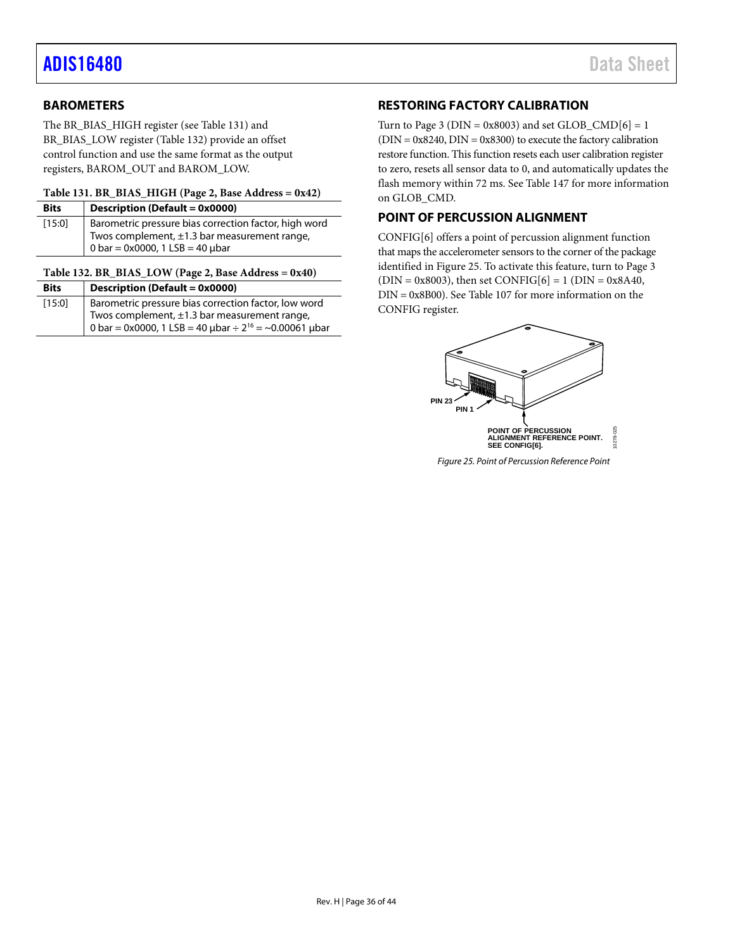### <span id="page-35-0"></span>**BAROMETERS**

The BR\_BIAS\_HIGH register (se[e Table 131\)](#page-35-4) and BR\_BIAS\_LOW register [\(Table 132\)](#page-35-3) provide an offset control function and use the same format as the output registers, BAROM\_OUT and BAROM\_LOW.

### <span id="page-35-4"></span>**Table 131. BR\_BIAS\_HIGH (Page 2, Base Address = 0x42)**

| <b>Bits</b> | Description (Default = 0x0000)                                          |
|-------------|-------------------------------------------------------------------------|
| [15:0]      | Barometric pressure bias correction factor, high word                   |
|             | Twos complement, $\pm 1.3$ bar measurement range,                       |
|             | $10 \text{ bar} = 0 \times 0000$ , $1 \text{ LSB} = 40 \text{ \mu bar}$ |

### <span id="page-35-3"></span>**Table 132. BR\_BIAS\_LOW (Page 2, Base Address = 0x40)**

| <b>Bits</b> | Description (Default = $0x0000$ )                                           |
|-------------|-----------------------------------------------------------------------------|
| [15:0]      | Barometric pressure bias correction factor, low word                        |
|             | Twos complement, ±1.3 bar measurement range,                                |
|             | 0 bar = 0x0000, 1 LSB = 40 $\mu$ bar ÷ 2 <sup>16</sup> = ~0.00061 $\mu$ bar |

### <span id="page-35-1"></span>**RESTORING FACTORY CALIBRATION**

Turn to Page 3 ( $DIN = 0x8003$ ) and set  $GLOB\_CMD[6] = 1$  $(DIN = 0x8240, DIN = 0x8300)$  to execute the factory calibration restore function. This function resets each user calibration register to zero, resets all sensor data to 0, and automatically updates the flash memory within 72 ms. See [Table](#page-38-5) 147 for more information on GLOB\_CMD.

### <span id="page-35-2"></span>**POINT OF PERCUSSION ALIGNMENT**

CONFIG[6] offers a point of percussion alignment function that maps the accelerometer sensors to the corner of the package identified i[n Figure 25.](#page-35-5) To activate this feature, turn to Page 3  $(DIN = 0x8003)$ , then set CONFIG[6] = 1 (DIN = 0x8A40, DIN = 0x8B00). Se[e Table 107](#page-32-11) for more information on the CONFIG register.



<span id="page-35-5"></span>*Figure 25. Point of Percussion Reference Point*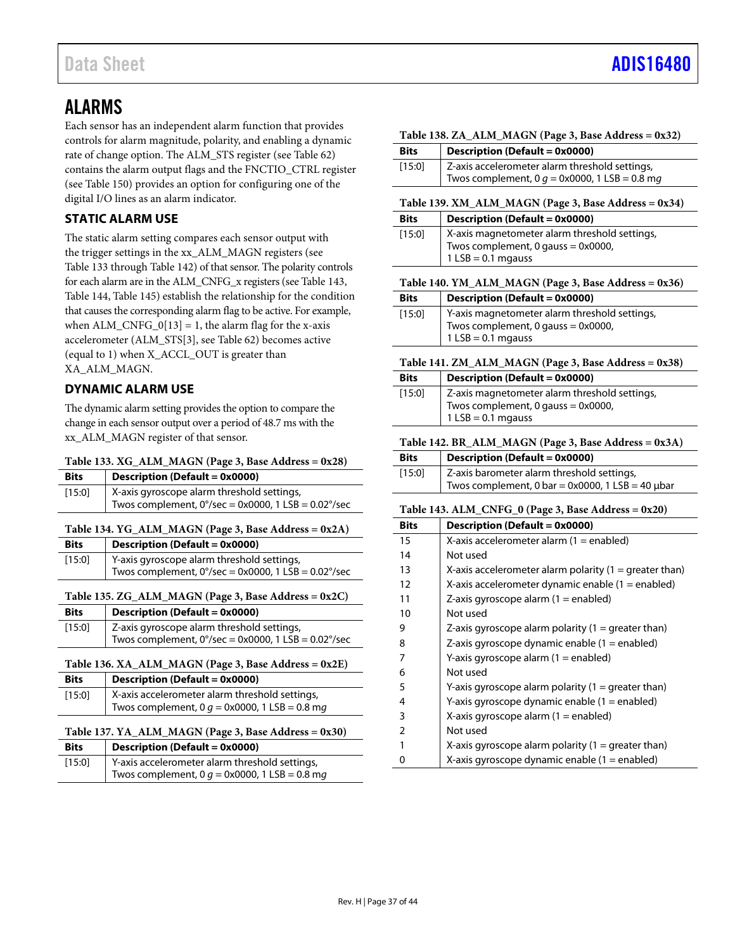### <span id="page-36-0"></span>ALARMS

Each sensor has an independent alarm function that provides controls for alarm magnitude, polarity, and enabling a dynamic rate of change option. The ALM\_STS register (see [Table 62\)](#page-23-3) contains the alarm output flags and the FNCTIO\_CTRL register (see [Table](#page-39-2) 150) provides an option for configuring one of the digital I/O lines as an alarm indicator.

### <span id="page-36-1"></span>**STATIC ALARM USE**

The static alarm setting compares each sensor output with the trigger settings in the xx\_ALM\_MAGN registers (see [Table](#page-36-4) 133 throug[h Table 142\)](#page-36-13) of that sensor. The polarity controls for each alarm are in the ALM\_CNFG\_x registers (se[e Table 143,](#page-36-3) [Table](#page-37-0) 144[, Table 145\)](#page-37-1) establish the relationship for the condition that causes the corresponding alarm flag to be active. For example, when  $ALM_CNFG_0[13] = 1$ , the alarm flag for the x-axis accelerometer (ALM\_STS[3], se[e Table 62\)](#page-23-3) becomes active (equal to 1) when X\_ACCL\_OUT is greater than XA\_ALM\_MAGN.

### <span id="page-36-2"></span>**DYNAMIC ALARM USE**

The dynamic alarm setting provides the option to compare the change in each sensor output over a period of 48.7 ms with the xx\_ALM\_MAGN register of that sensor.

<span id="page-36-4"></span>

|  | Table 133. XG_ALM_MAGN (Page 3, Base Address = 0x28) |
|--|------------------------------------------------------|
|--|------------------------------------------------------|

| <b>Bits</b> | <b>Description (Default = 0x0000)</b>                         |
|-------------|---------------------------------------------------------------|
| [15:0]      | X-axis gyroscope alarm threshold settings,                    |
|             | Twos complement, $0^{\circ}/sec = 0x0000$ , 1 LSB = 0.02°/sec |

### <span id="page-36-5"></span>**Table 134. YG\_ALM\_MAGN (Page 3, Base Address = 0x2A)**

| <b>Bits</b> | $\vert$ Description (Default = 0x0000)                                         |
|-------------|--------------------------------------------------------------------------------|
| [15:0]      | Y-axis gyroscope alarm threshold settings,                                     |
|             | Twos complement, $0^{\circ}/sec = 0 \times 0000$ , 1 LSB = 0.02 $^{\circ}/sec$ |

<span id="page-36-6"></span>**Table 135. ZG\_ALM\_MAGN (Page 3, Base Address = 0x2C)**

| <b>Bits</b> | <b>Description (Default = 0x0000)</b>                                          |
|-------------|--------------------------------------------------------------------------------|
| [15:0]      | Z-axis gyroscope alarm threshold settings,                                     |
|             | Twos complement, $0^{\circ}/sec = 0 \times 0000$ , 1 LSB = 0.02 $^{\circ}/sec$ |

```
Table 136. XA_ALM_MAGN (Page 3, Base Address = 0x2E)
```

| <b>Bits</b> | Description (Default = $0x0000$ )                |
|-------------|--------------------------------------------------|
| [15:0]      | X-axis accelerometer alarm threshold settings,   |
|             | Twos complement, 0 $q = 0x0000$ , 1 LSB = 0.8 mg |

### <span id="page-36-8"></span>**Table 137. YA\_ALM\_MAGN (Page 3, Base Address = 0x30)**

| <b>Bits</b> | <b>Description (Default = 0x0000)</b>            |
|-------------|--------------------------------------------------|
| [15:0]      | Y-axis accelerometer alarm threshold settings,   |
|             | Twos complement, 0 $q = 0x0000$ , 1 LSB = 0.8 mg |

<span id="page-36-9"></span>

|  |  |  |  |  | Table 138. ZA_ALM_MAGN (Page 3, Base Address = 0x32) |
|--|--|--|--|--|------------------------------------------------------|
|--|--|--|--|--|------------------------------------------------------|

| <b>Bits</b> | <b>Description (Default = 0x0000)</b>            |
|-------------|--------------------------------------------------|
| [15:0]      | Z-axis accelerometer alarm threshold settings,   |
|             | Twos complement, 0 $g = 0x0000$ , 1 LSB = 0.8 mg |

### <span id="page-36-10"></span>**Table 139. XM\_ALM\_MAGN (Page 3, Base Address = 0x34)**

| <b>Bits</b> | Description (Default = $0x0000$ )                                                                           |
|-------------|-------------------------------------------------------------------------------------------------------------|
| [15:0]      | X-axis magnetometer alarm threshold settings,<br>Twos complement, 0 gauss = 0x0000,<br>$1$ LSB = 0.1 mgauss |

<span id="page-36-11"></span>**Table 140. YM\_ALM\_MAGN (Page 3, Base Address = 0x36)**

| <b>Bits</b> | Description (Default = 0x0000)                                                                                |
|-------------|---------------------------------------------------------------------------------------------------------------|
| [15:0]      | Y-axis magnetometer alarm threshold settings,<br>Twos complement, $0$ gauss = 0x0000,<br>$1$ LSB = 0.1 mgauss |

### <span id="page-36-12"></span>**Table 141. ZM\_ALM\_MAGN (Page 3, Base Address = 0x38)**

| <b>Bits</b> | Description (Default = 0x0000)                                                                                |
|-------------|---------------------------------------------------------------------------------------------------------------|
| $[15:0]$    | Z-axis magnetometer alarm threshold settings,<br>Twos complement, $0$ gauss = 0x0000,<br>$1$ LSB = 0.1 mgauss |

### <span id="page-36-13"></span>**Table 142. BR\_ALM\_MAGN (Page 3, Base Address = 0x3A)**

| <b>Bits</b> | <b>Description (Default = 0x0000)</b>                 |
|-------------|-------------------------------------------------------|
| [15:0]      | Z-axis barometer alarm threshold settings,            |
|             | Twos complement, 0 bar = 0x0000, 1 LSB = 40 $\mu$ bar |

### <span id="page-36-3"></span>**Table 143. ALM\_CNFG\_0 (Page 3, Base Address = 0x20)**

| <b>Bits</b>   | Description (Default = 0x0000)                           |
|---------------|----------------------------------------------------------|
| 15            | X-axis accelerometer alarm $(1 =$ enabled)               |
| 14            | Not used                                                 |
| 13            | X-axis accelerometer alarm polarity $(1 =$ greater than) |
| 12            | X-axis accelerometer dynamic enable $(1 =$ enabled)      |
| 11            | $Z$ -axis gyroscope alarm (1 = enabled)                  |
| 10            | Not used                                                 |
| 9             | Z-axis gyroscope alarm polarity $(1 =$ greater than)     |
| 8             | Z-axis gyroscope dynamic enable $(1 =$ enabled)          |
| 7             | Y-axis gyroscope alarm (1 = enabled)                     |
| 6             | Not used                                                 |
| 5             | Y-axis gyroscope alarm polarity $(1 =$ greater than)     |
| 4             | Y-axis gyroscope dynamic enable $(1 =$ enabled)          |
| 3             | X-axis gyroscope alarm $(1 =$ enabled)                   |
| $\mathcal{P}$ | Not used                                                 |
| 1             | X-axis gyroscope alarm polarity $(1 =$ greater than)     |
| 0             | X-axis gyroscope dynamic enable $(1 =$ enabled)          |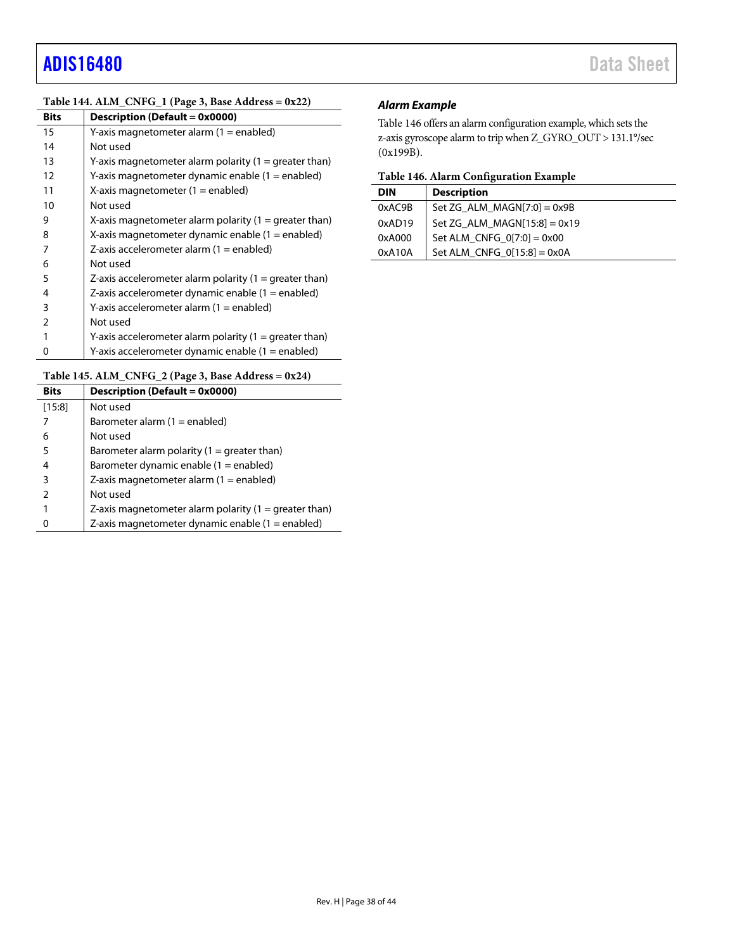### <span id="page-37-0"></span>**Table 144. ALM\_CNFG\_1 (Page 3, Base Address = 0x22)**

| <b>Bits</b>   | Description (Default = 0x0000)                           |
|---------------|----------------------------------------------------------|
| 15            | Y-axis magnetometer alarm (1 = enabled)                  |
| 14            | Not used                                                 |
| 13            | Y-axis magnetometer alarm polarity $(1 =$ greater than)  |
| 12            | Y-axis magnetometer dynamic enable (1 = enabled)         |
| 11            | X-axis magnetometer $(1 =$ enabled)                      |
| 10            | Not used                                                 |
| 9             | X-axis magnetometer alarm polarity $(1 =$ greater than)  |
| 8             | X-axis magnetometer dynamic enable $(1 =$ enabled)       |
| 7             | Z-axis accelerometer alarm $(1 =$ enabled)               |
| 6             | Not used                                                 |
| 5             | Z-axis accelerometer alarm polarity $(1 =$ greater than) |
| 4             | Z-axis accelerometer dynamic enable $(1 =$ enabled)      |
| 3             | Y-axis accelerometer alarm (1 = enabled)                 |
| $\mathcal{P}$ | Not used                                                 |
|               | Y-axis accelerometer alarm polarity $(1 =$ greater than) |
| 0             | Y-axis accelerometer dynamic enable $(1 =$ enabled)      |

### <span id="page-37-1"></span>**Table 145. ALM\_CNFG\_2 (Page 3, Base Address = 0x24)**

| <b>Bits</b> | <b>Description (Default = 0x0000)</b>                   |
|-------------|---------------------------------------------------------|
| [15:8]      | Not used                                                |
|             | Barometer alarm $(1 =$ enabled)                         |
| 6           | Not used                                                |
| 5           | Barometer alarm polarity $(1 =$ greater than)           |
| 4           | Barometer dynamic enable $(1 =$ enabled)                |
| 3           | Z-axis magnetometer alarm $(1 =$ enabled)               |
| 2           | Not used                                                |
|             | Z-axis magnetometer alarm polarity $(1 =$ greater than) |
|             | Z-axis magnetometer dynamic enable (1 = enabled)        |

### *Alarm Example*

[Table 146](#page-37-2) offers an alarm configuration example, which sets the z-axis gyroscope alarm to trip when Z\_GYRO\_OUT > 131.1°/sec (0x199B).

<span id="page-37-2"></span>

| <b>DIN</b> | <b>Description</b>             |
|------------|--------------------------------|
| 0xAC9B     | Set ZG ALM MAGN[7:0] = $0x9B$  |
| 0xAD19     | Set ZG ALM MAGN[15:8] = $0x19$ |
| 0xA000     | Set ALM CNFG $0[7:0] = 0x00$   |
| 0xA10A     | Set ALM CNFG $0[15:8] = 0x0A$  |
|            |                                |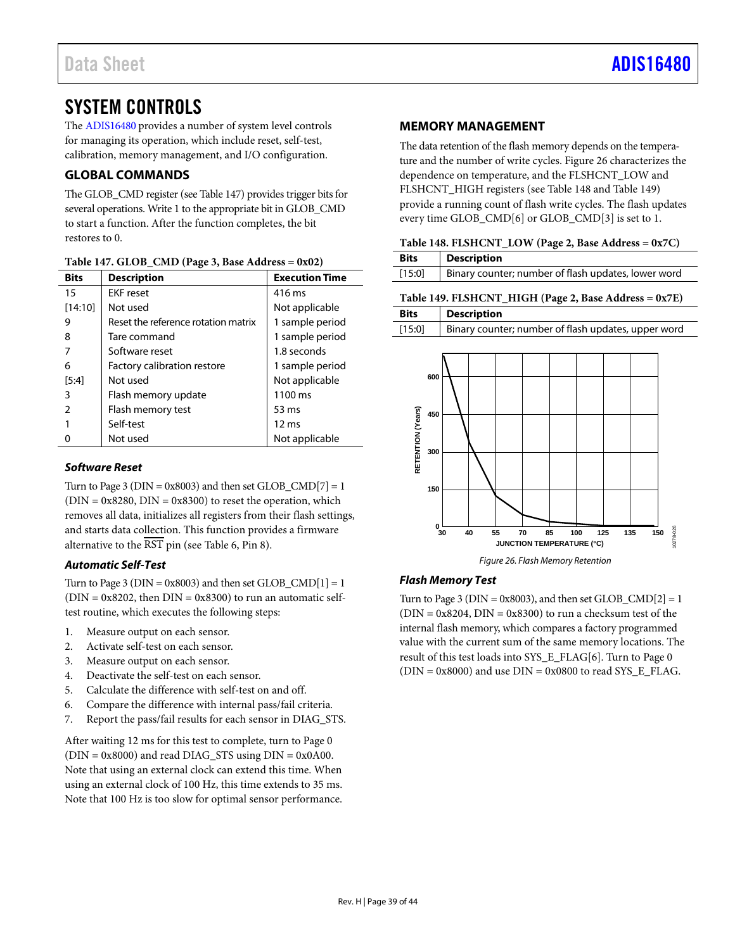## <span id="page-38-0"></span>SYSTEM CONTROLS

The [ADIS16480](https://www.analog.com/ADIS16480?doc=ADIS16480.pdf) provides a number of system level controls for managing its operation, which include reset, self-test, calibration, memory management, and I/O configuration.

### <span id="page-38-1"></span>**GLOBAL COMMANDS**

The GLOB\_CMD register (se[e Table](#page-38-5) 147) provides trigger bits for several operations. Write 1 to the appropriate bit in GLOB\_CMD to start a function. After the function completes, the bit restores to 0.

| <b>Bits</b> | <b>Description</b>                  | <b>Execution Time</b> |
|-------------|-------------------------------------|-----------------------|
| 15          | <b>EKF</b> reset                    | 416 ms                |
| [14:10]     | Not used                            | Not applicable        |
| 9           | Reset the reference rotation matrix | 1 sample period       |
| 8           | Tare command                        | 1 sample period       |
|             | Software reset                      | 1.8 seconds           |
| 6           | Factory calibration restore         | 1 sample period       |
| [5:4]       | Not used                            | Not applicable        |
| 3           | Flash memory update                 | 1100 ms               |
|             | Flash memory test                   | 53 ms                 |
|             | Self-test                           | $12 \text{ ms}$       |
|             | Not used                            | Not applicable        |

<span id="page-38-5"></span>

| Table 147. GLOB_CMD (Page 3, Base Address = 0x02) |  |  |  |  |  |
|---------------------------------------------------|--|--|--|--|--|
|---------------------------------------------------|--|--|--|--|--|

### *Software Reset*

Turn to Page 3 ( $DIN = 0x8003$ ) and then set  $GLOB\_CMD[7] = 1$  $(DIN = 0x8280, DIN = 0x8300)$  to reset the operation, which removes all data, initializes all registers from their flash settings, and starts data collection. This function provides a firmware alternative to the  $\overline{\text{RST}}$  pin (se[e Table 6,](#page-9-1) Pin 8).

### *Automatic Self-Test*

Turn to Page 3 ( $DIN = 0x8003$ ) and then set  $GLOB\_CMD[1] = 1$  $(DIN = 0x8202$ , then  $DIN = 0x8300$  to run an automatic selftest routine, which executes the following steps:

- 1. Measure output on each sensor.
- 2. Activate self-test on each sensor.
- 3. Measure output on each sensor.
- 4. Deactivate the self-test on each sensor.
- 5. Calculate the difference with self-test on and off.
- 6. Compare the difference with internal pass/fail criteria.
- 7. Report the pass/fail results for each sensor in DIAG\_STS.

After waiting 12 ms for this test to complete, turn to Page 0  $(DIN = 0x8000)$  and read DIAG\_STS using  $DIN = 0x0A00$ . Note that using an external clock can extend this time. When using an external clock of 100 Hz, this time extends to 35 ms. Note that 100 Hz is too slow for optimal sensor performance.

### <span id="page-38-2"></span>**MEMORY MANAGEMENT**

The data retention of the flash memory depends on the temperature and the number of write cycles. [Figure 26](#page-38-6) characterizes the dependence on temperature, and the FLSHCNT\_LOW and FLSHCNT\_HIGH registers (se[e Table](#page-38-3) 148 and [Table 149\)](#page-38-4) provide a running count of flash write cycles. The flash updates every time GLOB\_CMD[6] or GLOB\_CMD[3] is set to 1.

<span id="page-38-3"></span>

| Table 148. FLSHCNT_LOW (Page 2, Base Address = 0x7C) |  |
|------------------------------------------------------|--|
|                                                      |  |

<span id="page-38-4"></span>

| <b>Bits</b> | <b>Description</b>                                    |  |
|-------------|-------------------------------------------------------|--|
| [15:0]      | Binary counter; number of flash updates, lower word   |  |
|             | Table 149. FLSHCNT_HIGH (Page 2, Base Address = 0x7E) |  |
| <b>Bits</b> | <b>Description</b>                                    |  |
| [15:0]      | Binary counter; number of flash updates, upper word   |  |
|             |                                                       |  |



*Figure 26. Flash Memory Retention*

### <span id="page-38-6"></span>*Flash Memory Test*

Turn to Page 3 ( $DIN = 0x8003$ ), and then set  $GLOB_CMD[2] = 1$  $(DIN = 0x8204, DIN = 0x8300)$  to run a checksum test of the internal flash memory, which compares a factory programmed value with the current sum of the same memory locations. The result of this test loads into SYS\_E\_FLAG[6]. Turn to Page 0  $(DIN = 0x8000)$  and use  $DIN = 0x0800$  to read SYS E\_FLAG.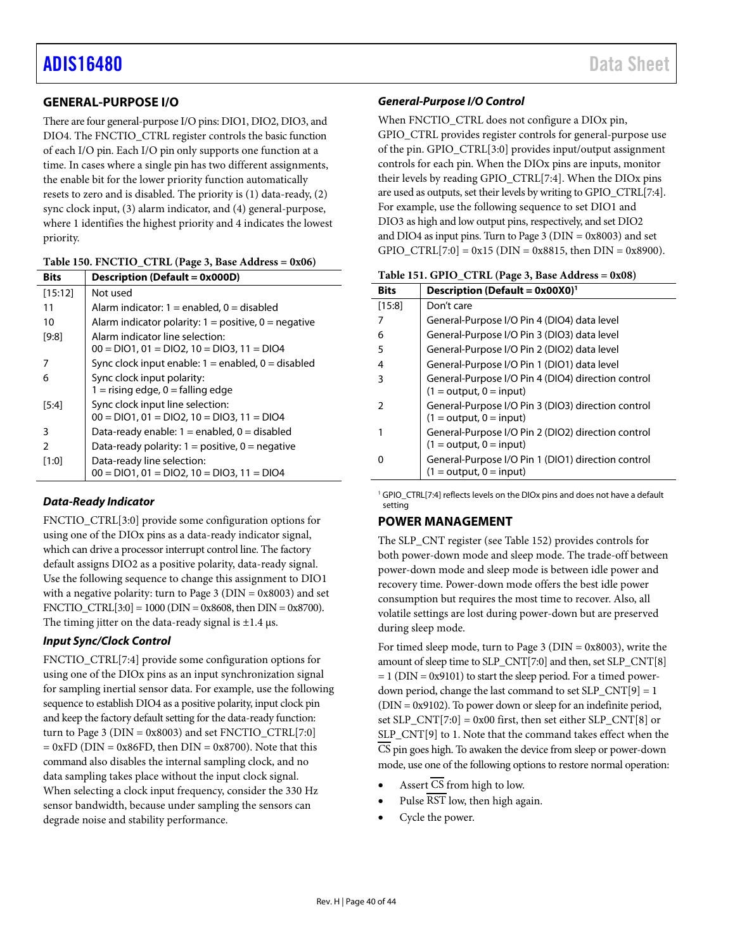### <span id="page-39-0"></span>**GENERAL-PURPOSE I/O**

There are four general-purpose I/O pins: DIO1, DIO2, DIO3, and DIO4. The FNCTIO\_CTRL register controls the basic function of each I/O pin. Each I/O pin only supports one function at a time. In cases where a single pin has two different assignments, the enable bit for the lower priority function automatically resets to zero and is disabled. The priority is (1) data-ready, (2) sync clock input, (3) alarm indicator, and (4) general-purpose, where 1 identifies the highest priority and 4 indicates the lowest priority.

<span id="page-39-2"></span>

| Table 150. FNCTIO_CTRL (Page 3, Base Address = 0x06) |  |  |
|------------------------------------------------------|--|--|
|------------------------------------------------------|--|--|

| <b>Bits</b>   | <b>Description (Default = 0x000D)</b>                    |
|---------------|----------------------------------------------------------|
| [15:12]       | Not used                                                 |
| 11            | Alarm indicator: $1 =$ enabled, $0 =$ disabled           |
| 10            | Alarm indicator polarity: $1 =$ positive, $0 =$ negative |
| [9:8]         | Alarm indicator line selection:                          |
|               | $00 = DIO1$ , $01 = DIO2$ , $10 = DIO3$ , $11 = DIO4$    |
|               | Sync clock input enable: $1 =$ enabled, $0 =$ disabled   |
| 6             | Sync clock input polarity:                               |
|               | $1 =$ rising edge, $0 =$ falling edge                    |
| [5:4]         | Sync clock input line selection:                         |
|               | $00 = DIO1$ , $01 = DIO2$ , $10 = DIO3$ , $11 = DIO4$    |
| 3             | Data-ready enable: $1 =$ enabled, $0 =$ disabled         |
| $\mathcal{P}$ | Data-ready polarity: $1 =$ positive, $0 =$ negative      |
| [1:0]         | Data-ready line selection:                               |
|               | $00 = DIO1$ , $01 = DIO2$ , $10 = DIO3$ , $11 = DIO4$    |

### *Data-Ready Indicator*

FNCTIO\_CTRL[3:0] provide some configuration options for using one of the DIOx pins as a data-ready indicator signal, which can drive a processor interrupt control line. The factory default assigns DIO2 as a positive polarity, data-ready signal. Use the following sequence to change this assignment to DIO1 with a negative polarity: turn to Page 3 ( $DIN = 0x8003$ ) and set FNCTIO\_CTRL $[3:0] = 1000$  (DIN = 0x8608, then DIN = 0x8700). The timing jitter on the data-ready signal is  $\pm 1.4$  µs.

### *Input Sync/Clock Control*

FNCTIO\_CTRL[7:4] provide some configuration options for using one of the DIOx pins as an input synchronization signal for sampling inertial sensor data. For example, use the following sequence to establish DIO4 as a positive polarity, input clock pin and keep the factory default setting for the data-ready function: turn to Page 3 ( $DIN = 0x8003$ ) and set  $FNCTION_CTRL[7:0]$  $= 0xFD$  (DIN = 0x86FD, then DIN = 0x8700). Note that this command also disables the internal sampling clock, and no data sampling takes place without the input clock signal. When selecting a clock input frequency, consider the 330 Hz sensor bandwidth, because under sampling the sensors can degrade noise and stability performance.

### *General-Purpose I/O Control*

When FNCTIO\_CTRL does not configure a DIOx pin, GPIO\_CTRL provides register controls for general-purpose use of the pin. GPIO\_CTRL[3:0] provides input/output assignment controls for each pin. When the DIOx pins are inputs, monitor their levels by reading GPIO\_CTRL[7:4]. When the DIOx pins are used as outputs, set their levels by writing to GPIO\_CTRL[7:4]. For example, use the following sequence to set DIO1 and DIO3 as high and low output pins, respectively, and set DIO2 and DIO4 as input pins. Turn to Page 3 ( $\text{DIN} = 0 \times 8003$ ) and set GPIO\_CTRL[7:0] =  $0x15$  (DIN =  $0x8815$ , then DIN =  $0x8900$ ).

<span id="page-39-3"></span>

| <b>Bits</b> | <b>Description (Default = 0x00X0)</b> <sup>1</sup>                              |
|-------------|---------------------------------------------------------------------------------|
| [15:8]      | Don't care                                                                      |
|             | General-Purpose I/O Pin 4 (DIO4) data level                                     |
| 6           | General-Purpose I/O Pin 3 (DIO3) data level                                     |
| 5           | General-Purpose I/O Pin 2 (DIO2) data level                                     |
| 4           | General-Purpose I/O Pin 1 (DIO1) data level                                     |
| 3           | General-Purpose I/O Pin 4 (DIO4) direction control                              |
|             | $(1 = output, 0 = input)$                                                       |
| 2           | General-Purpose I/O Pin 3 (DIO3) direction control<br>$(1 = output, 0 = input)$ |
|             | General-Purpose I/O Pin 2 (DIO2) direction control<br>$(1 = output, 0 = input)$ |
|             | General-Purpose I/O Pin 1 (DIO1) direction control<br>$(1 = output, 0 = input)$ |

<sup>1</sup> GPIO CTRL[7:4] reflects levels on the DIOx pins and does not have a default setting

### <span id="page-39-1"></span>**POWER MANAGEMENT**

The SLP\_CNT register (se[e Table 152\)](#page-40-7) provides controls for both power-down mode and sleep mode. The trade-off between power-down mode and sleep mode is between idle power and recovery time. Power-down mode offers the best idle power consumption but requires the most time to recover. Also, all volatile settings are lost during power-down but are preserved during sleep mode.

For timed sleep mode, turn to Page 3 (DIN = 0x8003), write the amount of sleep time to SLP\_CNT[7:0] and then, set SLP\_CNT[8]  $= 1$  (DIN = 0x9101) to start the sleep period. For a timed powerdown period, change the last command to set  $SLP$   $CNT[9] = 1$ (DIN = 0x9102). To power down or sleep for an indefinite period, set  $SLP_CNT[7:0] = 0x00$  first, then set either  $SLP_CNT[8]$  or SLP\_CNT[9] to 1. Note that the command takes effect when the CS pin goes high. To awaken the device from sleep or power-down mode, use one of the following options to restore normal operation:

- Assert  $\overline{\text{CS}}$  from high to low.
- Pulse RST low, then high again.
- Cycle the power.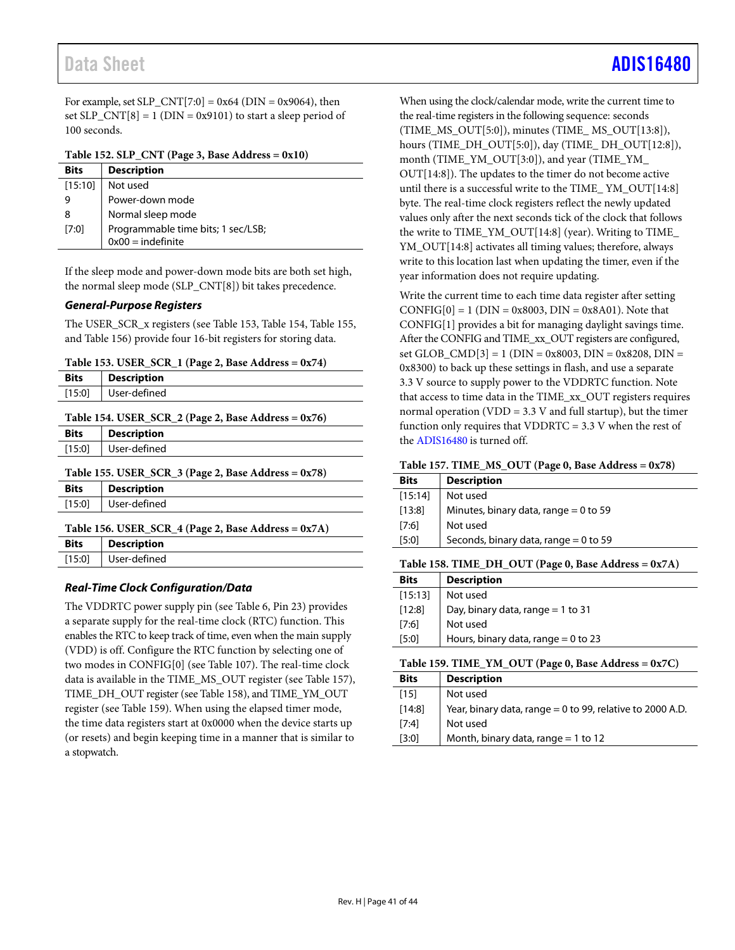For example, set SLP\_CNT[7:0] =  $0x64$  (DIN =  $0x9064$ ), then set  $SLP_CNT[8] = 1$  (DIN = 0x9101) to start a sleep period of 100 seconds.

<span id="page-40-7"></span>**Table 152. SLP\_CNT (Page 3, Base Address = 0x10)**

| <b>Bits</b> | <b>Description</b>                                        |
|-------------|-----------------------------------------------------------|
| [15:10]     | Not used                                                  |
| 9           | Power-down mode                                           |
| 8           | Normal sleep mode                                         |
| [7:0]       | Programmable time bits; 1 sec/LSB;<br>$0x00 =$ indefinite |

If the sleep mode and power-down mode bits are both set high, the normal sleep mode (SLP\_CNT[8]) bit takes precedence.

### *General-Purpose Registers*

The USER\_SCR\_x registers (se[e Table 153,](#page-40-3) [Table 154,](#page-40-4) [Table](#page-40-5) 155, an[d Table 156\)](#page-40-6) provide four 16-bit registers for storing data.

<span id="page-40-3"></span>**Table 153. USER\_SCR\_1 (Page 2, Base Address = 0x74)**

<span id="page-40-5"></span><span id="page-40-4"></span>

| <b>Bits</b> | <b>Description</b>                                                           |
|-------------|------------------------------------------------------------------------------|
| [15:0]      | User-defined                                                                 |
|             | Table 154. USER_SCR_2 (Page 2, Base Address = 0x76)                          |
| <b>Bits</b> | <b>Description</b>                                                           |
| [15:0]      | User-defined                                                                 |
| <b>Bits</b> | Table 155. USER_SCR_3 (Page 2, Base Address = $0x78$ )<br><b>Description</b> |
| [15:0]      | User-defined                                                                 |
|             | Table 156. USER SCR $4$ (Page 2, Base Address = 0x7A)                        |
| <b>Bits</b> | <b>Description</b>                                                           |
| [15:0]      |                                                                              |

### <span id="page-40-6"></span>*Real-Time Clock Configuration/Data*

The VDDRTC power supply pin (see [Table 6,](#page-9-1) Pin 23) provides a separate supply for the real-time clock (RTC) function. This enables the RTC to keep track of time, even when the main supply (VDD) is off. Configure the RTC function by selecting one of two modes in CONFIG[0] (se[e Table 107\)](#page-32-11). The real-time clock data is available in the TIME\_MS\_OUT register (se[e Table 157\)](#page-40-0), TIME\_DH\_OUT register (se[e Table 158\)](#page-40-1), and TIME\_YM\_OUT register (se[e Table 159\)](#page-40-2). When using the elapsed timer mode, the time data registers start at 0x0000 when the device starts up (or resets) and begin keeping time in a manner that is similar to a stopwatch.

When using the clock/calendar mode, write the current time to the real-time registers in the following sequence: seconds (TIME\_MS\_OUT[5:0]), minutes (TIME\_ MS\_OUT[13:8]), hours (TIME\_DH\_OUT[5:0]), day (TIME\_ DH\_OUT[12:8]), month (TIME\_YM\_OUT[3:0]), and year (TIME\_YM\_ OUT[14:8]). The updates to the timer do not become active until there is a successful write to the TIME\_ YM\_OUT[14:8] byte. The real-time clock registers reflect the newly updated values only after the next seconds tick of the clock that follows the write to TIME\_YM\_OUT[14:8] (year). Writing to TIME\_ YM\_OUT[14:8] activates all timing values; therefore, always write to this location last when updating the timer, even if the year information does not require updating.

Write the current time to each time data register after setting  $CONFIG[0] = 1 (DIN = 0x8003, DIN = 0x8A01)$ . Note that CONFIG[1] provides a bit for managing daylight savings time. After the CONFIG and TIME\_xx\_OUT registers are configured, set GLOB\_CMD[3] = 1 (DIN = 0x8003, DIN = 0x8208, DIN = 0x8300) to back up these settings in flash, and use a separate 3.3 V source to supply power to the VDDRTC function. Note that access to time data in the TIME\_xx\_OUT registers requires normal operation (VDD =  $3.3$  V and full startup), but the timer function only requires that VDDRTC =  $3.3$  V when the rest of the [ADIS16480](https://www.analog.com/ADIS16480?doc=ADIS16480.pdf) is turned off.

<span id="page-40-0"></span>

|  | Table 157. TIME_MS_OUT (Page 0, Base Address = 0x78) |
|--|------------------------------------------------------|
|--|------------------------------------------------------|

| <b>Bits</b> | <b>Description</b>                      |
|-------------|-----------------------------------------|
| [15:14]     | Not used                                |
| [13:8]      | Minutes, binary data, range $= 0$ to 59 |
| [7:6]       | Not used                                |
| [5:0]       | Seconds, binary data, range = 0 to 59   |

<span id="page-40-1"></span>**Table 158. TIME\_DH\_OUT (Page 0, Base Address = 0x7A)**

| <b>Bits</b> | <b>Description</b>                    |
|-------------|---------------------------------------|
| [15:13]     | Not used                              |
| [12:8]      | Day, binary data, range $= 1$ to 31   |
| [7:6]       | Not used                              |
| [5:0]       | Hours, binary data, range = $0$ to 23 |

<span id="page-40-2"></span>**Table 159. TIME\_YM\_OUT (Page 0, Base Address = 0x7C)**

| <b>Bits</b> | <b>Description</b>                                        |
|-------------|-----------------------------------------------------------|
| [15]        | Not used                                                  |
| [14:8]      | Year, binary data, range = 0 to 99, relative to 2000 A.D. |
| [7:4]       | Not used                                                  |
| [3:0]       | Month, binary data, range $= 1$ to 12                     |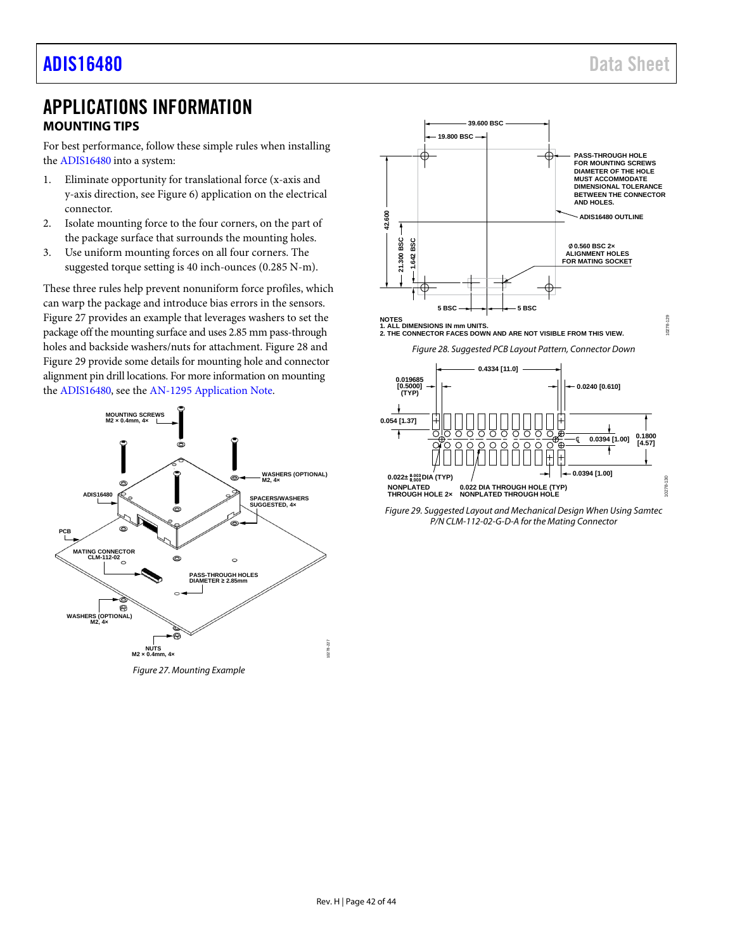0278

### <span id="page-41-0"></span>APPLICATIONS INFORMATION **MOUNTING TIPS**

<span id="page-41-1"></span>For best performance, follow these simple rules when installing the [ADIS16480](https://www.analog.com/ADIS16480?doc=ADIS16480.pdf) into a system:

- 1. Eliminate opportunity for translational force (x-axis and y-axis direction, see [Figure 6\)](#page-9-2) application on the electrical connector.
- 2. Isolate mounting force to the four corners, on the part of the package surface that surrounds the mounting holes.
- 3. Use uniform mounting forces on all four corners. The suggested torque setting is 40 inch-ounces (0.285 N-m).

These three rules help prevent nonuniform force profiles, which can warp the package and introduce bias errors in the sensors. [Figure 27](#page-41-2) provides an example that leverages washers to set the package off the mounting surface and uses 2.85 mm pass-through holes and backside washers/nuts for attachment. [Figure 28](#page-41-3) and [Figure 29](#page-41-4) provide some details for mounting hole and connector alignment pin drill locations. For more information on mounting the [ADIS16480,](https://www.analog.com/ADIS16480?doc=ADIS16480.pdf) see th[e AN-1295](https://www.analog.com/AN-1295?doc=ADIS16480.pdf) [Application Note.](https://www.analog.com/AN-1295?doc=ADIS16480.pdf)



<span id="page-41-2"></span>*Figure 27. Mounting Example*





*Figure 28. Suggested PCB Layout Pattern, Connector Down*

<span id="page-41-3"></span>

<span id="page-41-4"></span>*Figure 29. Suggested Layout and Mechanical Design When Using Samtec P/N CLM-112-02-G-D-A for the Mating Connector*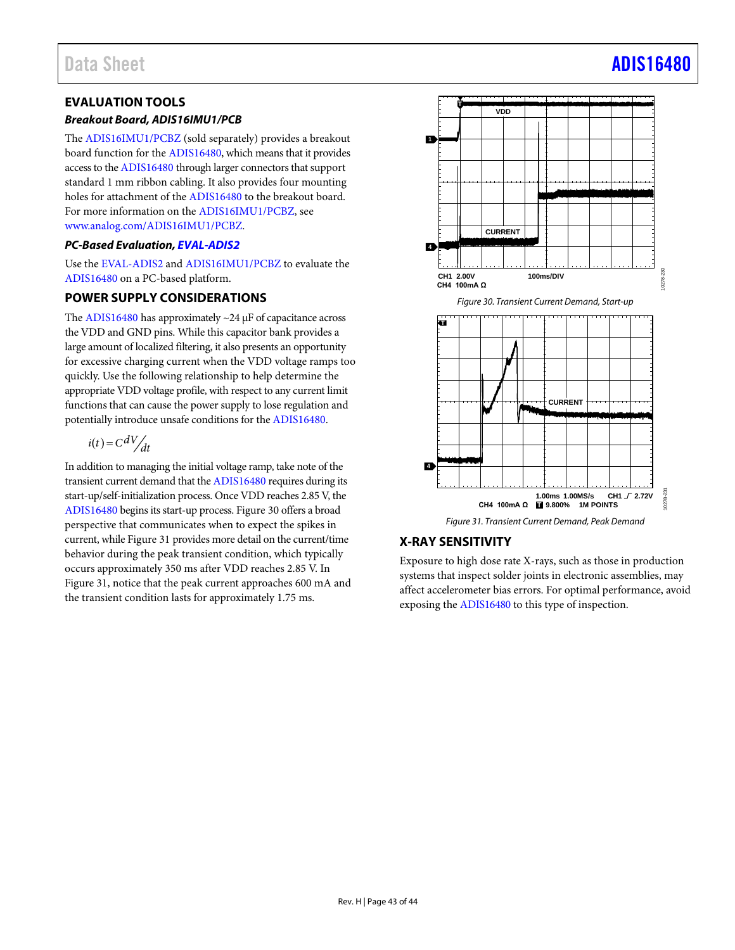### <span id="page-42-0"></span>**EVALUATION TOOLS**

### *Breakout Board, ADIS16IMU1/PCB*

The [ADIS16IMU1/PCBZ](https://www.analog.com/ADIS16IMU1/PCBZ?doc=ADIS16480.pdf) (sold separately) provides a breakout board function for th[e ADIS16480,](https://www.analog.com/ADIS16480?doc=ADIS16480.pdf) which means that it provides access to th[e ADIS16480](https://www.analog.com/ADIS16480?doc=ADIS16480.pdf) through larger connectors that support standard 1 mm ribbon cabling. It also provides four mounting holes for attachment of th[e ADIS16480](https://www.analog.com/ADIS16480?doc=ADIS16480.pdf) to the breakout board. For more information on th[e ADIS16IMU1/PCBZ,](https://www.analog.com/ADIS16IMU1/PCBZ?doc=ADIS16480.pdf) see [www.analog.com/ADIS16IMU1/PCBZ.](https://www.analog.com/ADIS16IMU1/PCBZ?doc=ADIS16480.pdf)

### *PC-Based Evaluation[, EVAL-ADIS2](https://www.analog.com/EVAL-ADIS2?doc=ADIS16480.pdf)*

Use th[e EVAL-ADIS2](https://www.analog.com/EVAL-ADIS2?doc=ADIS16480.pdf) an[d ADIS16IMU1/PCBZ](https://www.analog.com/ADIS16IMU1/PCBZ?doc=ADIS16480.pdf) to evaluate the [ADIS16480](https://www.analog.com/ADIS16480?doc=ADIS16480.pdf) on a PC-based platform.

### <span id="page-42-1"></span>**POWER SUPPLY CONSIDERATIONS**

The [ADIS16480](https://www.analog.com/ADIS16480?doc=ADIS16480.pdf) has approximately ~24 μF of capacitance across the VDD and GND pins. While this capacitor bank provides a large amount of localized filtering, it also presents an opportunity for excessive charging current when the VDD voltage ramps too quickly. Use the following relationship to help determine the appropriate VDD voltage profile, with respect to any current limit functions that can cause the power supply to lose regulation and potentially introduce unsafe conditions for th[e ADIS16480.](https://www.analog.com/ADIS16480?doc=ADIS16480.pdf) 

$$
i(t) = C \frac{dV}{dt}
$$

In addition to managing the initial voltage ramp, take note of the transient current demand that th[e ADIS16480](https://www.analog.com/ADIS16480?doc=ADIS16480.pdf) requires during its start-up/self-initialization process. Once VDD reaches 2.85 V, the [ADIS16480](https://www.analog.com/ADIS16480?doc=ADIS16480.pdf) begins its start-up process[. Figure 30](#page-42-3) offers a broad perspective that communicates when to expect the spikes in current, whil[e Figure 31](#page-42-4) provides more detail on the current/time behavior during the peak transient condition, which typically occurs approximately 350 ms after VDD reaches 2.85 V. In [Figure 31,](#page-42-4) notice that the peak current approaches 600 mA and the transient condition lasts for approximately 1.75 ms.

<span id="page-42-3"></span>

*Figure 31. Transient Current Demand, Peak Demand*

### <span id="page-42-4"></span><span id="page-42-2"></span>**X-RAY SENSITIVITY**

Exposure to high dose rate X-rays, such as those in production systems that inspect solder joints in electronic assemblies, may affect accelerometer bias errors. For optimal performance, avoid exposing th[e ADIS16480](https://www.analog.com/ADIS16480?doc=ADIS16480.pdf) to this type of inspection.

# Data Sheet And a sheet Albert Advanced [ADIS16480](https://www.analog.com/ADIS16480?doc=ADIS16480.pdf) ADIS16480